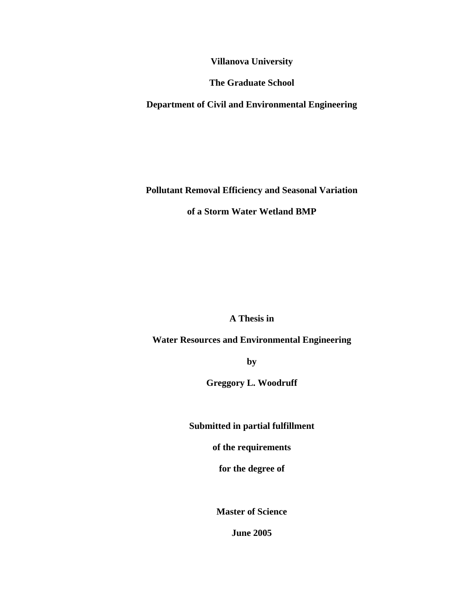**Villanova University** 

**The Graduate School** 

**Department of Civil and Environmental Engineering** 

**Pollutant Removal Efficiency and Seasonal Variation of a Storm Water Wetland BMP** 

**A Thesis in** 

**Water Resources and Environmental Engineering** 

**by** 

**Greggory L. Woodruff** 

**Submitted in partial fulfillment** 

**of the requirements** 

**for the degree of** 

**Master of Science** 

**June 2005**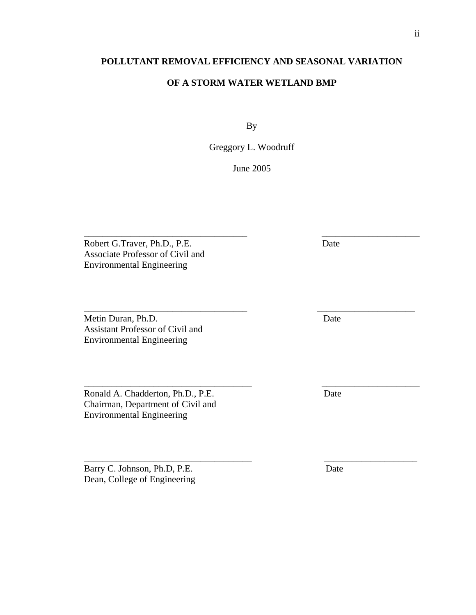### **POLLUTANT REMOVAL EFFICIENCY AND SEASONAL VARIATION**

#### **OF A STORM WATER WETLAND BMP**

By

Greggory L. Woodruff

June 2005

\_\_\_\_\_\_\_\_\_\_\_\_\_\_\_\_\_\_\_\_\_\_\_\_\_\_\_\_\_\_\_\_\_\_\_ \_\_\_\_\_\_\_\_\_\_\_\_\_\_\_\_\_\_\_\_\_

\_\_\_\_\_\_\_\_\_\_\_\_\_\_\_\_\_\_\_\_\_\_\_\_\_\_\_\_\_\_\_\_\_\_\_ \_\_\_\_\_\_\_\_\_\_\_\_\_\_\_\_\_\_\_\_\_

\_\_\_\_\_\_\_\_\_\_\_\_\_\_\_\_\_\_\_\_\_\_\_\_\_\_\_\_\_\_\_\_\_\_\_\_ \_\_\_\_\_\_\_\_\_\_\_\_\_\_\_\_\_\_\_\_\_

\_\_\_\_\_\_\_\_\_\_\_\_\_\_\_\_\_\_\_\_\_\_\_\_\_\_\_\_\_\_\_\_\_\_\_\_ \_\_\_\_\_\_\_\_\_\_\_\_\_\_\_\_\_\_\_\_

Robert G.Traver, Ph.D., P.E. Date Associate Professor of Civil and Environmental Engineering

Metin Duran, Ph.D. Date Assistant Professor of Civil and Environmental Engineering

Ronald A. Chadderton, Ph.D., P.E. Date Chairman, Department of Civil and Environmental Engineering

Barry C. Johnson, Ph.D, P.E. Date Dean, College of Engineering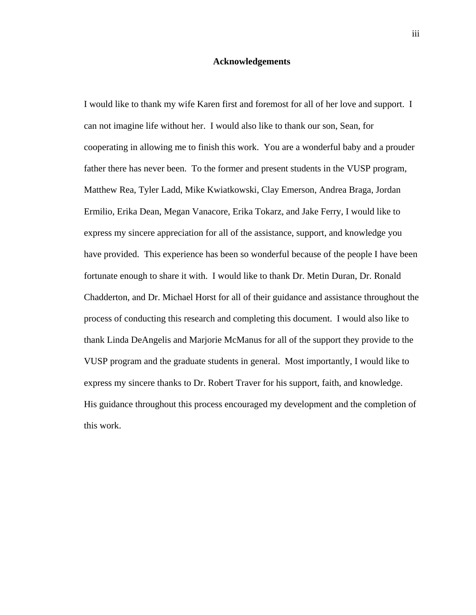#### **Acknowledgements**

I would like to thank my wife Karen first and foremost for all of her love and support. I can not imagine life without her. I would also like to thank our son, Sean, for cooperating in allowing me to finish this work. You are a wonderful baby and a prouder father there has never been. To the former and present students in the VUSP program, Matthew Rea, Tyler Ladd, Mike Kwiatkowski, Clay Emerson, Andrea Braga, Jordan Ermilio, Erika Dean, Megan Vanacore, Erika Tokarz, and Jake Ferry, I would like to express my sincere appreciation for all of the assistance, support, and knowledge you have provided. This experience has been so wonderful because of the people I have been fortunate enough to share it with. I would like to thank Dr. Metin Duran, Dr. Ronald Chadderton, and Dr. Michael Horst for all of their guidance and assistance throughout the process of conducting this research and completing this document. I would also like to thank Linda DeAngelis and Marjorie McManus for all of the support they provide to the VUSP program and the graduate students in general. Most importantly, I would like to express my sincere thanks to Dr. Robert Traver for his support, faith, and knowledge. His guidance throughout this process encouraged my development and the completion of this work.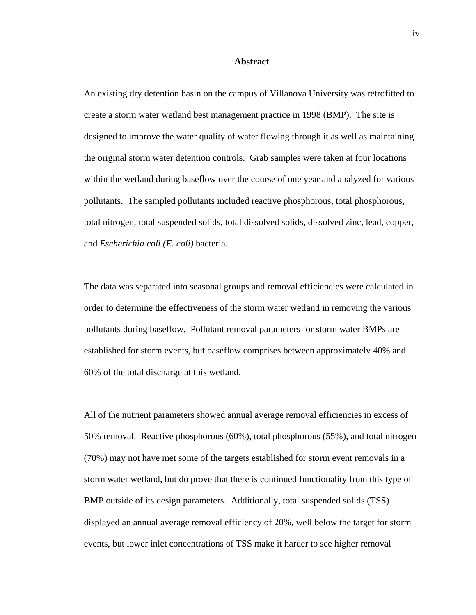#### **Abstract**

An existing dry detention basin on the campus of Villanova University was retrofitted to create a storm water wetland best management practice in 1998 (BMP). The site is designed to improve the water quality of water flowing through it as well as maintaining the original storm water detention controls. Grab samples were taken at four locations within the wetland during baseflow over the course of one year and analyzed for various pollutants. The sampled pollutants included reactive phosphorous, total phosphorous, total nitrogen, total suspended solids, total dissolved solids, dissolved zinc, lead, copper, and *Escherichia coli (E. coli)* bacteria.

The data was separated into seasonal groups and removal efficiencies were calculated in order to determine the effectiveness of the storm water wetland in removing the various pollutants during baseflow. Pollutant removal parameters for storm water BMPs are established for storm events, but baseflow comprises between approximately 40% and 60% of the total discharge at this wetland.

All of the nutrient parameters showed annual average removal efficiencies in excess of 50% removal. Reactive phosphorous (60%), total phosphorous (55%), and total nitrogen (70%) may not have met some of the targets established for storm event removals in a storm water wetland, but do prove that there is continued functionality from this type of BMP outside of its design parameters. Additionally, total suspended solids (TSS) displayed an annual average removal efficiency of 20%, well below the target for storm events, but lower inlet concentrations of TSS make it harder to see higher removal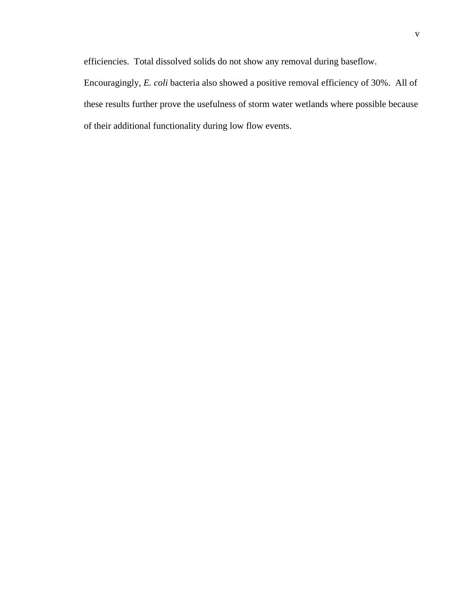efficiencies. Total dissolved solids do not show any removal during baseflow.

Encouragingly, *E. coli* bacteria also showed a positive removal efficiency of 30%. All of these results further prove the usefulness of storm water wetlands where possible because of their additional functionality during low flow events.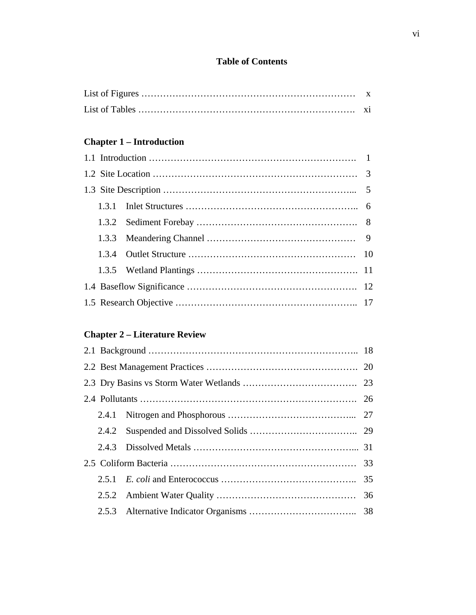## **Table of Contents**

# **Chapter 1 – Introduction**

# **Chapter 2 – Literature Review**

|  | 2.4.2 |  |
|--|-------|--|
|  |       |  |
|  |       |  |
|  |       |  |
|  |       |  |
|  |       |  |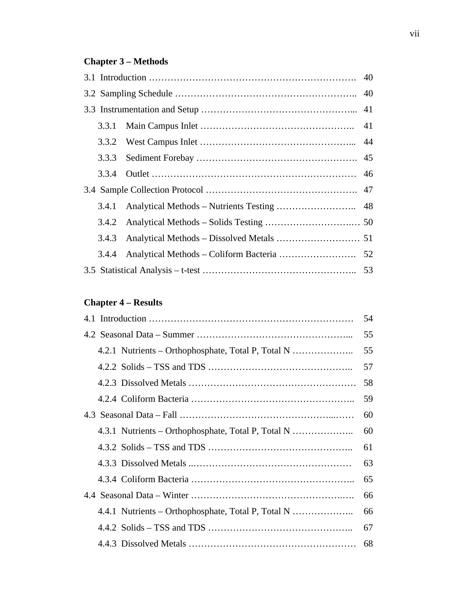# **Chapter 3 – Methods**

## **Chapter 4 – Results**

|                                                    | 54 |
|----------------------------------------------------|----|
|                                                    | 55 |
| 4.2.1 Nutrients – Orthophosphate, Total P, Total N | 55 |
|                                                    | 57 |
|                                                    | 58 |
|                                                    | 59 |
|                                                    | 60 |
| 4.3.1 Nutrients – Orthophosphate, Total P, Total N | 60 |
|                                                    | 61 |
|                                                    | 63 |
|                                                    | 65 |
|                                                    | 66 |
| 4.4.1 Nutrients – Orthophosphate, Total P, Total N | 66 |
|                                                    | 67 |
|                                                    | 68 |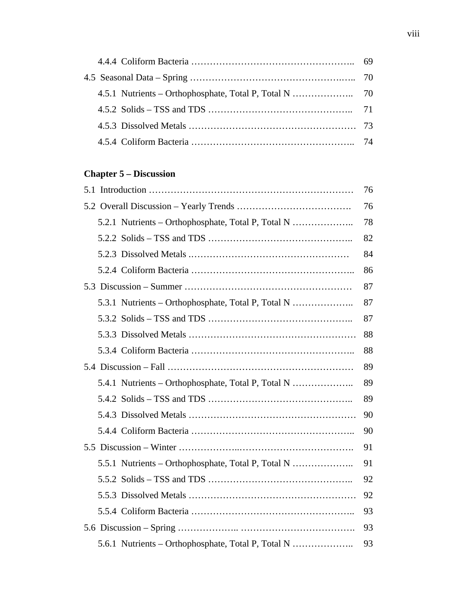# **Chapter 5 – Discussion**

|                                                    | 76 |
|----------------------------------------------------|----|
|                                                    | 76 |
| 5.2.1 Nutrients – Orthophosphate, Total P, Total N | 78 |
|                                                    | 82 |
|                                                    | 84 |
|                                                    | 86 |
|                                                    | 87 |
| 5.3.1 Nutrients - Orthophosphate, Total P, Total N | 87 |
|                                                    | 87 |
|                                                    | 88 |
|                                                    | 88 |
|                                                    | 89 |
| 5.4.1 Nutrients – Orthophosphate, Total P, Total N | 89 |
|                                                    | 89 |
|                                                    | 90 |
|                                                    | 90 |
|                                                    | 91 |
| 5.5.1 Nutrients – Orthophosphate, Total P, Total N | 91 |
|                                                    | 92 |
|                                                    | 92 |
|                                                    | 93 |
|                                                    | 93 |
| 5.6.1 Nutrients – Orthophosphate, Total P, Total N | 93 |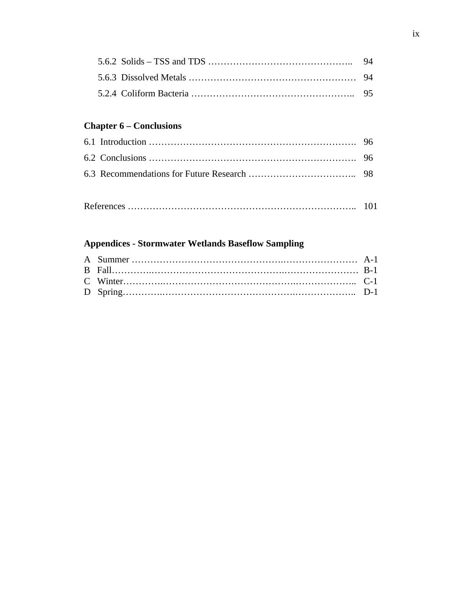# **Chapter 6 – Conclusions**

```
References ……………………………………………………………….. 101
```
## **Appendices - Stormwater Wetlands Baseflow Sampling**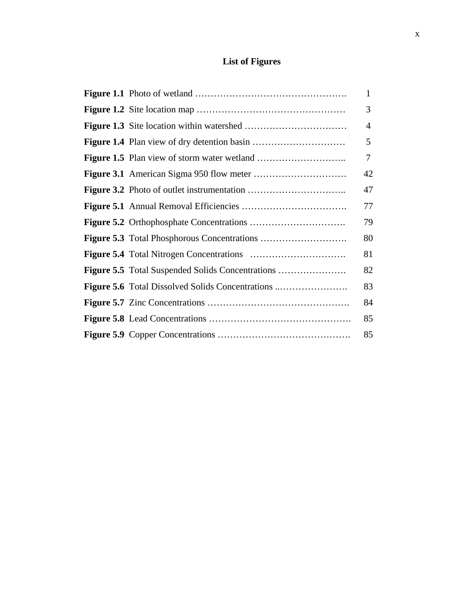# **List of Figures**

|  | 1  |
|--|----|
|  | 3  |
|  | 4  |
|  | 5  |
|  | 7  |
|  | 42 |
|  | 47 |
|  | 77 |
|  | 79 |
|  | 80 |
|  | 81 |
|  | 82 |
|  | 83 |
|  | 84 |
|  | 85 |
|  | 85 |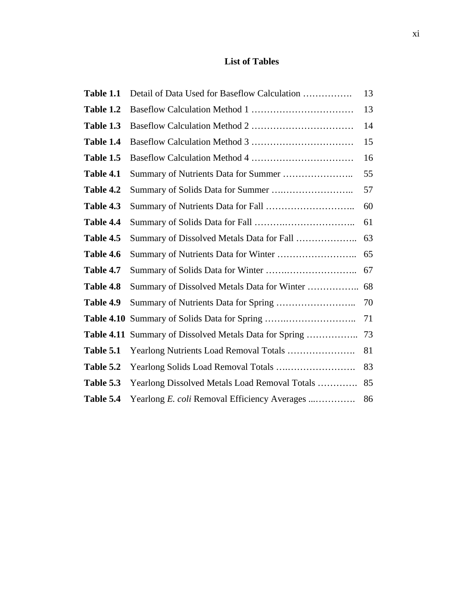## **List of Tables**

| Table 1.1         | Detail of Data Used for Baseflow Calculation  | 13 |
|-------------------|-----------------------------------------------|----|
| Table 1.2         |                                               | 13 |
| Table 1.3         |                                               | 14 |
| Table 1.4         |                                               | 15 |
| Table 1.5         |                                               | 16 |
| Table 4.1         |                                               | 55 |
| Table 4.2         |                                               | 57 |
| Table 4.3         |                                               | 60 |
| Table 4.4         |                                               | 61 |
| Table 4.5         | Summary of Dissolved Metals Data for Fall     | 63 |
| Table 4.6         |                                               | 65 |
| Table 4.7         |                                               | 67 |
| Table 4.8         | Summary of Dissolved Metals Data for Winter   | 68 |
| Table 4.9         |                                               | 70 |
| <b>Table 4.10</b> |                                               | 71 |
| <b>Table 4.11</b> | Summary of Dissolved Metals Data for Spring   | 73 |
| Table 5.1         |                                               | 81 |
| Table 5.2         |                                               | 83 |
| Table 5.3         | Yearlong Dissolved Metals Load Removal Totals | 85 |
| Table 5.4         | Yearlong E. coli Removal Efficiency Averages  | 86 |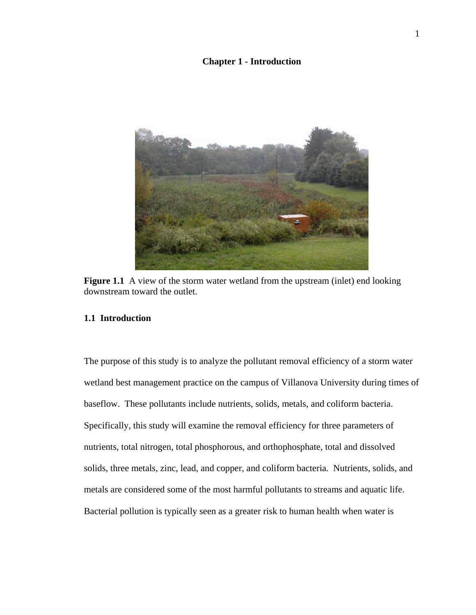**Chapter 1 - Introduction** 



**Figure 1.1** A view of the storm water wetland from the upstream (inlet) end looking downstream toward the outlet.

#### **1.1 Introduction**

The purpose of this study is to analyze the pollutant removal efficiency of a storm water wetland best management practice on the campus of Villanova University during times of baseflow. These pollutants include nutrients, solids, metals, and coliform bacteria. Specifically, this study will examine the removal efficiency for three parameters of nutrients, total nitrogen, total phosphorous, and orthophosphate, total and dissolved solids, three metals, zinc, lead, and copper, and coliform bacteria. Nutrients, solids, and metals are considered some of the most harmful pollutants to streams and aquatic life. Bacterial pollution is typically seen as a greater risk to human health when water is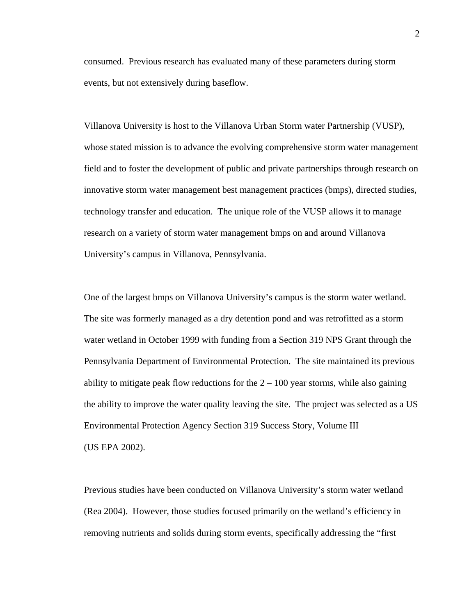consumed. Previous research has evaluated many of these parameters during storm events, but not extensively during baseflow.

Villanova University is host to the Villanova Urban Storm water Partnership (VUSP), whose stated mission is to advance the evolving comprehensive storm water management field and to foster the development of public and private partnerships through research on innovative storm water management best management practices (bmps), directed studies, technology transfer and education. The unique role of the VUSP allows it to manage research on a variety of storm water management bmps on and around Villanova University's campus in Villanova, Pennsylvania.

One of the largest bmps on Villanova University's campus is the storm water wetland. The site was formerly managed as a dry detention pond and was retrofitted as a storm water wetland in October 1999 with funding from a Section 319 NPS Grant through the Pennsylvania Department of Environmental Protection. The site maintained its previous ability to mitigate peak flow reductions for the  $2 - 100$  year storms, while also gaining the ability to improve the water quality leaving the site. The project was selected as a US Environmental Protection Agency Section 319 Success Story, Volume III (US EPA 2002).

Previous studies have been conducted on Villanova University's storm water wetland (Rea 2004). However, those studies focused primarily on the wetland's efficiency in removing nutrients and solids during storm events, specifically addressing the "first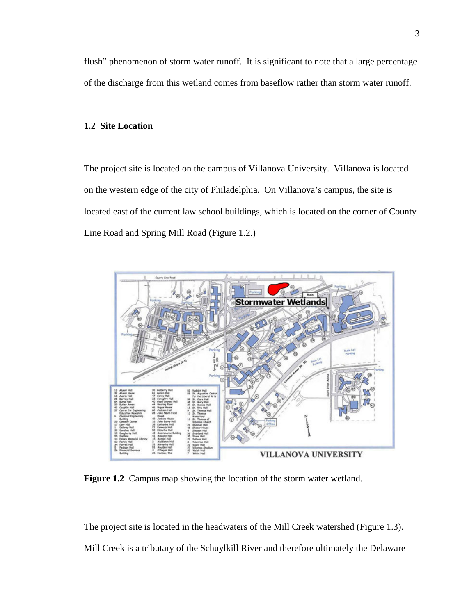flush" phenomenon of storm water runoff. It is significant to note that a large percentage of the discharge from this wetland comes from baseflow rather than storm water runoff.

#### **1.2 Site Location**

The project site is located on the campus of Villanova University. Villanova is located on the western edge of the city of Philadelphia. On Villanova's campus, the site is located east of the current law school buildings, which is located on the corner of County Line Road and Spring Mill Road (Figure 1.2.)



**Figure 1.2** Campus map showing the location of the storm water wetland.

The project site is located in the headwaters of the Mill Creek watershed (Figure 1.3). Mill Creek is a tributary of the Schuylkill River and therefore ultimately the Delaware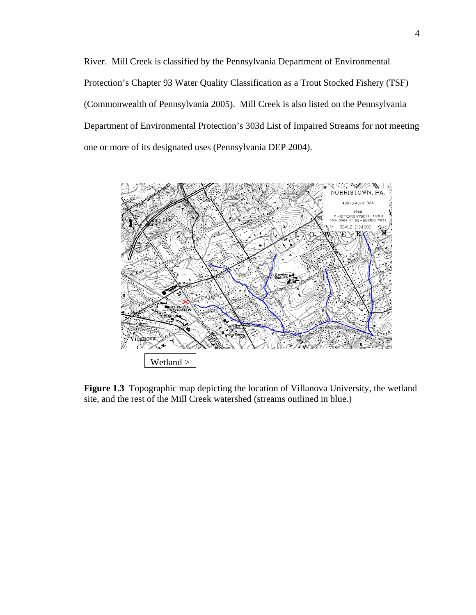River. Mill Creek is classified by the Pennsylvania Department of Environmental Protection's Chapter 93 Water Quality Classification as a Trout Stocked Fishery (TSF) (Commonwealth of Pennsylvania 2005). Mill Creek is also listed on the Pennsylvania Department of Environmental Protection's 303d List of Impaired Streams for not meeting one or more of its designated uses (Pennsylvania DEP 2004).



**Figure 1.3** Topographic map depicting the location of Villanova University, the wetland site, and the rest of the Mill Creek watershed (streams outlined in blue.)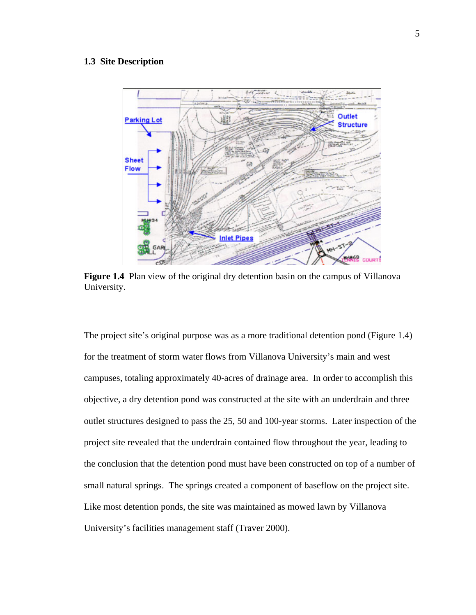#### **1.3 Site Description**



**Figure 1.4** Plan view of the original dry detention basin on the campus of Villanova University.

The project site's original purpose was as a more traditional detention pond (Figure 1.4) for the treatment of storm water flows from Villanova University's main and west campuses, totaling approximately 40-acres of drainage area. In order to accomplish this objective, a dry detention pond was constructed at the site with an underdrain and three outlet structures designed to pass the 25, 50 and 100-year storms. Later inspection of the project site revealed that the underdrain contained flow throughout the year, leading to the conclusion that the detention pond must have been constructed on top of a number of small natural springs. The springs created a component of baseflow on the project site. Like most detention ponds, the site was maintained as mowed lawn by Villanova University's facilities management staff (Traver 2000).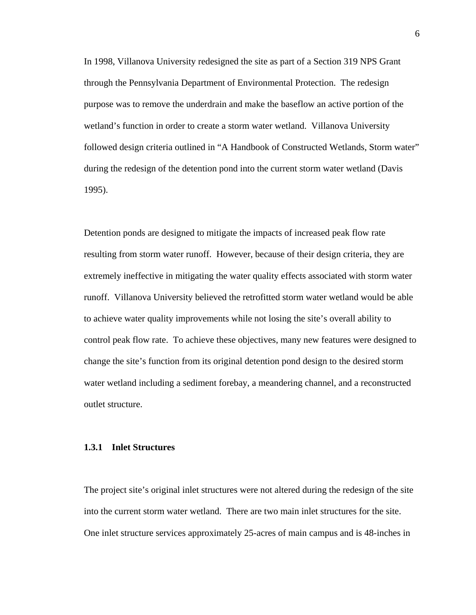In 1998, Villanova University redesigned the site as part of a Section 319 NPS Grant through the Pennsylvania Department of Environmental Protection. The redesign purpose was to remove the underdrain and make the baseflow an active portion of the wetland's function in order to create a storm water wetland. Villanova University followed design criteria outlined in "A Handbook of Constructed Wetlands, Storm water" during the redesign of the detention pond into the current storm water wetland (Davis 1995).

Detention ponds are designed to mitigate the impacts of increased peak flow rate resulting from storm water runoff. However, because of their design criteria, they are extremely ineffective in mitigating the water quality effects associated with storm water runoff. Villanova University believed the retrofitted storm water wetland would be able to achieve water quality improvements while not losing the site's overall ability to control peak flow rate. To achieve these objectives, many new features were designed to change the site's function from its original detention pond design to the desired storm water wetland including a sediment forebay, a meandering channel, and a reconstructed outlet structure.

#### **1.3.1 Inlet Structures**

The project site's original inlet structures were not altered during the redesign of the site into the current storm water wetland. There are two main inlet structures for the site. One inlet structure services approximately 25-acres of main campus and is 48-inches in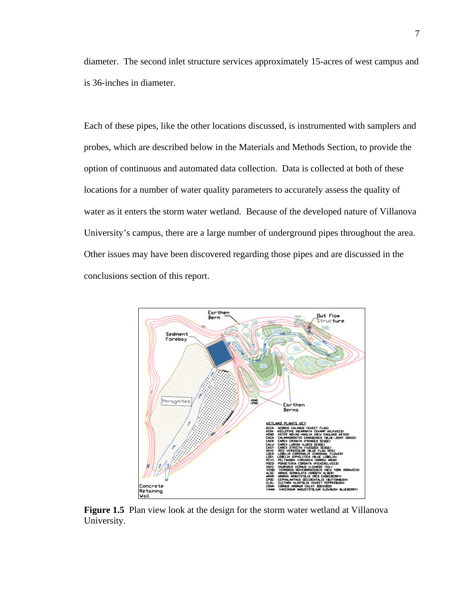diameter. The second inlet structure services approximately 15-acres of west campus and is 36-inches in diameter.

Each of these pipes, like the other locations discussed, is instrumented with samplers and probes, which are described below in the Materials and Methods Section, to provide the option of continuous and automated data collection. Data is collected at both of these locations for a number of water quality parameters to accurately assess the quality of water as it enters the storm water wetland. Because of the developed nature of Villanova University's campus, there are a large number of underground pipes throughout the area. Other issues may have been discovered regarding those pipes and are discussed in the conclusions section of this report.



**Figure 1.5** Plan view look at the design for the storm water wetland at Villanova University.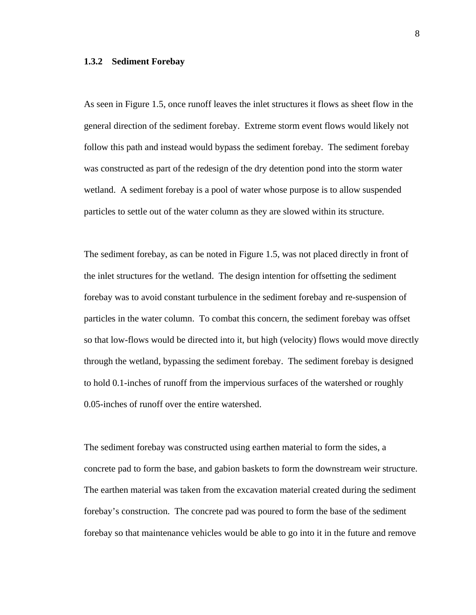#### **1.3.2 Sediment Forebay**

As seen in Figure 1.5, once runoff leaves the inlet structures it flows as sheet flow in the general direction of the sediment forebay. Extreme storm event flows would likely not follow this path and instead would bypass the sediment forebay. The sediment forebay was constructed as part of the redesign of the dry detention pond into the storm water wetland. A sediment forebay is a pool of water whose purpose is to allow suspended particles to settle out of the water column as they are slowed within its structure.

The sediment forebay, as can be noted in Figure 1.5, was not placed directly in front of the inlet structures for the wetland. The design intention for offsetting the sediment forebay was to avoid constant turbulence in the sediment forebay and re-suspension of particles in the water column. To combat this concern, the sediment forebay was offset so that low-flows would be directed into it, but high (velocity) flows would move directly through the wetland, bypassing the sediment forebay. The sediment forebay is designed to hold 0.1-inches of runoff from the impervious surfaces of the watershed or roughly 0.05-inches of runoff over the entire watershed.

The sediment forebay was constructed using earthen material to form the sides, a concrete pad to form the base, and gabion baskets to form the downstream weir structure. The earthen material was taken from the excavation material created during the sediment forebay's construction. The concrete pad was poured to form the base of the sediment forebay so that maintenance vehicles would be able to go into it in the future and remove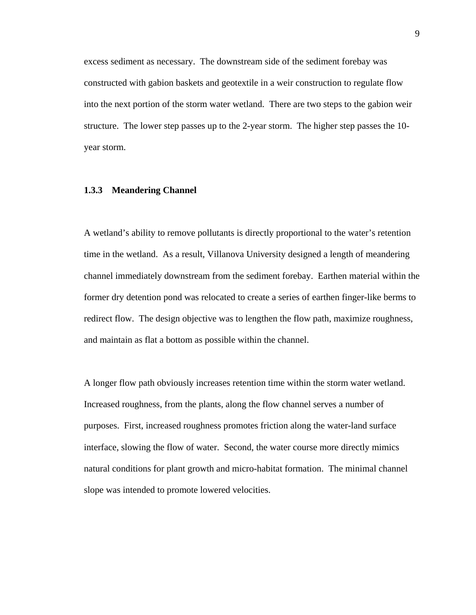excess sediment as necessary. The downstream side of the sediment forebay was constructed with gabion baskets and geotextile in a weir construction to regulate flow into the next portion of the storm water wetland. There are two steps to the gabion weir structure. The lower step passes up to the 2-year storm. The higher step passes the 10 year storm.

#### **1.3.3 Meandering Channel**

A wetland's ability to remove pollutants is directly proportional to the water's retention time in the wetland. As a result, Villanova University designed a length of meandering channel immediately downstream from the sediment forebay. Earthen material within the former dry detention pond was relocated to create a series of earthen finger-like berms to redirect flow. The design objective was to lengthen the flow path, maximize roughness, and maintain as flat a bottom as possible within the channel.

A longer flow path obviously increases retention time within the storm water wetland. Increased roughness, from the plants, along the flow channel serves a number of purposes. First, increased roughness promotes friction along the water-land surface interface, slowing the flow of water. Second, the water course more directly mimics natural conditions for plant growth and micro-habitat formation. The minimal channel slope was intended to promote lowered velocities.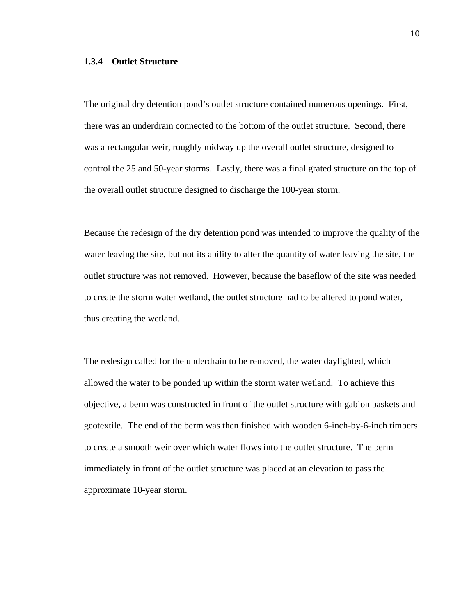#### **1.3.4 Outlet Structure**

The original dry detention pond's outlet structure contained numerous openings. First, there was an underdrain connected to the bottom of the outlet structure. Second, there was a rectangular weir, roughly midway up the overall outlet structure, designed to control the 25 and 50-year storms. Lastly, there was a final grated structure on the top of the overall outlet structure designed to discharge the 100-year storm.

Because the redesign of the dry detention pond was intended to improve the quality of the water leaving the site, but not its ability to alter the quantity of water leaving the site, the outlet structure was not removed. However, because the baseflow of the site was needed to create the storm water wetland, the outlet structure had to be altered to pond water, thus creating the wetland.

The redesign called for the underdrain to be removed, the water daylighted, which allowed the water to be ponded up within the storm water wetland. To achieve this objective, a berm was constructed in front of the outlet structure with gabion baskets and geotextile. The end of the berm was then finished with wooden 6-inch-by-6-inch timbers to create a smooth weir over which water flows into the outlet structure. The berm immediately in front of the outlet structure was placed at an elevation to pass the approximate 10-year storm.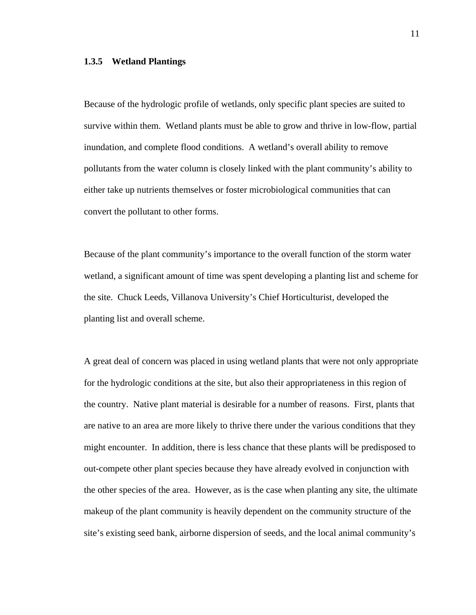#### **1.3.5 Wetland Plantings**

Because of the hydrologic profile of wetlands, only specific plant species are suited to survive within them. Wetland plants must be able to grow and thrive in low-flow, partial inundation, and complete flood conditions. A wetland's overall ability to remove pollutants from the water column is closely linked with the plant community's ability to either take up nutrients themselves or foster microbiological communities that can convert the pollutant to other forms.

Because of the plant community's importance to the overall function of the storm water wetland, a significant amount of time was spent developing a planting list and scheme for the site. Chuck Leeds, Villanova University's Chief Horticulturist, developed the planting list and overall scheme.

A great deal of concern was placed in using wetland plants that were not only appropriate for the hydrologic conditions at the site, but also their appropriateness in this region of the country. Native plant material is desirable for a number of reasons. First, plants that are native to an area are more likely to thrive there under the various conditions that they might encounter. In addition, there is less chance that these plants will be predisposed to out-compete other plant species because they have already evolved in conjunction with the other species of the area. However, as is the case when planting any site, the ultimate makeup of the plant community is heavily dependent on the community structure of the site's existing seed bank, airborne dispersion of seeds, and the local animal community's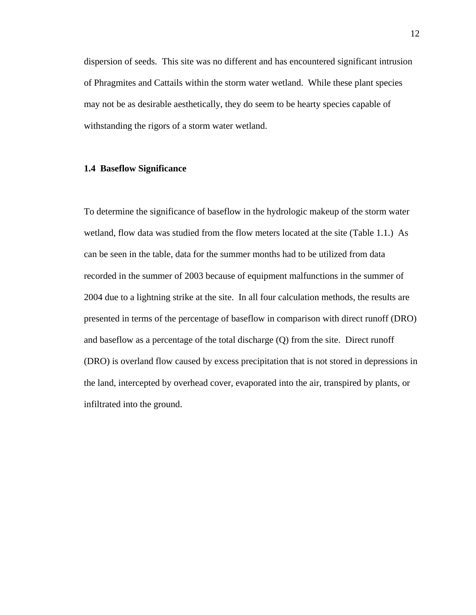dispersion of seeds. This site was no different and has encountered significant intrusion of Phragmites and Cattails within the storm water wetland. While these plant species may not be as desirable aesthetically, they do seem to be hearty species capable of withstanding the rigors of a storm water wetland.

#### **1.4 Baseflow Significance**

To determine the significance of baseflow in the hydrologic makeup of the storm water wetland, flow data was studied from the flow meters located at the site (Table 1.1.) As can be seen in the table, data for the summer months had to be utilized from data recorded in the summer of 2003 because of equipment malfunctions in the summer of 2004 due to a lightning strike at the site. In all four calculation methods, the results are presented in terms of the percentage of baseflow in comparison with direct runoff (DRO) and baseflow as a percentage of the total discharge (Q) from the site. Direct runoff (DRO) is overland flow caused by excess precipitation that is not stored in depressions in the land, intercepted by overhead cover, evaporated into the air, transpired by plants, or infiltrated into the ground.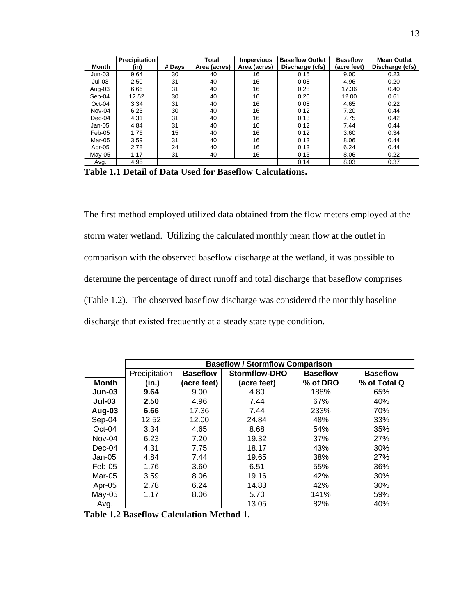|          | Precipitation |        | Total        | <b>Impervious</b> | <b>Baseflow Outlet</b> | <b>Baseflow</b> | <b>Mean Outlet</b> |
|----------|---------------|--------|--------------|-------------------|------------------------|-----------------|--------------------|
| Month    | (in)          | # Days | Area (acres) | Area (acres)      | Discharge (cfs)        | (acre feet)     | Discharge (cfs)    |
| Jun-03   | 9.64          | 30     | 40           | 16                | 0.15                   | 9.00            | 0.23               |
| $Jul-03$ | 2.50          | 31     | 40           | 16                | 0.08                   | 4.96            | 0.20               |
| Aug-03   | 6.66          | 31     | 40           | 16                | 0.28                   | 17.36           | 0.40               |
| Sep-04   | 12.52         | 30     | 40           | 16                | 0.20                   | 12.00           | 0.61               |
| $Oct-04$ | 3.34          | 31     | 40           | 16                | 0.08                   | 4.65            | 0.22               |
| Nov-04   | 6.23          | 30     | 40           | 16                | 0.12                   | 7.20            | 0.44               |
| $Dec-04$ | 4.31          | 31     | 40           | 16                | 0.13                   | 7.75            | 0.42               |
| Jan-05   | 4.84          | 31     | 40           | 16                | 0.12                   | 7.44            | 0.44               |
| Feb-05   | 1.76          | 15     | 40           | 16                | 0.12                   | 3.60            | 0.34               |
| Mar-05   | 3.59          | 31     | 40           | 16                | 0.13                   | 8.06            | 0.44               |
| Apr-05   | 2.78          | 24     | 40           | 16                | 0.13                   | 6.24            | 0.44               |
| Mav-05   | 1.17          | 31     | 40           | 16                | 0.13                   | 8.06            | 0.22               |
| Avg.     | 4.95          |        |              |                   | 0.14                   | 8.03            | 0.37               |

**Table 1.1 Detail of Data Used for Baseflow Calculations.**

The first method employed utilized data obtained from the flow meters employed at the storm water wetland. Utilizing the calculated monthly mean flow at the outlet in comparison with the observed baseflow discharge at the wetland, it was possible to determine the percentage of direct runoff and total discharge that baseflow comprises (Table 1.2). The observed baseflow discharge was considered the monthly baseline discharge that existed frequently at a steady state type condition.

|              | <b>Baseflow / Stormflow Comparison</b> |                 |               |                 |                 |  |  |
|--------------|----------------------------------------|-----------------|---------------|-----------------|-----------------|--|--|
|              | Precipitation                          | <b>Baseflow</b> | Stormflow-DRO | <b>Baseflow</b> | <b>Baseflow</b> |  |  |
| <b>Month</b> | (in.)                                  | (acre feet)     | (acre feet)   | % of DRO        | % of Total Q    |  |  |
| $Jun-03$     | 9.64                                   | 9.00            | 4.80          | 188%            | 65%             |  |  |
| $Jul-03$     | 2.50                                   | 4.96            | 7.44          | 67%             | 40%             |  |  |
| Aug-03       | 6.66                                   | 17.36           | 7.44          | 233%            | 70%             |  |  |
| Sep-04       | 12.52                                  | 12.00           | 24.84         | 48%             | 33%             |  |  |
| $Oct-04$     | 3.34                                   | 4.65            | 8.68          | 54%             | 35%             |  |  |
| Nov-04       | 6.23                                   | 7.20            | 19.32         | 37%             | 27%             |  |  |
| $Dec-04$     | 4.31                                   | 7.75            | 18.17         | 43%             | 30%             |  |  |
| $Jan-05$     | 4.84                                   | 7.44            | 19.65         | 38%             | 27%             |  |  |
| $Feb-05$     | 1.76                                   | 3.60            | 6.51          | 55%             | 36%             |  |  |
| Mar-05       | 3.59                                   | 8.06            | 19.16         | 42%             | 30%             |  |  |
| Apr-05       | 2.78                                   | 6.24            | 14.83         | 42%             | 30%             |  |  |
| $May-05$     | 1.17                                   | 8.06            | 5.70          | 141%            | 59%             |  |  |
| Avg.         |                                        |                 | 13.05         | 82%             | 40%             |  |  |

**Table 1.2 Baseflow Calculation Method 1.**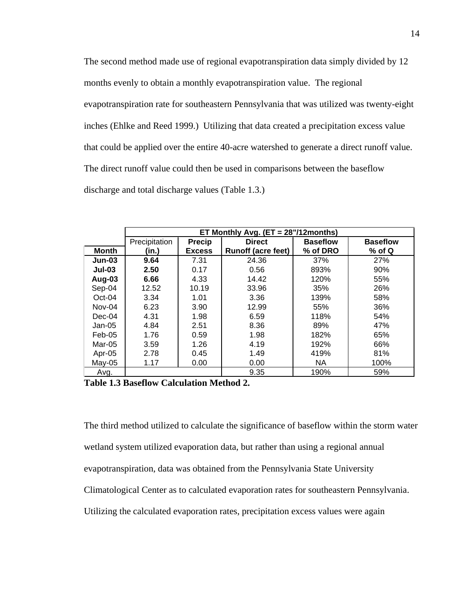The second method made use of regional evapotranspiration data simply divided by 12 months evenly to obtain a monthly evapotranspiration value. The regional evapotranspiration rate for southeastern Pennsylvania that was utilized was twenty-eight inches (Ehlke and Reed 1999.) Utilizing that data created a precipitation excess value that could be applied over the entire 40-acre watershed to generate a direct runoff value. The direct runoff value could then be used in comparisons between the baseflow discharge and total discharge values (Table 1.3.)

|              | ET Monthly Avg. $(ET = 28" / 12$ months) |               |                           |                 |                 |  |  |
|--------------|------------------------------------------|---------------|---------------------------|-----------------|-----------------|--|--|
|              | Precipitation                            | <b>Precip</b> | <b>Direct</b>             | <b>Baseflow</b> | <b>Baseflow</b> |  |  |
| <b>Month</b> | (in.)                                    | <b>Excess</b> | <b>Runoff (acre feet)</b> | % of DRO        | $%$ of Q        |  |  |
| $Jun-03$     | 9.64                                     | 7.31          | 24.36                     | 37%             | 27%             |  |  |
| $Jul-03$     | 2.50                                     | 0.17          | 0.56                      | 893%            | 90%             |  |  |
| Aug-03       | 6.66                                     | 4.33          | 14.42                     | 120%            | 55%             |  |  |
| Sep-04       | 12.52                                    | 10.19         | 33.96                     | 35%             | 26%             |  |  |
| $Oct-04$     | 3.34                                     | 1.01          | 3.36                      | 139%            | 58%             |  |  |
| Nov-04       | 6.23                                     | 3.90          | 12.99                     | 55%             | 36%             |  |  |
| $Dec-04$     | 4.31                                     | 1.98          | 6.59                      | 118%            | 54%             |  |  |
| Jan-05       | 4.84                                     | 2.51          | 8.36                      | 89%             | 47%             |  |  |
| Feb-05       | 1.76                                     | 0.59          | 1.98                      | 182%            | 65%             |  |  |
| Mar-05       | 3.59                                     | 1.26          | 4.19                      | 192%            | 66%             |  |  |
| Apr-05       | 2.78                                     | 0.45          | 1.49                      | 419%            | 81%             |  |  |
| $May-05$     | 1.17                                     | 0.00          | 0.00                      | NA              | 100%            |  |  |
| Avg.         |                                          |               | 9.35                      | 190%            | 59%             |  |  |

**Table 1.3 Baseflow Calculation Method 2.**

The third method utilized to calculate the significance of baseflow within the storm water wetland system utilized evaporation data, but rather than using a regional annual evapotranspiration, data was obtained from the Pennsylvania State University Climatological Center as to calculated evaporation rates for southeastern Pennsylvania. Utilizing the calculated evaporation rates, precipitation excess values were again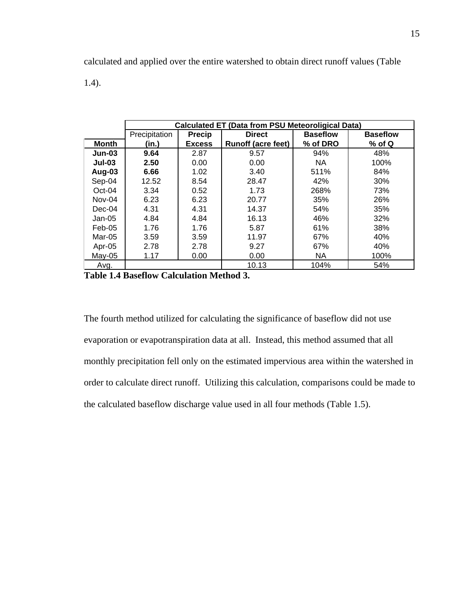calculated and applied over the entire watershed to obtain direct runoff values (Table

1.4).

|               | <b>Calculated ET (Data from PSU Meteoroligical Data)</b> |               |                           |                 |                 |  |
|---------------|----------------------------------------------------------|---------------|---------------------------|-----------------|-----------------|--|
|               | Precipitation                                            | <b>Precip</b> | <b>Direct</b>             | <b>Baseflow</b> | <b>Baseflow</b> |  |
| <b>Month</b>  | (in.)                                                    | <b>Excess</b> | <b>Runoff (acre feet)</b> | % of DRO        | $%$ of Q        |  |
| $Jun-03$      | 9.64                                                     | 2.87          | 9.57                      | 94%             | 48%             |  |
| <b>Jul-03</b> | 2.50                                                     | 0.00          | 0.00                      | NA.             | 100%            |  |
| Aug-03        | 6.66                                                     | 1.02          | 3.40                      | 511%            | 84%             |  |
| Sep-04        | 12.52                                                    | 8.54          | 28.47                     | 42%             | 30%             |  |
| $Oct-04$      | 3.34                                                     | 0.52          | 1.73                      | 268%            | 73%             |  |
| Nov-04        | 6.23                                                     | 6.23          | 20.77                     | 35%             | 26%             |  |
| $Dec-04$      | 4.31                                                     | 4.31          | 14.37                     | 54%             | 35%             |  |
| $Jan-05$      | 4.84                                                     | 4.84          | 16.13                     | 46%             | 32%             |  |
| Feb-05        | 1.76                                                     | 1.76          | 5.87                      | 61%             | 38%             |  |
| Mar-05        | 3.59                                                     | 3.59          | 11.97                     | 67%             | 40%             |  |
| Apr-05        | 2.78                                                     | 2.78          | 9.27                      | 67%             | 40%             |  |
| May-05        | 1.17                                                     | 0.00          | 0.00                      | NA.             | 100%            |  |
| Avg.          |                                                          |               | 10.13                     | 104%            | 54%             |  |

**Table 1.4 Baseflow Calculation Method 3.** 

The fourth method utilized for calculating the significance of baseflow did not use evaporation or evapotranspiration data at all. Instead, this method assumed that all monthly precipitation fell only on the estimated impervious area within the watershed in order to calculate direct runoff. Utilizing this calculation, comparisons could be made to the calculated baseflow discharge value used in all four methods (Table 1.5).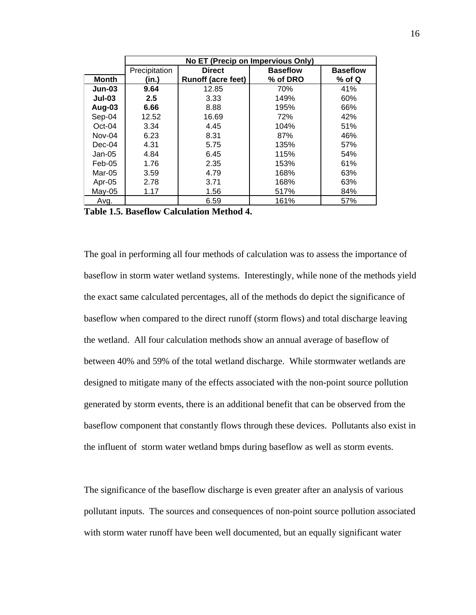|              | No ET (Precip on Impervious Only) |                           |                 |                 |  |  |  |
|--------------|-----------------------------------|---------------------------|-----------------|-----------------|--|--|--|
|              | Precipitation                     | <b>Direct</b>             | <b>Baseflow</b> | <b>Baseflow</b> |  |  |  |
| <b>Month</b> | (in.)                             | <b>Runoff (acre feet)</b> | % of DRO        | % of Q          |  |  |  |
| $Jun-03$     | 9.64                              | 12.85                     | 70%             | 41%             |  |  |  |
| $Jul-03$     | 2.5                               | 3.33                      | 149%            | 60%             |  |  |  |
| Aug-03       | 6.66                              | 8.88                      | 195%            | 66%             |  |  |  |
| Sep-04       | 12.52                             | 16.69                     | 72%             | 42%             |  |  |  |
| $Oct-04$     | 3.34                              | 4.45                      | 104%            | 51%             |  |  |  |
| Nov-04       | 6.23                              | 8.31                      | 87%             | 46%             |  |  |  |
| $Dec-04$     | 4.31                              | 5.75                      | 135%            | 57%             |  |  |  |
| $Jan-05$     | 4.84                              | 6.45                      | 115%            | 54%             |  |  |  |
| $Feb-05$     | 1.76                              | 2.35                      | 153%            | 61%             |  |  |  |
| Mar-05       | 3.59                              | 4.79                      | 168%            | 63%             |  |  |  |
| Apr-05       | 2.78                              | 3.71                      | 168%            | 63%             |  |  |  |
| May-05       | 1.17                              | 1.56                      | 517%            | 84%             |  |  |  |
| Avg.         |                                   | 6.59                      | 161%            | 57%             |  |  |  |

**Table 1.5. Baseflow Calculation Method 4.** 

The goal in performing all four methods of calculation was to assess the importance of baseflow in storm water wetland systems. Interestingly, while none of the methods yield the exact same calculated percentages, all of the methods do depict the significance of baseflow when compared to the direct runoff (storm flows) and total discharge leaving the wetland. All four calculation methods show an annual average of baseflow of between 40% and 59% of the total wetland discharge. While stormwater wetlands are designed to mitigate many of the effects associated with the non-point source pollution generated by storm events, there is an additional benefit that can be observed from the baseflow component that constantly flows through these devices. Pollutants also exist in the influent of storm water wetland bmps during baseflow as well as storm events.

The significance of the baseflow discharge is even greater after an analysis of various pollutant inputs. The sources and consequences of non-point source pollution associated with storm water runoff have been well documented, but an equally significant water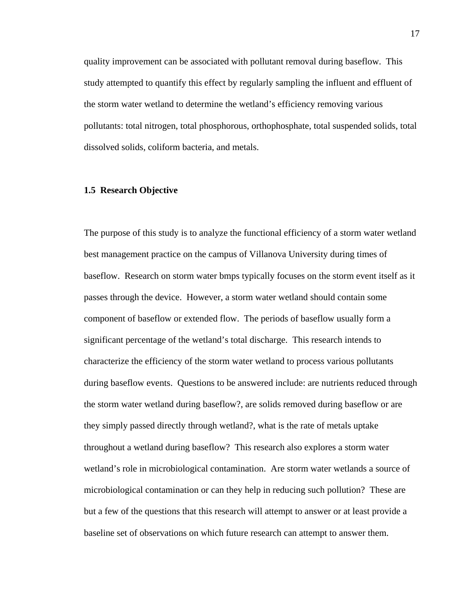quality improvement can be associated with pollutant removal during baseflow. This study attempted to quantify this effect by regularly sampling the influent and effluent of the storm water wetland to determine the wetland's efficiency removing various pollutants: total nitrogen, total phosphorous, orthophosphate, total suspended solids, total dissolved solids, coliform bacteria, and metals.

#### **1.5 Research Objective**

The purpose of this study is to analyze the functional efficiency of a storm water wetland best management practice on the campus of Villanova University during times of baseflow. Research on storm water bmps typically focuses on the storm event itself as it passes through the device. However, a storm water wetland should contain some component of baseflow or extended flow. The periods of baseflow usually form a significant percentage of the wetland's total discharge. This research intends to characterize the efficiency of the storm water wetland to process various pollutants during baseflow events. Questions to be answered include: are nutrients reduced through the storm water wetland during baseflow?, are solids removed during baseflow or are they simply passed directly through wetland?, what is the rate of metals uptake throughout a wetland during baseflow? This research also explores a storm water wetland's role in microbiological contamination. Are storm water wetlands a source of microbiological contamination or can they help in reducing such pollution? These are but a few of the questions that this research will attempt to answer or at least provide a baseline set of observations on which future research can attempt to answer them.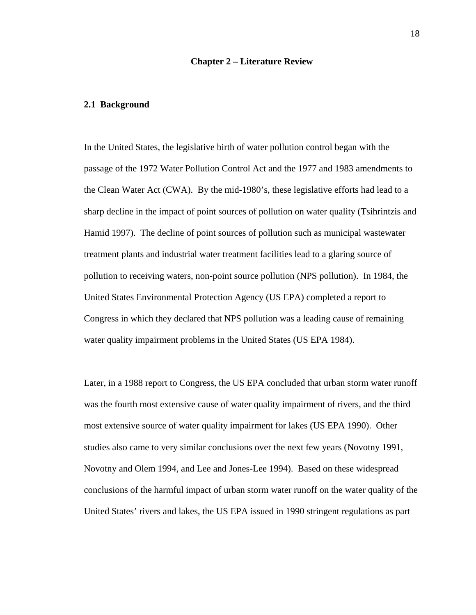#### **Chapter 2 – Literature Review**

#### **2.1 Background**

In the United States, the legislative birth of water pollution control began with the passage of the 1972 Water Pollution Control Act and the 1977 and 1983 amendments to the Clean Water Act (CWA). By the mid-1980's, these legislative efforts had lead to a sharp decline in the impact of point sources of pollution on water quality (Tsihrintzis and Hamid 1997). The decline of point sources of pollution such as municipal wastewater treatment plants and industrial water treatment facilities lead to a glaring source of pollution to receiving waters, non-point source pollution (NPS pollution). In 1984, the United States Environmental Protection Agency (US EPA) completed a report to Congress in which they declared that NPS pollution was a leading cause of remaining water quality impairment problems in the United States (US EPA 1984).

Later, in a 1988 report to Congress, the US EPA concluded that urban storm water runoff was the fourth most extensive cause of water quality impairment of rivers, and the third most extensive source of water quality impairment for lakes (US EPA 1990). Other studies also came to very similar conclusions over the next few years (Novotny 1991, Novotny and Olem 1994, and Lee and Jones-Lee 1994). Based on these widespread conclusions of the harmful impact of urban storm water runoff on the water quality of the United States' rivers and lakes, the US EPA issued in 1990 stringent regulations as part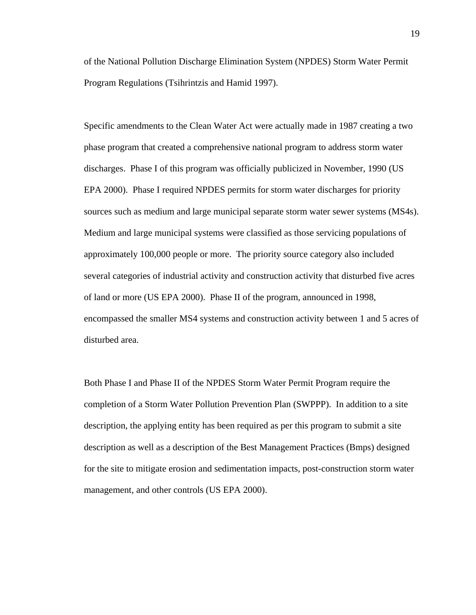of the National Pollution Discharge Elimination System (NPDES) Storm Water Permit Program Regulations (Tsihrintzis and Hamid 1997).

Specific amendments to the Clean Water Act were actually made in 1987 creating a two phase program that created a comprehensive national program to address storm water discharges. Phase I of this program was officially publicized in November, 1990 (US EPA 2000). Phase I required NPDES permits for storm water discharges for priority sources such as medium and large municipal separate storm water sewer systems (MS4s). Medium and large municipal systems were classified as those servicing populations of approximately 100,000 people or more. The priority source category also included several categories of industrial activity and construction activity that disturbed five acres of land or more (US EPA 2000). Phase II of the program, announced in 1998, encompassed the smaller MS4 systems and construction activity between 1 and 5 acres of disturbed area.

Both Phase I and Phase II of the NPDES Storm Water Permit Program require the completion of a Storm Water Pollution Prevention Plan (SWPPP). In addition to a site description, the applying entity has been required as per this program to submit a site description as well as a description of the Best Management Practices (Bmps) designed for the site to mitigate erosion and sedimentation impacts, post-construction storm water management, and other controls (US EPA 2000).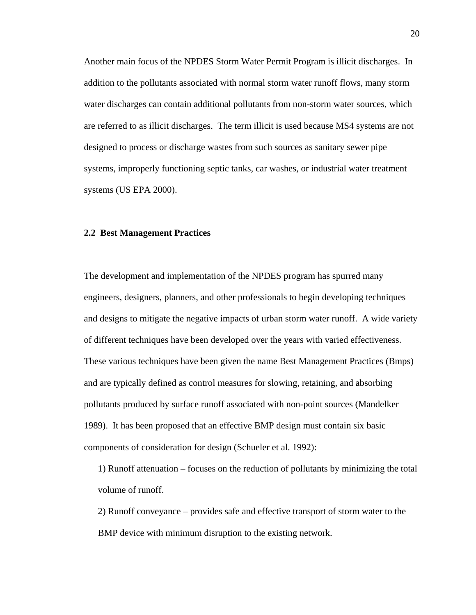Another main focus of the NPDES Storm Water Permit Program is illicit discharges. In addition to the pollutants associated with normal storm water runoff flows, many storm water discharges can contain additional pollutants from non-storm water sources, which are referred to as illicit discharges. The term illicit is used because MS4 systems are not designed to process or discharge wastes from such sources as sanitary sewer pipe systems, improperly functioning septic tanks, car washes, or industrial water treatment systems (US EPA 2000).

#### **2.2 Best Management Practices**

The development and implementation of the NPDES program has spurred many engineers, designers, planners, and other professionals to begin developing techniques and designs to mitigate the negative impacts of urban storm water runoff. A wide variety of different techniques have been developed over the years with varied effectiveness. These various techniques have been given the name Best Management Practices (Bmps) and are typically defined as control measures for slowing, retaining, and absorbing pollutants produced by surface runoff associated with non-point sources (Mandelker 1989). It has been proposed that an effective BMP design must contain six basic components of consideration for design (Schueler et al. 1992):

1) Runoff attenuation – focuses on the reduction of pollutants by minimizing the total volume of runoff.

2) Runoff conveyance – provides safe and effective transport of storm water to the BMP device with minimum disruption to the existing network.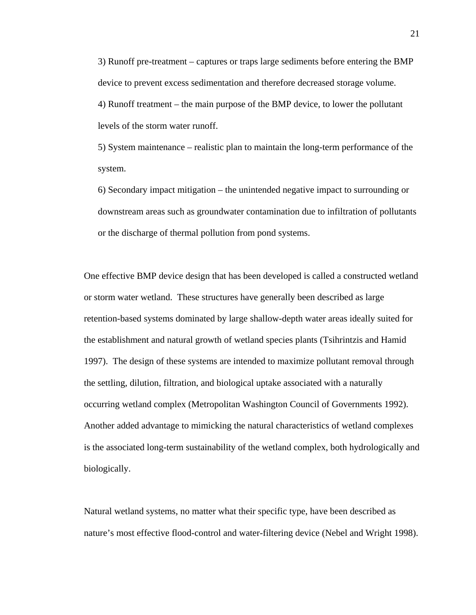3) Runoff pre-treatment – captures or traps large sediments before entering the BMP device to prevent excess sedimentation and therefore decreased storage volume. 4) Runoff treatment – the main purpose of the BMP device, to lower the pollutant levels of the storm water runoff.

5) System maintenance – realistic plan to maintain the long-term performance of the system.

6) Secondary impact mitigation – the unintended negative impact to surrounding or downstream areas such as groundwater contamination due to infiltration of pollutants or the discharge of thermal pollution from pond systems.

One effective BMP device design that has been developed is called a constructed wetland or storm water wetland. These structures have generally been described as large retention-based systems dominated by large shallow-depth water areas ideally suited for the establishment and natural growth of wetland species plants (Tsihrintzis and Hamid 1997). The design of these systems are intended to maximize pollutant removal through the settling, dilution, filtration, and biological uptake associated with a naturally occurring wetland complex (Metropolitan Washington Council of Governments 1992). Another added advantage to mimicking the natural characteristics of wetland complexes is the associated long-term sustainability of the wetland complex, both hydrologically and biologically.

Natural wetland systems, no matter what their specific type, have been described as nature's most effective flood-control and water-filtering device (Nebel and Wright 1998).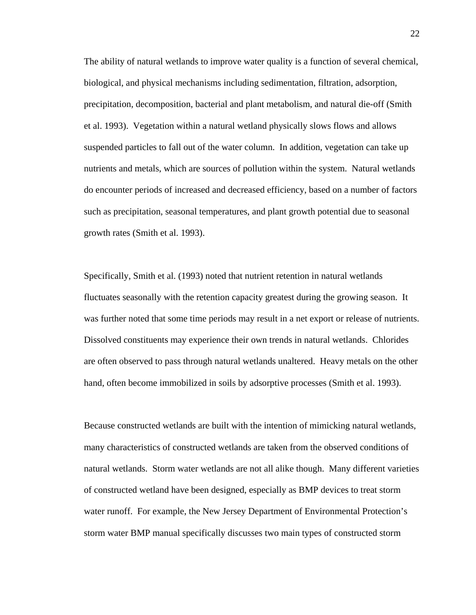The ability of natural wetlands to improve water quality is a function of several chemical, biological, and physical mechanisms including sedimentation, filtration, adsorption, precipitation, decomposition, bacterial and plant metabolism, and natural die-off (Smith et al. 1993). Vegetation within a natural wetland physically slows flows and allows suspended particles to fall out of the water column. In addition, vegetation can take up nutrients and metals, which are sources of pollution within the system. Natural wetlands do encounter periods of increased and decreased efficiency, based on a number of factors such as precipitation, seasonal temperatures, and plant growth potential due to seasonal growth rates (Smith et al. 1993).

Specifically, Smith et al. (1993) noted that nutrient retention in natural wetlands fluctuates seasonally with the retention capacity greatest during the growing season. It was further noted that some time periods may result in a net export or release of nutrients. Dissolved constituents may experience their own trends in natural wetlands. Chlorides are often observed to pass through natural wetlands unaltered. Heavy metals on the other hand, often become immobilized in soils by adsorptive processes (Smith et al. 1993).

Because constructed wetlands are built with the intention of mimicking natural wetlands, many characteristics of constructed wetlands are taken from the observed conditions of natural wetlands. Storm water wetlands are not all alike though. Many different varieties of constructed wetland have been designed, especially as BMP devices to treat storm water runoff. For example, the New Jersey Department of Environmental Protection's storm water BMP manual specifically discusses two main types of constructed storm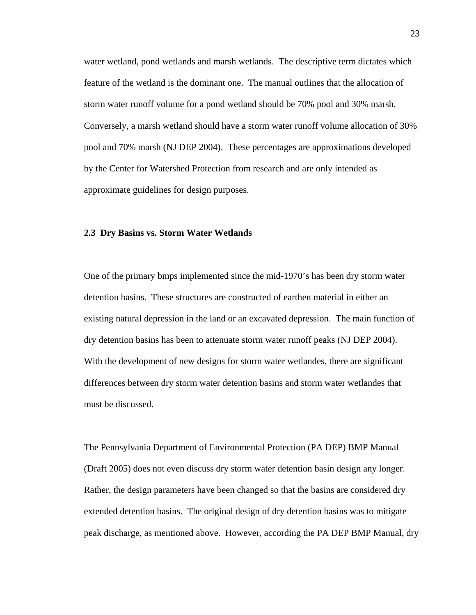water wetland, pond wetlands and marsh wetlands. The descriptive term dictates which feature of the wetland is the dominant one. The manual outlines that the allocation of storm water runoff volume for a pond wetland should be 70% pool and 30% marsh. Conversely, a marsh wetland should have a storm water runoff volume allocation of 30% pool and 70% marsh (NJ DEP 2004). These percentages are approximations developed by the Center for Watershed Protection from research and are only intended as approximate guidelines for design purposes.

#### **2.3 Dry Basins vs. Storm Water Wetlands**

One of the primary bmps implemented since the mid-1970's has been dry storm water detention basins. These structures are constructed of earthen material in either an existing natural depression in the land or an excavated depression. The main function of dry detention basins has been to attenuate storm water runoff peaks (NJ DEP 2004). With the development of new designs for storm water wetlandes, there are significant differences between dry storm water detention basins and storm water wetlandes that must be discussed.

The Pennsylvania Department of Environmental Protection (PA DEP) BMP Manual (Draft 2005) does not even discuss dry storm water detention basin design any longer. Rather, the design parameters have been changed so that the basins are considered dry extended detention basins. The original design of dry detention basins was to mitigate peak discharge, as mentioned above. However, according the PA DEP BMP Manual, dry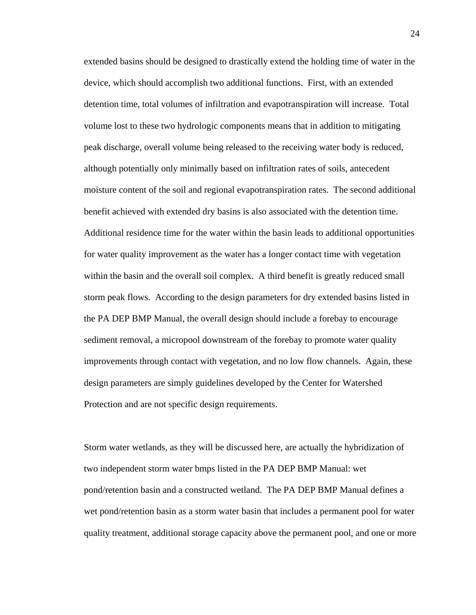extended basins should be designed to drastically extend the holding time of water in the device, which should accomplish two additional functions. First, with an extended detention time, total volumes of infiltration and evapotranspiration will increase. Total volume lost to these two hydrologic components means that in addition to mitigating peak discharge, overall volume being released to the receiving water body is reduced, although potentially only minimally based on infiltration rates of soils, antecedent moisture content of the soil and regional evapotranspiration rates. The second additional benefit achieved with extended dry basins is also associated with the detention time. Additional residence time for the water within the basin leads to additional opportunities for water quality improvement as the water has a longer contact time with vegetation within the basin and the overall soil complex. A third benefit is greatly reduced small storm peak flows. According to the design parameters for dry extended basins listed in the PA DEP BMP Manual, the overall design should include a forebay to encourage sediment removal, a micropool downstream of the forebay to promote water quality improvements through contact with vegetation, and no low flow channels. Again, these design parameters are simply guidelines developed by the Center for Watershed Protection and are not specific design requirements.

Storm water wetlands, as they will be discussed here, are actually the hybridization of two independent storm water bmps listed in the PA DEP BMP Manual: wet pond/retention basin and a constructed wetland. The PA DEP BMP Manual defines a wet pond/retention basin as a storm water basin that includes a permanent pool for water quality treatment, additional storage capacity above the permanent pool, and one or more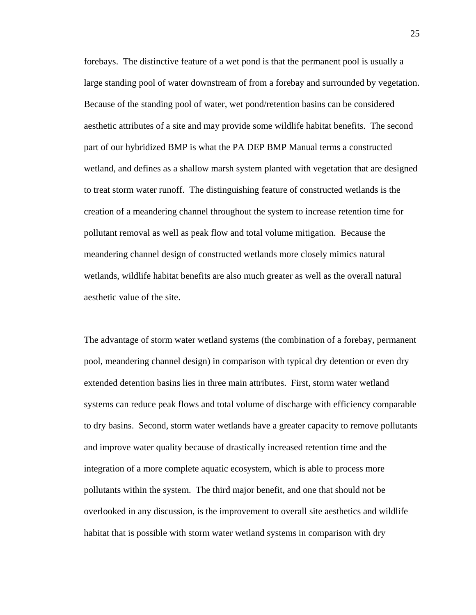forebays. The distinctive feature of a wet pond is that the permanent pool is usually a large standing pool of water downstream of from a forebay and surrounded by vegetation. Because of the standing pool of water, wet pond/retention basins can be considered aesthetic attributes of a site and may provide some wildlife habitat benefits. The second part of our hybridized BMP is what the PA DEP BMP Manual terms a constructed wetland, and defines as a shallow marsh system planted with vegetation that are designed to treat storm water runoff. The distinguishing feature of constructed wetlands is the creation of a meandering channel throughout the system to increase retention time for pollutant removal as well as peak flow and total volume mitigation. Because the meandering channel design of constructed wetlands more closely mimics natural wetlands, wildlife habitat benefits are also much greater as well as the overall natural aesthetic value of the site.

The advantage of storm water wetland systems (the combination of a forebay, permanent pool, meandering channel design) in comparison with typical dry detention or even dry extended detention basins lies in three main attributes. First, storm water wetland systems can reduce peak flows and total volume of discharge with efficiency comparable to dry basins. Second, storm water wetlands have a greater capacity to remove pollutants and improve water quality because of drastically increased retention time and the integration of a more complete aquatic ecosystem, which is able to process more pollutants within the system. The third major benefit, and one that should not be overlooked in any discussion, is the improvement to overall site aesthetics and wildlife habitat that is possible with storm water wetland systems in comparison with dry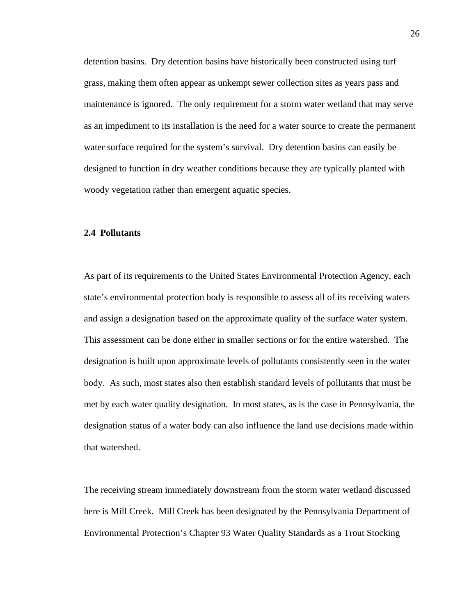detention basins. Dry detention basins have historically been constructed using turf grass, making them often appear as unkempt sewer collection sites as years pass and maintenance is ignored. The only requirement for a storm water wetland that may serve as an impediment to its installation is the need for a water source to create the permanent water surface required for the system's survival. Dry detention basins can easily be designed to function in dry weather conditions because they are typically planted with woody vegetation rather than emergent aquatic species.

# **2.4 Pollutants**

As part of its requirements to the United States Environmental Protection Agency, each state's environmental protection body is responsible to assess all of its receiving waters and assign a designation based on the approximate quality of the surface water system. This assessment can be done either in smaller sections or for the entire watershed. The designation is built upon approximate levels of pollutants consistently seen in the water body. As such, most states also then establish standard levels of pollutants that must be met by each water quality designation. In most states, as is the case in Pennsylvania, the designation status of a water body can also influence the land use decisions made within that watershed.

The receiving stream immediately downstream from the storm water wetland discussed here is Mill Creek. Mill Creek has been designated by the Pennsylvania Department of Environmental Protection's Chapter 93 Water Quality Standards as a Trout Stocking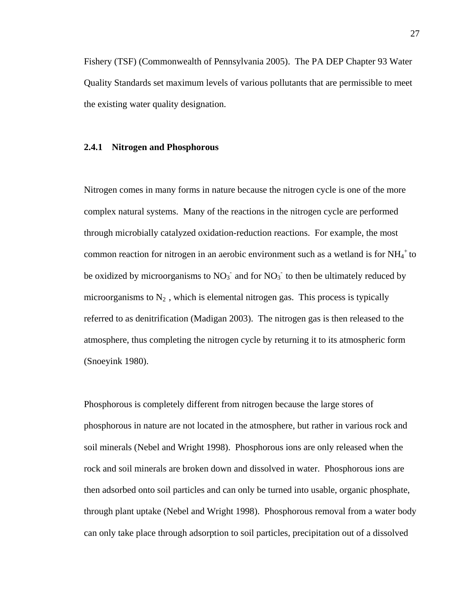Fishery (TSF) (Commonwealth of Pennsylvania 2005). The PA DEP Chapter 93 Water Quality Standards set maximum levels of various pollutants that are permissible to meet the existing water quality designation.

# **2.4.1 Nitrogen and Phosphorous**

Nitrogen comes in many forms in nature because the nitrogen cycle is one of the more complex natural systems. Many of the reactions in the nitrogen cycle are performed through microbially catalyzed oxidation-reduction reactions. For example, the most common reaction for nitrogen in an aerobic environment such as a wetland is for  $NH_4^+$  to be oxidized by microorganisms to  $NO_3^-$  and for  $NO_3^-$  to then be ultimately reduced by microorganisms to  $N_2$ , which is elemental nitrogen gas. This process is typically referred to as denitrification (Madigan 2003). The nitrogen gas is then released to the atmosphere, thus completing the nitrogen cycle by returning it to its atmospheric form (Snoeyink 1980).

Phosphorous is completely different from nitrogen because the large stores of phosphorous in nature are not located in the atmosphere, but rather in various rock and soil minerals (Nebel and Wright 1998). Phosphorous ions are only released when the rock and soil minerals are broken down and dissolved in water. Phosphorous ions are then adsorbed onto soil particles and can only be turned into usable, organic phosphate, through plant uptake (Nebel and Wright 1998). Phosphorous removal from a water body can only take place through adsorption to soil particles, precipitation out of a dissolved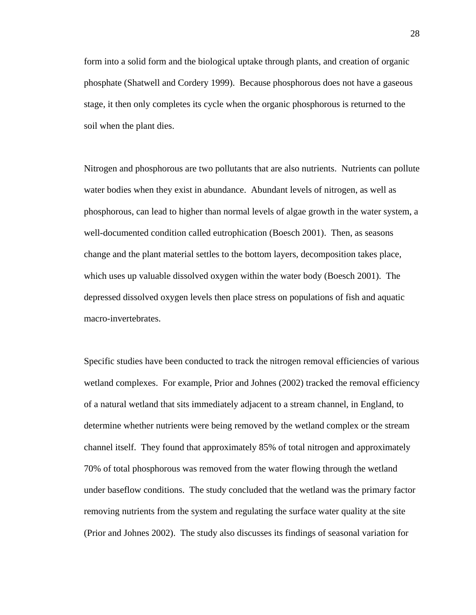form into a solid form and the biological uptake through plants, and creation of organic phosphate (Shatwell and Cordery 1999). Because phosphorous does not have a gaseous stage, it then only completes its cycle when the organic phosphorous is returned to the soil when the plant dies.

Nitrogen and phosphorous are two pollutants that are also nutrients. Nutrients can pollute water bodies when they exist in abundance. Abundant levels of nitrogen, as well as phosphorous, can lead to higher than normal levels of algae growth in the water system, a well-documented condition called eutrophication (Boesch 2001). Then, as seasons change and the plant material settles to the bottom layers, decomposition takes place, which uses up valuable dissolved oxygen within the water body (Boesch 2001). The depressed dissolved oxygen levels then place stress on populations of fish and aquatic macro-invertebrates.

Specific studies have been conducted to track the nitrogen removal efficiencies of various wetland complexes. For example, Prior and Johnes (2002) tracked the removal efficiency of a natural wetland that sits immediately adjacent to a stream channel, in England, to determine whether nutrients were being removed by the wetland complex or the stream channel itself. They found that approximately 85% of total nitrogen and approximately 70% of total phosphorous was removed from the water flowing through the wetland under baseflow conditions. The study concluded that the wetland was the primary factor removing nutrients from the system and regulating the surface water quality at the site (Prior and Johnes 2002). The study also discusses its findings of seasonal variation for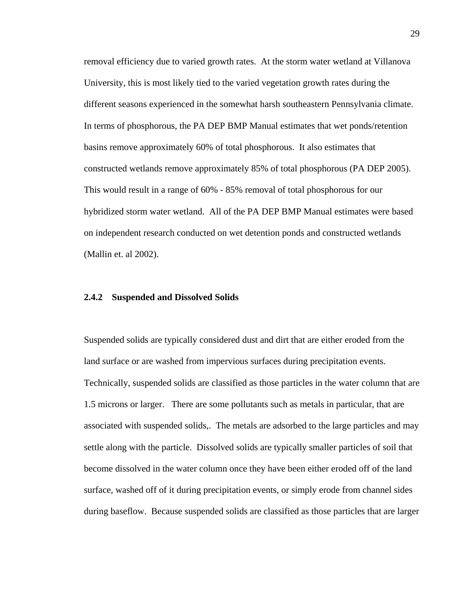removal efficiency due to varied growth rates. At the storm water wetland at Villanova University, this is most likely tied to the varied vegetation growth rates during the different seasons experienced in the somewhat harsh southeastern Pennsylvania climate. In terms of phosphorous, the PA DEP BMP Manual estimates that wet ponds/retention basins remove approximately 60% of total phosphorous. It also estimates that constructed wetlands remove approximately 85% of total phosphorous (PA DEP 2005). This would result in a range of 60% - 85% removal of total phosphorous for our hybridized storm water wetland. All of the PA DEP BMP Manual estimates were based on independent research conducted on wet detention ponds and constructed wetlands (Mallin et. al 2002).

#### **2.4.2 Suspended and Dissolved Solids**

Suspended solids are typically considered dust and dirt that are either eroded from the land surface or are washed from impervious surfaces during precipitation events. Technically, suspended solids are classified as those particles in the water column that are 1.5 microns or larger. There are some pollutants such as metals in particular, that are associated with suspended solids,. The metals are adsorbed to the large particles and may settle along with the particle. Dissolved solids are typically smaller particles of soil that become dissolved in the water column once they have been either eroded off of the land surface, washed off of it during precipitation events, or simply erode from channel sides during baseflow. Because suspended solids are classified as those particles that are larger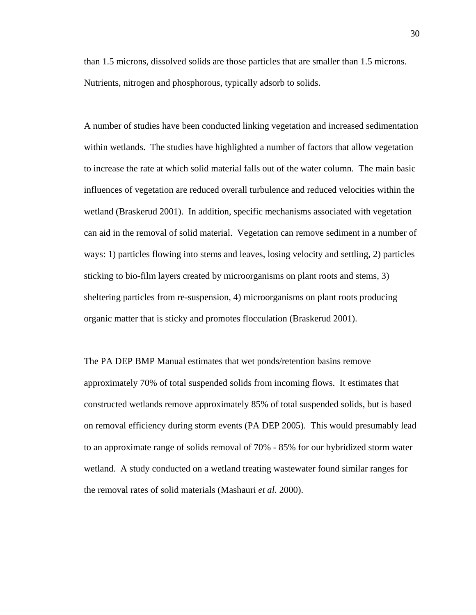than 1.5 microns, dissolved solids are those particles that are smaller than 1.5 microns. Nutrients, nitrogen and phosphorous, typically adsorb to solids.

A number of studies have been conducted linking vegetation and increased sedimentation within wetlands. The studies have highlighted a number of factors that allow vegetation to increase the rate at which solid material falls out of the water column. The main basic influences of vegetation are reduced overall turbulence and reduced velocities within the wetland (Braskerud 2001). In addition, specific mechanisms associated with vegetation can aid in the removal of solid material. Vegetation can remove sediment in a number of ways: 1) particles flowing into stems and leaves, losing velocity and settling, 2) particles sticking to bio-film layers created by microorganisms on plant roots and stems, 3) sheltering particles from re-suspension, 4) microorganisms on plant roots producing organic matter that is sticky and promotes flocculation (Braskerud 2001).

The PA DEP BMP Manual estimates that wet ponds/retention basins remove approximately 70% of total suspended solids from incoming flows. It estimates that constructed wetlands remove approximately 85% of total suspended solids, but is based on removal efficiency during storm events (PA DEP 2005). This would presumably lead to an approximate range of solids removal of 70% - 85% for our hybridized storm water wetland. A study conducted on a wetland treating wastewater found similar ranges for the removal rates of solid materials (Mashauri *et al*. 2000).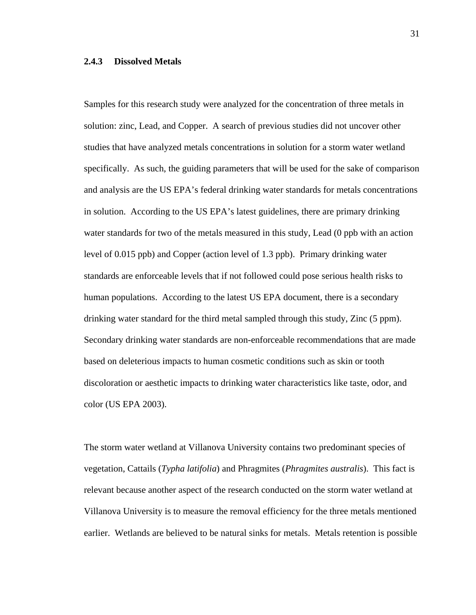# **2.4.3 Dissolved Metals**

Samples for this research study were analyzed for the concentration of three metals in solution: zinc, Lead, and Copper. A search of previous studies did not uncover other studies that have analyzed metals concentrations in solution for a storm water wetland specifically. As such, the guiding parameters that will be used for the sake of comparison and analysis are the US EPA's federal drinking water standards for metals concentrations in solution. According to the US EPA's latest guidelines, there are primary drinking water standards for two of the metals measured in this study, Lead (0 ppb with an action level of 0.015 ppb) and Copper (action level of 1.3 ppb). Primary drinking water standards are enforceable levels that if not followed could pose serious health risks to human populations. According to the latest US EPA document, there is a secondary drinking water standard for the third metal sampled through this study, Zinc (5 ppm). Secondary drinking water standards are non-enforceable recommendations that are made based on deleterious impacts to human cosmetic conditions such as skin or tooth discoloration or aesthetic impacts to drinking water characteristics like taste, odor, and color (US EPA 2003).

The storm water wetland at Villanova University contains two predominant species of vegetation, Cattails (*Typha latifolia*) and Phragmites (*Phragmites australis*). This fact is relevant because another aspect of the research conducted on the storm water wetland at Villanova University is to measure the removal efficiency for the three metals mentioned earlier. Wetlands are believed to be natural sinks for metals. Metals retention is possible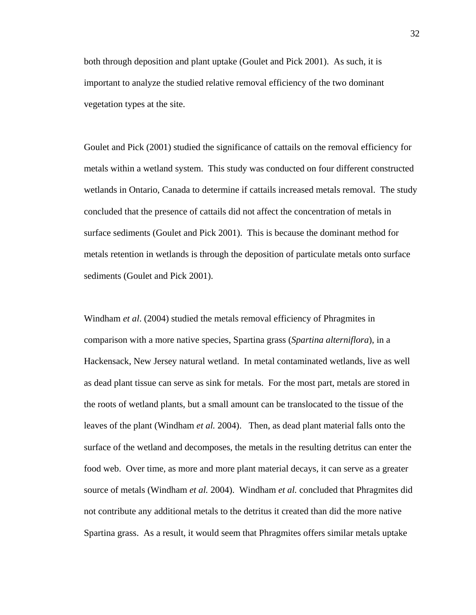both through deposition and plant uptake (Goulet and Pick 2001). As such, it is important to analyze the studied relative removal efficiency of the two dominant vegetation types at the site.

Goulet and Pick (2001) studied the significance of cattails on the removal efficiency for metals within a wetland system. This study was conducted on four different constructed wetlands in Ontario, Canada to determine if cattails increased metals removal. The study concluded that the presence of cattails did not affect the concentration of metals in surface sediments (Goulet and Pick 2001). This is because the dominant method for metals retention in wetlands is through the deposition of particulate metals onto surface sediments (Goulet and Pick 2001).

Windham *et al*. (2004) studied the metals removal efficiency of Phragmites in comparison with a more native species, Spartina grass (*Spartina alterniflora*), in a Hackensack, New Jersey natural wetland. In metal contaminated wetlands, live as well as dead plant tissue can serve as sink for metals. For the most part, metals are stored in the roots of wetland plants, but a small amount can be translocated to the tissue of the leaves of the plant (Windham *et al.* 2004). Then, as dead plant material falls onto the surface of the wetland and decomposes, the metals in the resulting detritus can enter the food web. Over time, as more and more plant material decays, it can serve as a greater source of metals (Windham *et al.* 2004). Windham *et al.* concluded that Phragmites did not contribute any additional metals to the detritus it created than did the more native Spartina grass. As a result, it would seem that Phragmites offers similar metals uptake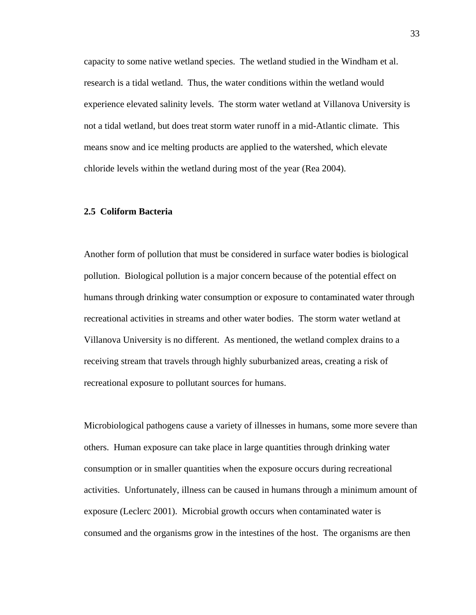capacity to some native wetland species. The wetland studied in the Windham et al. research is a tidal wetland. Thus, the water conditions within the wetland would experience elevated salinity levels. The storm water wetland at Villanova University is not a tidal wetland, but does treat storm water runoff in a mid-Atlantic climate. This means snow and ice melting products are applied to the watershed, which elevate chloride levels within the wetland during most of the year (Rea 2004).

# **2.5 Coliform Bacteria**

Another form of pollution that must be considered in surface water bodies is biological pollution. Biological pollution is a major concern because of the potential effect on humans through drinking water consumption or exposure to contaminated water through recreational activities in streams and other water bodies. The storm water wetland at Villanova University is no different. As mentioned, the wetland complex drains to a receiving stream that travels through highly suburbanized areas, creating a risk of recreational exposure to pollutant sources for humans.

Microbiological pathogens cause a variety of illnesses in humans, some more severe than others. Human exposure can take place in large quantities through drinking water consumption or in smaller quantities when the exposure occurs during recreational activities. Unfortunately, illness can be caused in humans through a minimum amount of exposure (Leclerc 2001). Microbial growth occurs when contaminated water is consumed and the organisms grow in the intestines of the host. The organisms are then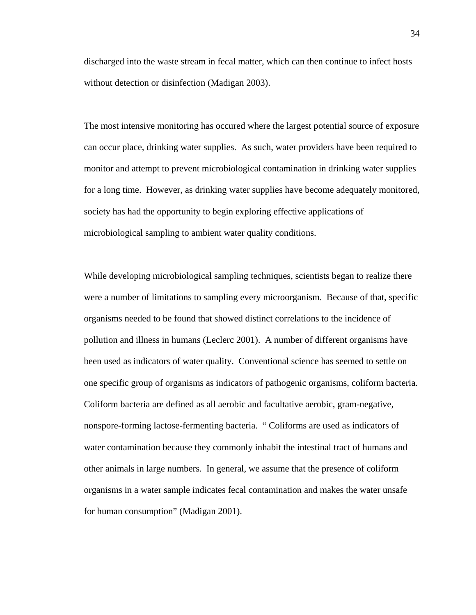discharged into the waste stream in fecal matter, which can then continue to infect hosts without detection or disinfection (Madigan 2003).

The most intensive monitoring has occured where the largest potential source of exposure can occur place, drinking water supplies. As such, water providers have been required to monitor and attempt to prevent microbiological contamination in drinking water supplies for a long time. However, as drinking water supplies have become adequately monitored, society has had the opportunity to begin exploring effective applications of microbiological sampling to ambient water quality conditions.

While developing microbiological sampling techniques, scientists began to realize there were a number of limitations to sampling every microorganism. Because of that, specific organisms needed to be found that showed distinct correlations to the incidence of pollution and illness in humans (Leclerc 2001). A number of different organisms have been used as indicators of water quality. Conventional science has seemed to settle on one specific group of organisms as indicators of pathogenic organisms, coliform bacteria. Coliform bacteria are defined as all aerobic and facultative aerobic, gram-negative, nonspore-forming lactose-fermenting bacteria. " Coliforms are used as indicators of water contamination because they commonly inhabit the intestinal tract of humans and other animals in large numbers. In general, we assume that the presence of coliform organisms in a water sample indicates fecal contamination and makes the water unsafe for human consumption" (Madigan 2001).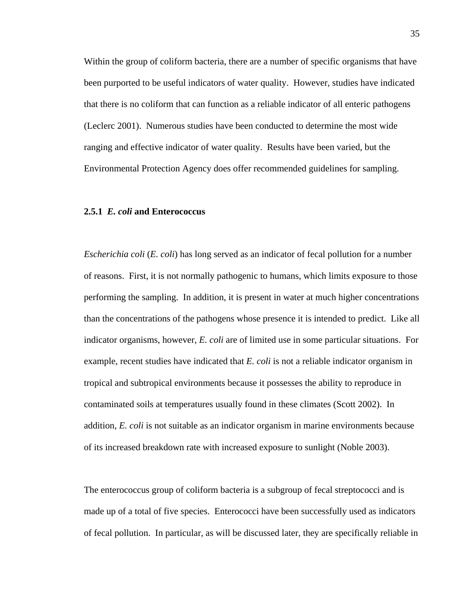Within the group of coliform bacteria, there are a number of specific organisms that have been purported to be useful indicators of water quality. However, studies have indicated that there is no coliform that can function as a reliable indicator of all enteric pathogens (Leclerc 2001). Numerous studies have been conducted to determine the most wide ranging and effective indicator of water quality. Results have been varied, but the Environmental Protection Agency does offer recommended guidelines for sampling.

#### **2.5.1** *E. coli* **and Enterococcus**

*Escherichia coli* (*E. coli*) has long served as an indicator of fecal pollution for a number of reasons. First, it is not normally pathogenic to humans, which limits exposure to those performing the sampling. In addition, it is present in water at much higher concentrations than the concentrations of the pathogens whose presence it is intended to predict. Like all indicator organisms, however, *E. coli* are of limited use in some particular situations. For example, recent studies have indicated that *E. coli* is not a reliable indicator organism in tropical and subtropical environments because it possesses the ability to reproduce in contaminated soils at temperatures usually found in these climates (Scott 2002). In addition, *E. coli* is not suitable as an indicator organism in marine environments because of its increased breakdown rate with increased exposure to sunlight (Noble 2003).

The enterococcus group of coliform bacteria is a subgroup of fecal streptococci and is made up of a total of five species. Enterococci have been successfully used as indicators of fecal pollution. In particular, as will be discussed later, they are specifically reliable in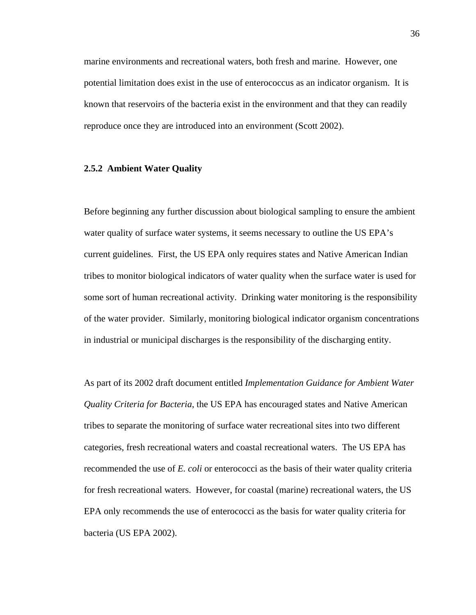marine environments and recreational waters, both fresh and marine. However, one potential limitation does exist in the use of enterococcus as an indicator organism. It is known that reservoirs of the bacteria exist in the environment and that they can readily reproduce once they are introduced into an environment (Scott 2002).

# **2.5.2 Ambient Water Quality**

Before beginning any further discussion about biological sampling to ensure the ambient water quality of surface water systems, it seems necessary to outline the US EPA's current guidelines. First, the US EPA only requires states and Native American Indian tribes to monitor biological indicators of water quality when the surface water is used for some sort of human recreational activity. Drinking water monitoring is the responsibility of the water provider. Similarly, monitoring biological indicator organism concentrations in industrial or municipal discharges is the responsibility of the discharging entity.

As part of its 2002 draft document entitled *Implementation Guidance for Ambient Water Quality Criteria for Bacteria*, the US EPA has encouraged states and Native American tribes to separate the monitoring of surface water recreational sites into two different categories, fresh recreational waters and coastal recreational waters. The US EPA has recommended the use of *E. coli* or enterococci as the basis of their water quality criteria for fresh recreational waters. However, for coastal (marine) recreational waters, the US EPA only recommends the use of enterococci as the basis for water quality criteria for bacteria (US EPA 2002).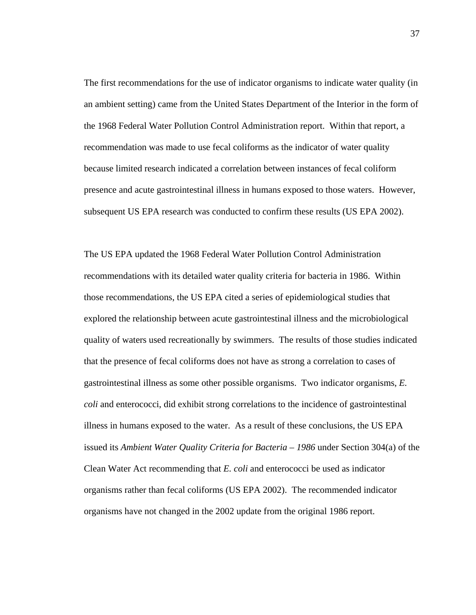The first recommendations for the use of indicator organisms to indicate water quality (in an ambient setting) came from the United States Department of the Interior in the form of the 1968 Federal Water Pollution Control Administration report. Within that report, a recommendation was made to use fecal coliforms as the indicator of water quality because limited research indicated a correlation between instances of fecal coliform presence and acute gastrointestinal illness in humans exposed to those waters. However, subsequent US EPA research was conducted to confirm these results (US EPA 2002).

The US EPA updated the 1968 Federal Water Pollution Control Administration recommendations with its detailed water quality criteria for bacteria in 1986. Within those recommendations, the US EPA cited a series of epidemiological studies that explored the relationship between acute gastrointestinal illness and the microbiological quality of waters used recreationally by swimmers. The results of those studies indicated that the presence of fecal coliforms does not have as strong a correlation to cases of gastrointestinal illness as some other possible organisms. Two indicator organisms, *E. coli* and enterococci, did exhibit strong correlations to the incidence of gastrointestinal illness in humans exposed to the water. As a result of these conclusions, the US EPA issued its *Ambient Water Quality Criteria for Bacteria – 1986* under Section 304(a) of the Clean Water Act recommending that *E. coli* and enterococci be used as indicator organisms rather than fecal coliforms (US EPA 2002). The recommended indicator organisms have not changed in the 2002 update from the original 1986 report.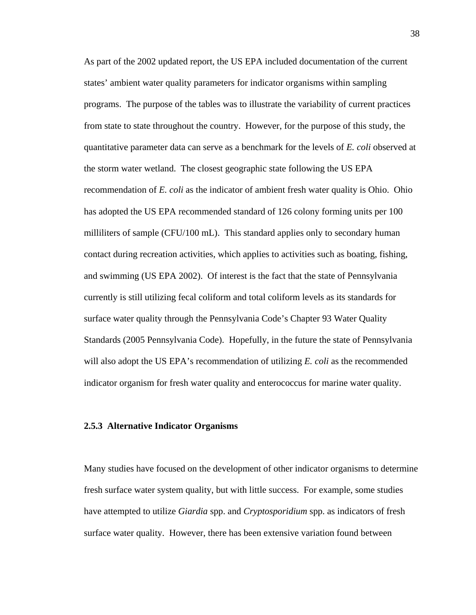As part of the 2002 updated report, the US EPA included documentation of the current states' ambient water quality parameters for indicator organisms within sampling programs. The purpose of the tables was to illustrate the variability of current practices from state to state throughout the country. However, for the purpose of this study, the quantitative parameter data can serve as a benchmark for the levels of *E. coli* observed at the storm water wetland. The closest geographic state following the US EPA recommendation of *E. coli* as the indicator of ambient fresh water quality is Ohio. Ohio has adopted the US EPA recommended standard of 126 colony forming units per 100 milliliters of sample (CFU/100 mL). This standard applies only to secondary human contact during recreation activities, which applies to activities such as boating, fishing, and swimming (US EPA 2002). Of interest is the fact that the state of Pennsylvania currently is still utilizing fecal coliform and total coliform levels as its standards for surface water quality through the Pennsylvania Code's Chapter 93 Water Quality Standards (2005 Pennsylvania Code). Hopefully, in the future the state of Pennsylvania will also adopt the US EPA's recommendation of utilizing *E. coli* as the recommended indicator organism for fresh water quality and enterococcus for marine water quality.

#### **2.5.3 Alternative Indicator Organisms**

Many studies have focused on the development of other indicator organisms to determine fresh surface water system quality, but with little success. For example, some studies have attempted to utilize *Giardia* spp. and *Cryptosporidium* spp. as indicators of fresh surface water quality. However, there has been extensive variation found between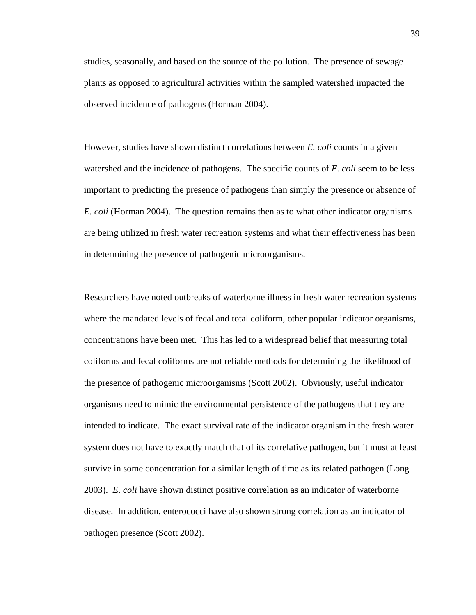studies, seasonally, and based on the source of the pollution. The presence of sewage plants as opposed to agricultural activities within the sampled watershed impacted the observed incidence of pathogens (Horman 2004).

However, studies have shown distinct correlations between *E. coli* counts in a given watershed and the incidence of pathogens. The specific counts of *E. coli* seem to be less important to predicting the presence of pathogens than simply the presence or absence of *E. coli* (Horman 2004). The question remains then as to what other indicator organisms are being utilized in fresh water recreation systems and what their effectiveness has been in determining the presence of pathogenic microorganisms.

Researchers have noted outbreaks of waterborne illness in fresh water recreation systems where the mandated levels of fecal and total coliform, other popular indicator organisms, concentrations have been met. This has led to a widespread belief that measuring total coliforms and fecal coliforms are not reliable methods for determining the likelihood of the presence of pathogenic microorganisms (Scott 2002). Obviously, useful indicator organisms need to mimic the environmental persistence of the pathogens that they are intended to indicate. The exact survival rate of the indicator organism in the fresh water system does not have to exactly match that of its correlative pathogen, but it must at least survive in some concentration for a similar length of time as its related pathogen (Long 2003). *E. coli* have shown distinct positive correlation as an indicator of waterborne disease. In addition, enterococci have also shown strong correlation as an indicator of pathogen presence (Scott 2002).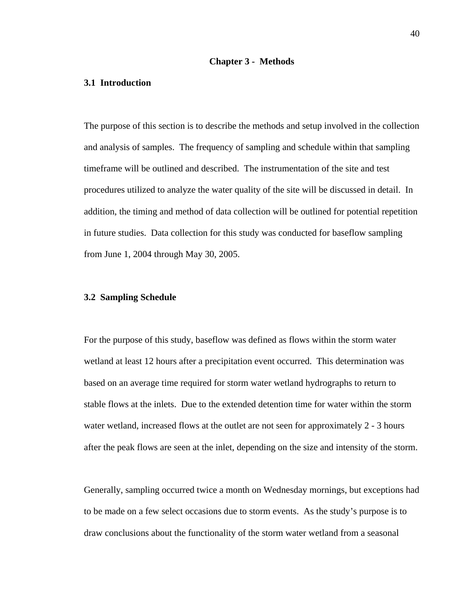#### **Chapter 3 - Methods**

# **3.1 Introduction**

The purpose of this section is to describe the methods and setup involved in the collection and analysis of samples. The frequency of sampling and schedule within that sampling timeframe will be outlined and described. The instrumentation of the site and test procedures utilized to analyze the water quality of the site will be discussed in detail. In addition, the timing and method of data collection will be outlined for potential repetition in future studies. Data collection for this study was conducted for baseflow sampling from June 1, 2004 through May 30, 2005.

#### **3.2 Sampling Schedule**

For the purpose of this study, baseflow was defined as flows within the storm water wetland at least 12 hours after a precipitation event occurred. This determination was based on an average time required for storm water wetland hydrographs to return to stable flows at the inlets. Due to the extended detention time for water within the storm water wetland, increased flows at the outlet are not seen for approximately 2 - 3 hours after the peak flows are seen at the inlet, depending on the size and intensity of the storm.

Generally, sampling occurred twice a month on Wednesday mornings, but exceptions had to be made on a few select occasions due to storm events. As the study's purpose is to draw conclusions about the functionality of the storm water wetland from a seasonal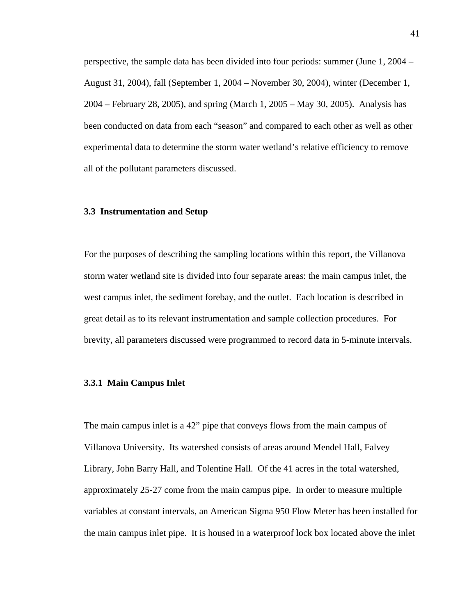perspective, the sample data has been divided into four periods: summer (June 1, 2004 – August 31, 2004), fall (September 1, 2004 – November 30, 2004), winter (December 1, 2004 – February 28, 2005), and spring (March 1, 2005 – May 30, 2005). Analysis has been conducted on data from each "season" and compared to each other as well as other experimental data to determine the storm water wetland's relative efficiency to remove all of the pollutant parameters discussed.

#### **3.3 Instrumentation and Setup**

For the purposes of describing the sampling locations within this report, the Villanova storm water wetland site is divided into four separate areas: the main campus inlet, the west campus inlet, the sediment forebay, and the outlet. Each location is described in great detail as to its relevant instrumentation and sample collection procedures. For brevity, all parameters discussed were programmed to record data in 5-minute intervals.

# **3.3.1 Main Campus Inlet**

The main campus inlet is a 42" pipe that conveys flows from the main campus of Villanova University. Its watershed consists of areas around Mendel Hall, Falvey Library, John Barry Hall, and Tolentine Hall. Of the 41 acres in the total watershed, approximately 25-27 come from the main campus pipe. In order to measure multiple variables at constant intervals, an American Sigma 950 Flow Meter has been installed for the main campus inlet pipe. It is housed in a waterproof lock box located above the inlet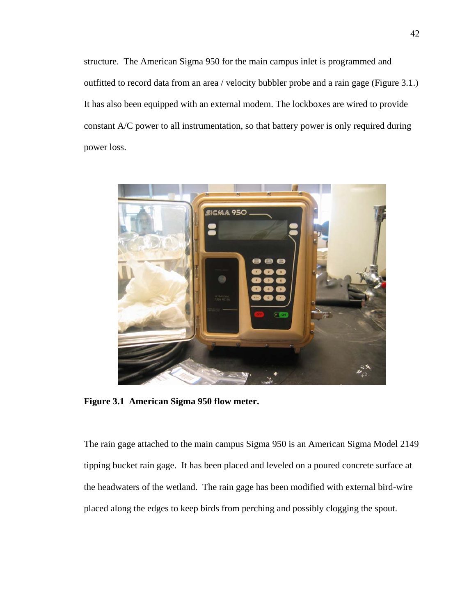structure. The American Sigma 950 for the main campus inlet is programmed and outfitted to record data from an area / velocity bubbler probe and a rain gage (Figure 3.1.) It has also been equipped with an external modem. The lockboxes are wired to provide constant A/C power to all instrumentation, so that battery power is only required during power loss.



**Figure 3.1 American Sigma 950 flow meter.**

The rain gage attached to the main campus Sigma 950 is an American Sigma Model 2149 tipping bucket rain gage. It has been placed and leveled on a poured concrete surface at the headwaters of the wetland. The rain gage has been modified with external bird-wire placed along the edges to keep birds from perching and possibly clogging the spout.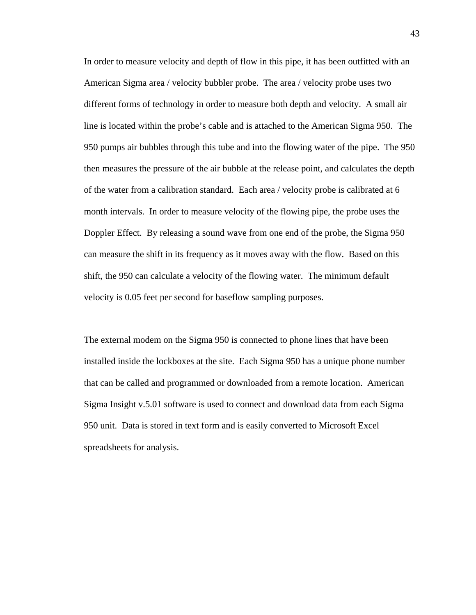In order to measure velocity and depth of flow in this pipe, it has been outfitted with an American Sigma area / velocity bubbler probe. The area / velocity probe uses two different forms of technology in order to measure both depth and velocity. A small air line is located within the probe's cable and is attached to the American Sigma 950. The 950 pumps air bubbles through this tube and into the flowing water of the pipe. The 950 then measures the pressure of the air bubble at the release point, and calculates the depth of the water from a calibration standard. Each area / velocity probe is calibrated at 6 month intervals. In order to measure velocity of the flowing pipe, the probe uses the Doppler Effect. By releasing a sound wave from one end of the probe, the Sigma 950 can measure the shift in its frequency as it moves away with the flow. Based on this shift, the 950 can calculate a velocity of the flowing water. The minimum default velocity is 0.05 feet per second for baseflow sampling purposes.

The external modem on the Sigma 950 is connected to phone lines that have been installed inside the lockboxes at the site. Each Sigma 950 has a unique phone number that can be called and programmed or downloaded from a remote location. American Sigma Insight v.5.01 software is used to connect and download data from each Sigma 950 unit. Data is stored in text form and is easily converted to Microsoft Excel spreadsheets for analysis.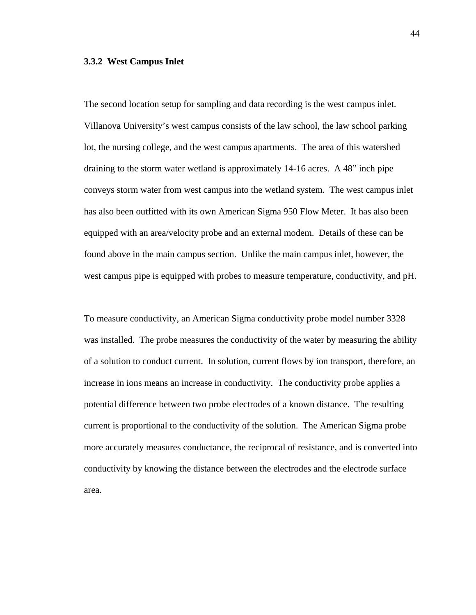#### **3.3.2 West Campus Inlet**

The second location setup for sampling and data recording is the west campus inlet. Villanova University's west campus consists of the law school, the law school parking lot, the nursing college, and the west campus apartments. The area of this watershed draining to the storm water wetland is approximately 14-16 acres. A 48" inch pipe conveys storm water from west campus into the wetland system. The west campus inlet has also been outfitted with its own American Sigma 950 Flow Meter. It has also been equipped with an area/velocity probe and an external modem. Details of these can be found above in the main campus section. Unlike the main campus inlet, however, the west campus pipe is equipped with probes to measure temperature, conductivity, and pH.

To measure conductivity, an American Sigma conductivity probe model number 3328 was installed. The probe measures the conductivity of the water by measuring the ability of a solution to conduct current. In solution, current flows by ion transport, therefore, an increase in ions means an increase in conductivity. The conductivity probe applies a potential difference between two probe electrodes of a known distance. The resulting current is proportional to the conductivity of the solution. The American Sigma probe more accurately measures conductance, the reciprocal of resistance, and is converted into conductivity by knowing the distance between the electrodes and the electrode surface area.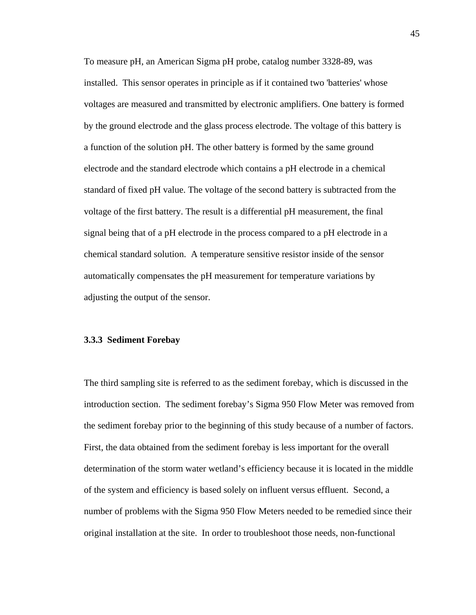To measure pH, an American Sigma pH probe, catalog number 3328-89, was installed. This sensor operates in principle as if it contained two 'batteries' whose voltages are measured and transmitted by electronic amplifiers. One battery is formed by the ground electrode and the glass process electrode. The voltage of this battery is a function of the solution pH. The other battery is formed by the same ground electrode and the standard electrode which contains a pH electrode in a chemical standard of fixed pH value. The voltage of the second battery is subtracted from the voltage of the first battery. The result is a differential pH measurement, the final signal being that of a pH electrode in the process compared to a pH electrode in a chemical standard solution. A temperature sensitive resistor inside of the sensor automatically compensates the pH measurement for temperature variations by adjusting the output of the sensor.

#### **3.3.3 Sediment Forebay**

The third sampling site is referred to as the sediment forebay, which is discussed in the introduction section. The sediment forebay's Sigma 950 Flow Meter was removed from the sediment forebay prior to the beginning of this study because of a number of factors. First, the data obtained from the sediment forebay is less important for the overall determination of the storm water wetland's efficiency because it is located in the middle of the system and efficiency is based solely on influent versus effluent. Second, a number of problems with the Sigma 950 Flow Meters needed to be remedied since their original installation at the site. In order to troubleshoot those needs, non-functional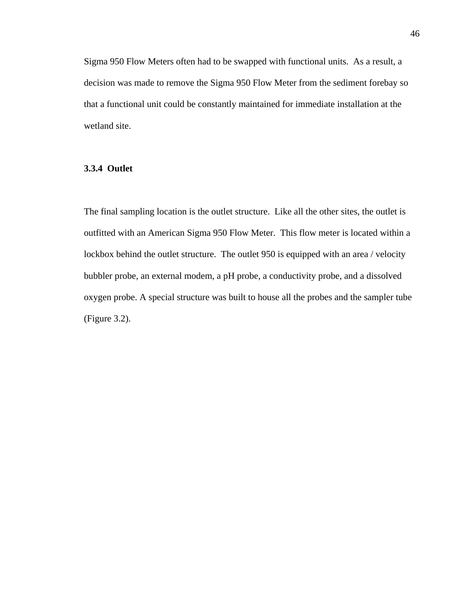Sigma 950 Flow Meters often had to be swapped with functional units. As a result, a decision was made to remove the Sigma 950 Flow Meter from the sediment forebay so that a functional unit could be constantly maintained for immediate installation at the wetland site.

# **3.3.4 Outlet**

The final sampling location is the outlet structure. Like all the other sites, the outlet is outfitted with an American Sigma 950 Flow Meter. This flow meter is located within a lockbox behind the outlet structure. The outlet 950 is equipped with an area / velocity bubbler probe, an external modem, a pH probe, a conductivity probe, and a dissolved oxygen probe. A special structure was built to house all the probes and the sampler tube (Figure 3.2).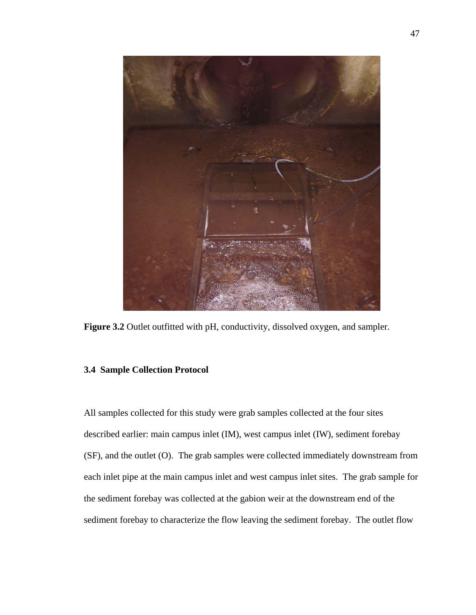

**Figure 3.2** Outlet outfitted with pH, conductivity, dissolved oxygen, and sampler.

# **3.4 Sample Collection Protocol**

All samples collected for this study were grab samples collected at the four sites described earlier: main campus inlet (IM), west campus inlet (IW), sediment forebay (SF), and the outlet (O). The grab samples were collected immediately downstream from each inlet pipe at the main campus inlet and west campus inlet sites. The grab sample for the sediment forebay was collected at the gabion weir at the downstream end of the sediment forebay to characterize the flow leaving the sediment forebay. The outlet flow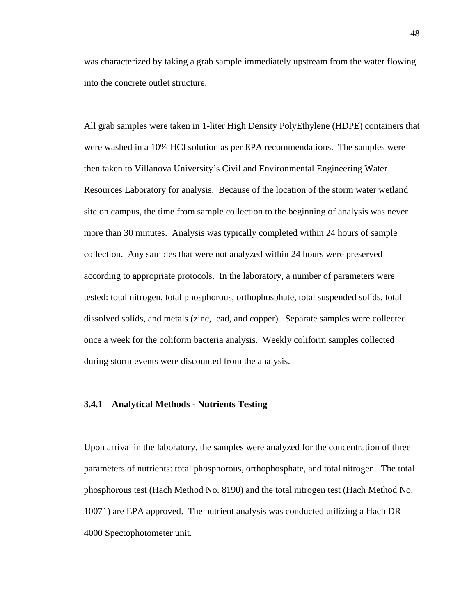was characterized by taking a grab sample immediately upstream from the water flowing into the concrete outlet structure.

All grab samples were taken in 1-liter High Density PolyEthylene (HDPE) containers that were washed in a 10% HCl solution as per EPA recommendations. The samples were then taken to Villanova University's Civil and Environmental Engineering Water Resources Laboratory for analysis. Because of the location of the storm water wetland site on campus, the time from sample collection to the beginning of analysis was never more than 30 minutes. Analysis was typically completed within 24 hours of sample collection. Any samples that were not analyzed within 24 hours were preserved according to appropriate protocols. In the laboratory, a number of parameters were tested: total nitrogen, total phosphorous, orthophosphate, total suspended solids, total dissolved solids, and metals (zinc, lead, and copper). Separate samples were collected once a week for the coliform bacteria analysis. Weekly coliform samples collected during storm events were discounted from the analysis.

#### **3.4.1 Analytical Methods - Nutrients Testing**

Upon arrival in the laboratory, the samples were analyzed for the concentration of three parameters of nutrients: total phosphorous, orthophosphate, and total nitrogen. The total phosphorous test (Hach Method No. 8190) and the total nitrogen test (Hach Method No. 10071) are EPA approved. The nutrient analysis was conducted utilizing a Hach DR 4000 Spectophotometer unit.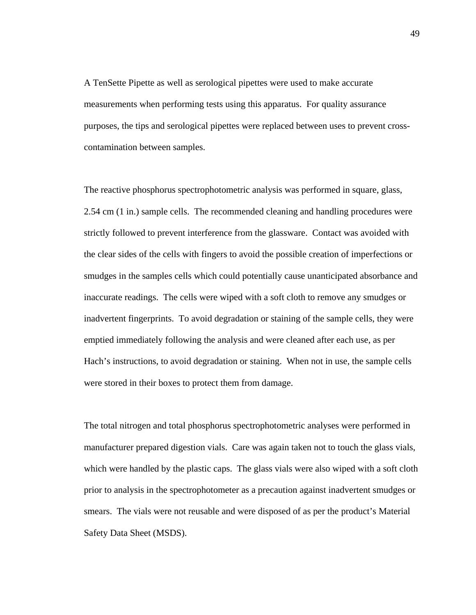A TenSette Pipette as well as serological pipettes were used to make accurate measurements when performing tests using this apparatus. For quality assurance purposes, the tips and serological pipettes were replaced between uses to prevent crosscontamination between samples.

The reactive phosphorus spectrophotometric analysis was performed in square, glass, 2.54 cm (1 in.) sample cells. The recommended cleaning and handling procedures were strictly followed to prevent interference from the glassware. Contact was avoided with the clear sides of the cells with fingers to avoid the possible creation of imperfections or smudges in the samples cells which could potentially cause unanticipated absorbance and inaccurate readings. The cells were wiped with a soft cloth to remove any smudges or inadvertent fingerprints. To avoid degradation or staining of the sample cells, they were emptied immediately following the analysis and were cleaned after each use, as per Hach's instructions, to avoid degradation or staining. When not in use, the sample cells were stored in their boxes to protect them from damage.

The total nitrogen and total phosphorus spectrophotometric analyses were performed in manufacturer prepared digestion vials. Care was again taken not to touch the glass vials, which were handled by the plastic caps. The glass vials were also wiped with a soft cloth prior to analysis in the spectrophotometer as a precaution against inadvertent smudges or smears. The vials were not reusable and were disposed of as per the product's Material Safety Data Sheet (MSDS).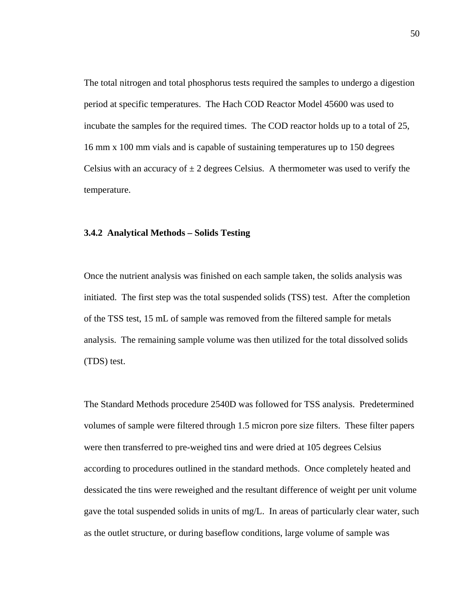The total nitrogen and total phosphorus tests required the samples to undergo a digestion period at specific temperatures. The Hach COD Reactor Model 45600 was used to incubate the samples for the required times. The COD reactor holds up to a total of 25, 16 mm x 100 mm vials and is capable of sustaining temperatures up to 150 degrees Celsius with an accuracy of  $\pm 2$  degrees Celsius. A thermometer was used to verify the temperature.

#### **3.4.2 Analytical Methods – Solids Testing**

Once the nutrient analysis was finished on each sample taken, the solids analysis was initiated. The first step was the total suspended solids (TSS) test. After the completion of the TSS test, 15 mL of sample was removed from the filtered sample for metals analysis. The remaining sample volume was then utilized for the total dissolved solids (TDS) test.

The Standard Methods procedure 2540D was followed for TSS analysis. Predetermined volumes of sample were filtered through 1.5 micron pore size filters. These filter papers were then transferred to pre-weighed tins and were dried at 105 degrees Celsius according to procedures outlined in the standard methods. Once completely heated and dessicated the tins were reweighed and the resultant difference of weight per unit volume gave the total suspended solids in units of mg/L. In areas of particularly clear water, such as the outlet structure, or during baseflow conditions, large volume of sample was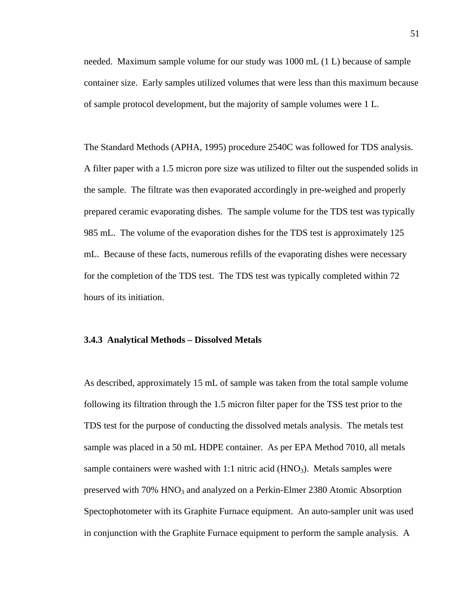needed. Maximum sample volume for our study was 1000 mL (1 L) because of sample container size. Early samples utilized volumes that were less than this maximum because of sample protocol development, but the majority of sample volumes were 1 L.

The Standard Methods (APHA, 1995) procedure 2540C was followed for TDS analysis. A filter paper with a 1.5 micron pore size was utilized to filter out the suspended solids in the sample. The filtrate was then evaporated accordingly in pre-weighed and properly prepared ceramic evaporating dishes. The sample volume for the TDS test was typically 985 mL. The volume of the evaporation dishes for the TDS test is approximately 125 mL. Because of these facts, numerous refills of the evaporating dishes were necessary for the completion of the TDS test. The TDS test was typically completed within 72 hours of its initiation.

#### **3.4.3 Analytical Methods – Dissolved Metals**

As described, approximately 15 mL of sample was taken from the total sample volume following its filtration through the 1.5 micron filter paper for the TSS test prior to the TDS test for the purpose of conducting the dissolved metals analysis. The metals test sample was placed in a 50 mL HDPE container. As per EPA Method 7010, all metals sample containers were washed with  $1:1$  nitric acid (HNO<sub>3</sub>). Metals samples were preserved with 70% HNO3 and analyzed on a Perkin-Elmer 2380 Atomic Absorption Spectophotometer with its Graphite Furnace equipment. An auto-sampler unit was used in conjunction with the Graphite Furnace equipment to perform the sample analysis. A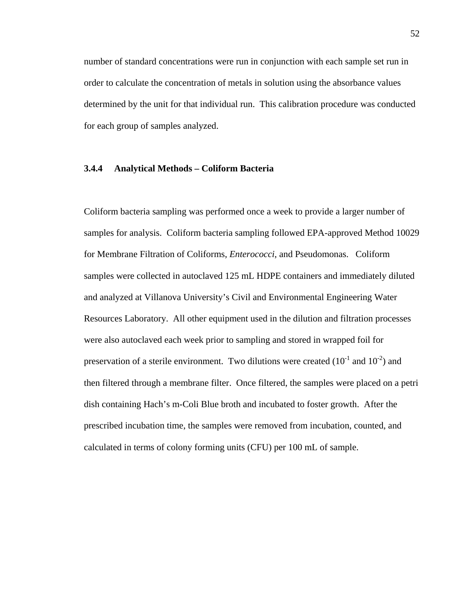number of standard concentrations were run in conjunction with each sample set run in order to calculate the concentration of metals in solution using the absorbance values determined by the unit for that individual run. This calibration procedure was conducted for each group of samples analyzed.

# **3.4.4 Analytical Methods – Coliform Bacteria**

Coliform bacteria sampling was performed once a week to provide a larger number of samples for analysis. Coliform bacteria sampling followed EPA-approved Method 10029 for Membrane Filtration of Coliforms, *Enterococci*, and Pseudomonas. Coliform samples were collected in autoclaved 125 mL HDPE containers and immediately diluted and analyzed at Villanova University's Civil and Environmental Engineering Water Resources Laboratory. All other equipment used in the dilution and filtration processes were also autoclaved each week prior to sampling and stored in wrapped foil for preservation of a sterile environment. Two dilutions were created  $(10^{-1}$  and  $10^{-2})$  and then filtered through a membrane filter. Once filtered, the samples were placed on a petri dish containing Hach's m-Coli Blue broth and incubated to foster growth. After the prescribed incubation time, the samples were removed from incubation, counted, and calculated in terms of colony forming units (CFU) per 100 mL of sample.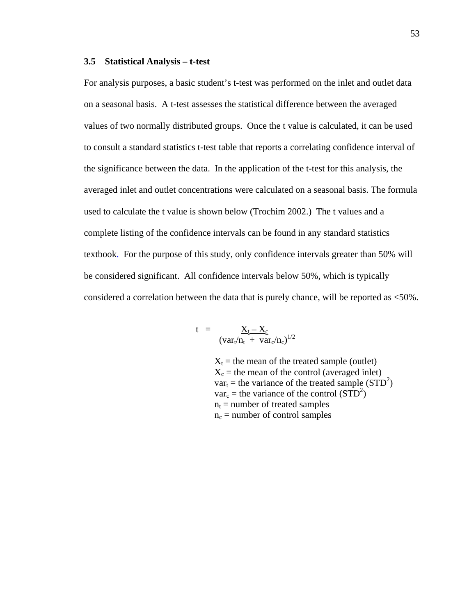#### **3.5 Statistical Analysis – t-test**

For analysis purposes, a basic student's t-test was performed on the inlet and outlet data on a seasonal basis. A t-test assesses the statistical difference between the averaged values of two normally distributed groups. Once the t value is calculated, it can be used to consult a standard statistics t-test table that reports a correlating confidence interval of the significance between the data. In the application of the t-test for this analysis, the averaged inlet and outlet concentrations were calculated on a seasonal basis. The formula used to calculate the t value is shown below (Trochim 2002.) The t values and a complete listing of the confidence intervals can be found in any standard statistics textbook. For the purpose of this study, only confidence intervals greater than 50% will be considered significant. All confidence intervals below 50%, which is typically considered a correlation between the data that is purely chance, will be reported as <50%.

$$
t = \frac{X_t - X_c}{(var_t/n_t + var_c/n_c)^{1/2}}
$$

 $X_t$  = the mean of the treated sample (outlet)  $X_c$  = the mean of the control (averaged inlet)  $var_t$  = the variance of the treated sample (STD<sup>2</sup>)  $var_c$  = the variance of the control (STD<sup>2</sup>)  $n_t$  = number of treated samples  $n_c$  = number of control samples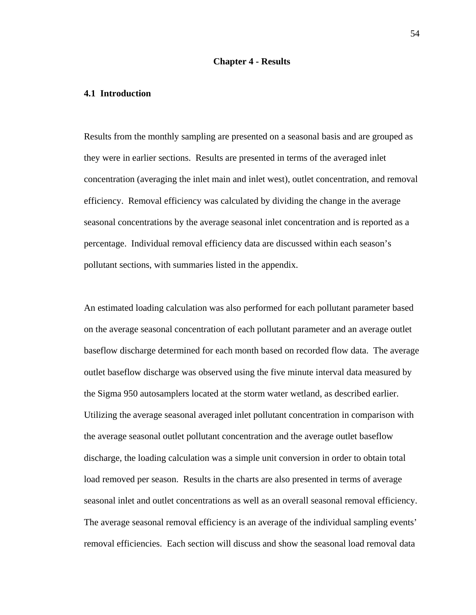#### **Chapter 4 - Results**

# **4.1 Introduction**

Results from the monthly sampling are presented on a seasonal basis and are grouped as they were in earlier sections. Results are presented in terms of the averaged inlet concentration (averaging the inlet main and inlet west), outlet concentration, and removal efficiency. Removal efficiency was calculated by dividing the change in the average seasonal concentrations by the average seasonal inlet concentration and is reported as a percentage. Individual removal efficiency data are discussed within each season's pollutant sections, with summaries listed in the appendix.

An estimated loading calculation was also performed for each pollutant parameter based on the average seasonal concentration of each pollutant parameter and an average outlet baseflow discharge determined for each month based on recorded flow data. The average outlet baseflow discharge was observed using the five minute interval data measured by the Sigma 950 autosamplers located at the storm water wetland, as described earlier. Utilizing the average seasonal averaged inlet pollutant concentration in comparison with the average seasonal outlet pollutant concentration and the average outlet baseflow discharge, the loading calculation was a simple unit conversion in order to obtain total load removed per season. Results in the charts are also presented in terms of average seasonal inlet and outlet concentrations as well as an overall seasonal removal efficiency. The average seasonal removal efficiency is an average of the individual sampling events' removal efficiencies. Each section will discuss and show the seasonal load removal data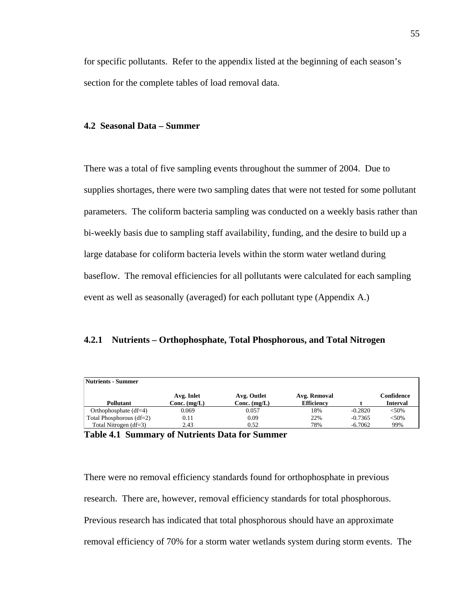for specific pollutants. Refer to the appendix listed at the beginning of each season's section for the complete tables of load removal data.

# **4.2 Seasonal Data – Summer**

There was a total of five sampling events throughout the summer of 2004. Due to supplies shortages, there were two sampling dates that were not tested for some pollutant parameters. The coliform bacteria sampling was conducted on a weekly basis rather than bi-weekly basis due to sampling staff availability, funding, and the desire to build up a large database for coliform bacteria levels within the storm water wetland during baseflow. The removal efficiencies for all pollutants were calculated for each sampling event as well as seasonally (averaged) for each pollutant type (Appendix A.)

# **4.2.1 Nutrients – Orthophosphate, Total Phosphorous, and Total Nitrogen**

| <b>Nutrients - Summer</b>  |                |                |                   |           |                 |
|----------------------------|----------------|----------------|-------------------|-----------|-----------------|
|                            | Avg. Inlet     | Avg. Outlet    | Avg. Removal      |           | Confidence      |
| <b>Pollutant</b>           | Conc. $(mg/L)$ | Conc. $(mg/L)$ | <b>Efficiency</b> |           | <b>Interval</b> |
| Orthophosphate $(df=4)$    | 0.069          | 0.057          | 18%               | $-0.2820$ | < 50%           |
| Total Phosphorous $(df=2)$ | 0.11           | 0.09           | 22%               | $-0.7365$ | $<$ 50%         |
| Total Nitrogen $(df=3)$    | 2.43           | 0.52           | 78%               | $-6.7062$ | 99%             |

| <b>Table 4.1 Summary of Nutrients Data for Summer</b> |  |  |  |  |  |
|-------------------------------------------------------|--|--|--|--|--|
|-------------------------------------------------------|--|--|--|--|--|

There were no removal efficiency standards found for orthophosphate in previous research. There are, however, removal efficiency standards for total phosphorous. Previous research has indicated that total phosphorous should have an approximate removal efficiency of 70% for a storm water wetlands system during storm events. The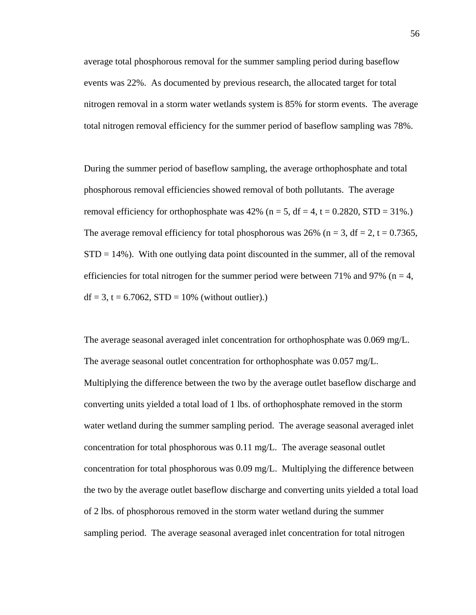average total phosphorous removal for the summer sampling period during baseflow events was 22%. As documented by previous research, the allocated target for total nitrogen removal in a storm water wetlands system is 85% for storm events. The average total nitrogen removal efficiency for the summer period of baseflow sampling was 78%.

During the summer period of baseflow sampling, the average orthophosphate and total phosphorous removal efficiencies showed removal of both pollutants. The average removal efficiency for orthophosphate was  $42\%$  (n = 5, df = 4, t = 0.2820, STD = 31%.) The average removal efficiency for total phosphorous was  $26\%$  (n = 3, df = 2, t = 0.7365,  $STD = 14\%$ ). With one outlying data point discounted in the summer, all of the removal efficiencies for total nitrogen for the summer period were between 71% and 97% ( $n = 4$ ,  $df = 3$ ,  $t = 6.7062$ ,  $STD = 10%$  (without outlier).)

The average seasonal averaged inlet concentration for orthophosphate was 0.069 mg/L. The average seasonal outlet concentration for orthophosphate was 0.057 mg/L. Multiplying the difference between the two by the average outlet baseflow discharge and converting units yielded a total load of 1 lbs. of orthophosphate removed in the storm water wetland during the summer sampling period. The average seasonal averaged inlet concentration for total phosphorous was  $0.11 \text{ mg/L}$ . The average seasonal outlet concentration for total phosphorous was 0.09 mg/L. Multiplying the difference between the two by the average outlet baseflow discharge and converting units yielded a total load of 2 lbs. of phosphorous removed in the storm water wetland during the summer sampling period. The average seasonal averaged inlet concentration for total nitrogen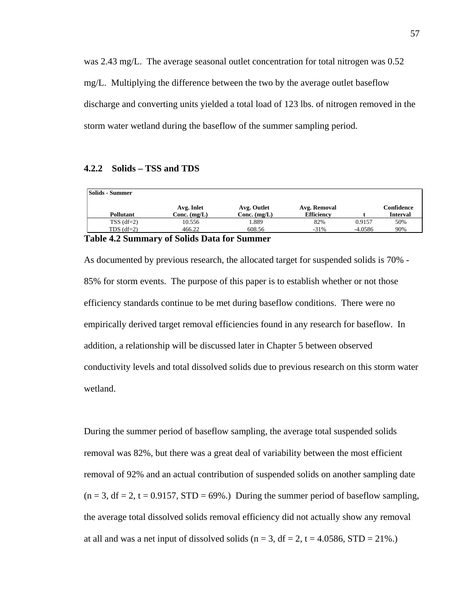was 2.43 mg/L. The average seasonal outlet concentration for total nitrogen was 0.52 mg/L. Multiplying the difference between the two by the average outlet baseflow discharge and converting units yielded a total load of 123 lbs. of nitrogen removed in the storm water wetland during the baseflow of the summer sampling period.

# **4.2.2 Solids – TSS and TDS**

| <b>Solids - Summer</b> |                |                |                   |           |                 |
|------------------------|----------------|----------------|-------------------|-----------|-----------------|
|                        | Avg. Inlet     | Avg. Outlet    | Avg. Removal      |           | Confidence      |
| Pollutant              | Conc. $(mg/L)$ | Conc. $(mg/L)$ | <b>Efficiency</b> |           | <b>Interval</b> |
| $TSS$ (df=2)           | 10.556         | 1.889          | 82%               | 0.9157    | 50%             |
| TDS $(df=2)$           | 466.22         | 608.56         | $-31%$            | $-4.0586$ | 90%             |

# **Table 4.2 Summary of Solids Data for Summer**

As documented by previous research, the allocated target for suspended solids is 70% - 85% for storm events. The purpose of this paper is to establish whether or not those efficiency standards continue to be met during baseflow conditions. There were no empirically derived target removal efficiencies found in any research for baseflow. In addition, a relationship will be discussed later in Chapter 5 between observed conductivity levels and total dissolved solids due to previous research on this storm water wetland.

During the summer period of baseflow sampling, the average total suspended solids removal was 82%, but there was a great deal of variability between the most efficient removal of 92% and an actual contribution of suspended solids on another sampling date  $(n = 3, df = 2, t = 0.9157, STD = 69\%)$  During the summer period of baseflow sampling, the average total dissolved solids removal efficiency did not actually show any removal at all and was a net input of dissolved solids ( $n = 3$ ,  $df = 2$ ,  $t = 4.0586$ ,  $STD = 21\%$ .)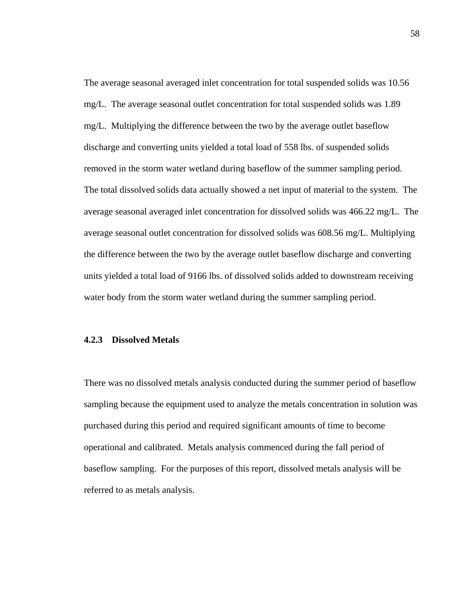The average seasonal averaged inlet concentration for total suspended solids was 10.56 mg/L. The average seasonal outlet concentration for total suspended solids was 1.89 mg/L. Multiplying the difference between the two by the average outlet baseflow discharge and converting units yielded a total load of 558 lbs. of suspended solids removed in the storm water wetland during baseflow of the summer sampling period. The total dissolved solids data actually showed a net input of material to the system. The average seasonal averaged inlet concentration for dissolved solids was 466.22 mg/L. The average seasonal outlet concentration for dissolved solids was 608.56 mg/L. Multiplying the difference between the two by the average outlet baseflow discharge and converting units yielded a total load of 9166 lbs. of dissolved solids added to downstream receiving water body from the storm water wetland during the summer sampling period.

#### **4.2.3 Dissolved Metals**

There was no dissolved metals analysis conducted during the summer period of baseflow sampling because the equipment used to analyze the metals concentration in solution was purchased during this period and required significant amounts of time to become operational and calibrated. Metals analysis commenced during the fall period of baseflow sampling. For the purposes of this report, dissolved metals analysis will be referred to as metals analysis.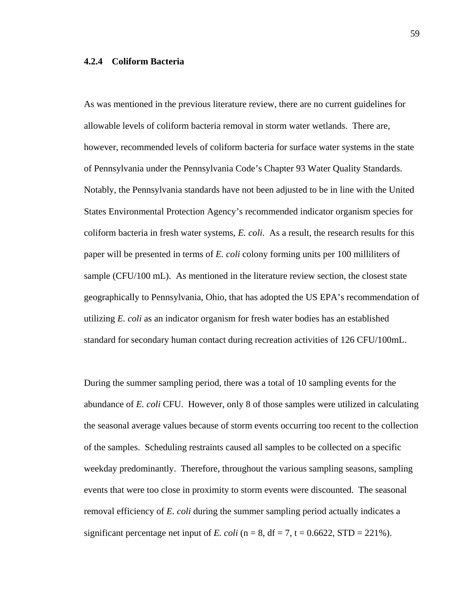# **4.2.4 Coliform Bacteria**

As was mentioned in the previous literature review, there are no current guidelines for allowable levels of coliform bacteria removal in storm water wetlands. There are, however, recommended levels of coliform bacteria for surface water systems in the state of Pennsylvania under the Pennsylvania Code's Chapter 93 Water Quality Standards. Notably, the Pennsylvania standards have not been adjusted to be in line with the United States Environmental Protection Agency's recommended indicator organism species for coliform bacteria in fresh water systems, *E. coli*. As a result, the research results for this paper will be presented in terms of *E. coli* colony forming units per 100 milliliters of sample (CFU/100 mL). As mentioned in the literature review section, the closest state geographically to Pennsylvania, Ohio, that has adopted the US EPA's recommendation of utilizing *E. coli* as an indicator organism for fresh water bodies has an established standard for secondary human contact during recreation activities of 126 CFU/100mL.

During the summer sampling period, there was a total of 10 sampling events for the abundance of *E. coli* CFU. However, only 8 of those samples were utilized in calculating the seasonal average values because of storm events occurring too recent to the collection of the samples. Scheduling restraints caused all samples to be collected on a specific weekday predominantly. Therefore, throughout the various sampling seasons, sampling events that were too close in proximity to storm events were discounted. The seasonal removal efficiency of *E. coli* during the summer sampling period actually indicates a significant percentage net input of *E. coli* ( $n = 8$ ,  $df = 7$ ,  $t = 0.6622$ ,  $STD = 221\%$ ).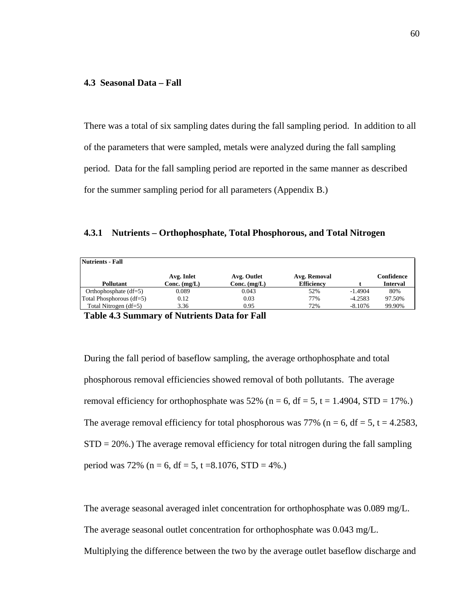## **4.3 Seasonal Data – Fall**

There was a total of six sampling dates during the fall sampling period. In addition to all of the parameters that were sampled, metals were analyzed during the fall sampling period. Data for the fall sampling period are reported in the same manner as described for the summer sampling period for all parameters (Appendix B.)

**4.3.1 Nutrients – Orthophosphate, Total Phosphorous, and Total Nitrogen** 

| Nutrients - Fall         |                |                |                   |           |                 |
|--------------------------|----------------|----------------|-------------------|-----------|-----------------|
|                          | Avg. Inlet     | Avg. Outlet    | Avg. Removal      |           | Confidence      |
| Pollutant                | Conc. $(mg/L)$ | $Conc.$ (mg/L) | <b>Efficiency</b> |           | <b>Interval</b> |
| Orthophosphate $(df=5)$  | 0.089          | 0.043          | 52%               | $-1.4904$ | 80%             |
| Total Phosphorous (df=5) | 0.12           | 0.03           | 77%               | $-4.2583$ | 97.50%          |
| Total Nitrogen $(df=5)$  | 3.36           | 0.95           | 72%               | $-8.1076$ | 99.90%          |
|                          |                |                |                   |           |                 |

**Table 4.3 Summary of Nutrients Data for Fall** 

During the fall period of baseflow sampling, the average orthophosphate and total phosphorous removal efficiencies showed removal of both pollutants. The average removal efficiency for orthophosphate was 52% ( $n = 6$ , df = 5, t = 1.4904, STD = 17%.) The average removal efficiency for total phosphorous was 77% ( $n = 6$ , df = 5, t = 4.2583,  $STD = 20\%$ .) The average removal efficiency for total nitrogen during the fall sampling period was 72% ( $n = 6$ , df = 5, t = 8.1076, STD = 4%.)

The average seasonal averaged inlet concentration for orthophosphate was 0.089 mg/L.

The average seasonal outlet concentration for orthophosphate was 0.043 mg/L.

Multiplying the difference between the two by the average outlet baseflow discharge and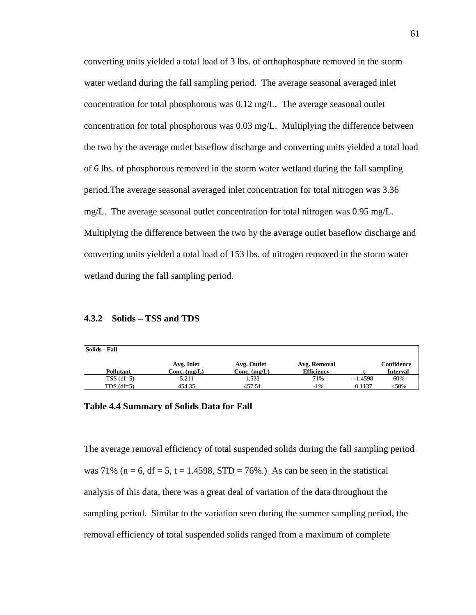converting units yielded a total load of 3 lbs. of orthophosphate removed in the storm water wetland during the fall sampling period. The average seasonal averaged inlet concentration for total phosphorous was  $0.12 \text{ mg/L}$ . The average seasonal outlet concentration for total phosphorous was 0.03 mg/L. Multiplying the difference between the two by the average outlet baseflow discharge and converting units yielded a total load of 6 lbs. of phosphorous removed in the storm water wetland during the fall sampling period.The average seasonal averaged inlet concentration for total nitrogen was 3.36 mg/L. The average seasonal outlet concentration for total nitrogen was 0.95 mg/L. Multiplying the difference between the two by the average outlet baseflow discharge and converting units yielded a total load of 153 lbs. of nitrogen removed in the storm water wetland during the fall sampling period.

# **4.3.2 Solids – TSS and TDS**

| Solids - Fall |                |                |                   |           |            |
|---------------|----------------|----------------|-------------------|-----------|------------|
|               | Avg. Inlet     | Avg. Outlet    | Avg. Removal      |           | Confidence |
| Pollutant     | Conc. $(mg/L)$ | Conc. $(mg/L)$ | <b>Efficiency</b> |           | Interval   |
| $TSS$ (df=5)  | 5.211          | .533           | 71%               | $-1.4598$ | 60%        |
| TDS $(df=5)$  | 454.35         | 457.51         | $-1\%$            | 0.1137    | <50%       |

# **Table 4.4 Summary of Solids Data for Fall**

The average removal efficiency of total suspended solids during the fall sampling period was 71% ( $n = 6$ ,  $df = 5$ ,  $t = 1.4598$ ,  $STD = 76%$ .) As can be seen in the statistical analysis of this data, there was a great deal of variation of the data throughout the sampling period. Similar to the variation seen during the summer sampling period, the removal efficiency of total suspended solids ranged from a maximum of complete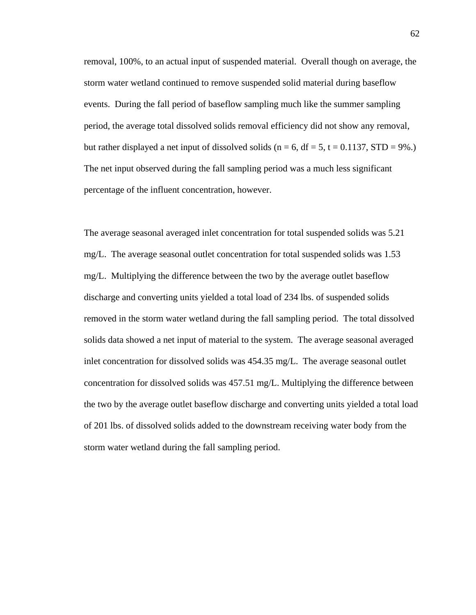removal, 100%, to an actual input of suspended material. Overall though on average, the storm water wetland continued to remove suspended solid material during baseflow events. During the fall period of baseflow sampling much like the summer sampling period, the average total dissolved solids removal efficiency did not show any removal, but rather displayed a net input of dissolved solids ( $n = 6$ ,  $df = 5$ ,  $t = 0.1137$ ,  $STD = 9\%$ .) The net input observed during the fall sampling period was a much less significant percentage of the influent concentration, however.

The average seasonal averaged inlet concentration for total suspended solids was 5.21 mg/L. The average seasonal outlet concentration for total suspended solids was 1.53 mg/L. Multiplying the difference between the two by the average outlet baseflow discharge and converting units yielded a total load of 234 lbs. of suspended solids removed in the storm water wetland during the fall sampling period. The total dissolved solids data showed a net input of material to the system. The average seasonal averaged inlet concentration for dissolved solids was 454.35 mg/L. The average seasonal outlet concentration for dissolved solids was 457.51 mg/L. Multiplying the difference between the two by the average outlet baseflow discharge and converting units yielded a total load of 201 lbs. of dissolved solids added to the downstream receiving water body from the storm water wetland during the fall sampling period.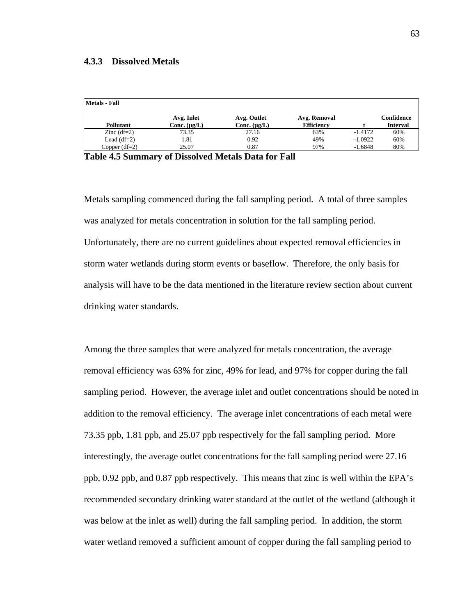#### **4.3.3 Dissolved Metals**

| Metals - Fall   |                                 |                                  |                                   |           |                               |
|-----------------|---------------------------------|----------------------------------|-----------------------------------|-----------|-------------------------------|
| Pollutant       | Avg. Inlet<br>Conc. $(\mu g/L)$ | Avg. Outlet<br>Conc. $(\mu g/L)$ | Avg. Removal<br><b>Efficiency</b> |           | Confidence<br><b>Interval</b> |
| Zinc $(df=2)$   | 73.35                           | 27.16                            | 63%                               | $-1.4172$ | 60%                           |
| Lead $(df=2)$   | 1.81                            | 0.92                             | 49%                               | $-1.0922$ | 60%                           |
| Copper $(df=2)$ | 25.07                           | 0.87                             | 97%                               | $-1.6848$ | 80%                           |
| - - -           |                                 |                                  |                                   |           |                               |

**Table 4.5 Summary of Dissolved Metals Data for Fall** 

Metals sampling commenced during the fall sampling period. A total of three samples was analyzed for metals concentration in solution for the fall sampling period. Unfortunately, there are no current guidelines about expected removal efficiencies in storm water wetlands during storm events or baseflow. Therefore, the only basis for analysis will have to be the data mentioned in the literature review section about current drinking water standards.

Among the three samples that were analyzed for metals concentration, the average removal efficiency was 63% for zinc, 49% for lead, and 97% for copper during the fall sampling period. However, the average inlet and outlet concentrations should be noted in addition to the removal efficiency. The average inlet concentrations of each metal were 73.35 ppb, 1.81 ppb, and 25.07 ppb respectively for the fall sampling period. More interestingly, the average outlet concentrations for the fall sampling period were 27.16 ppb, 0.92 ppb, and 0.87 ppb respectively. This means that zinc is well within the EPA's recommended secondary drinking water standard at the outlet of the wetland (although it was below at the inlet as well) during the fall sampling period. In addition, the storm water wetland removed a sufficient amount of copper during the fall sampling period to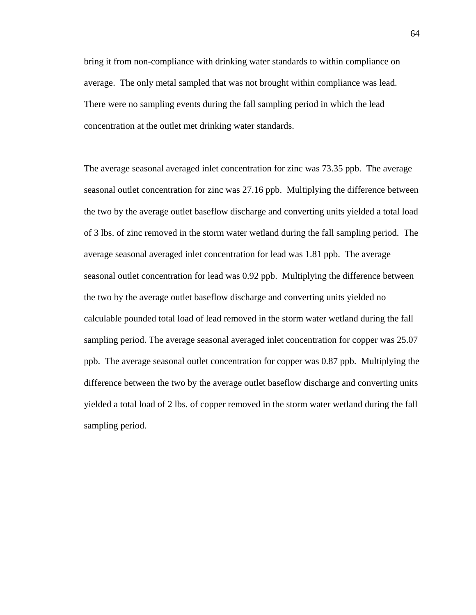bring it from non-compliance with drinking water standards to within compliance on average. The only metal sampled that was not brought within compliance was lead. There were no sampling events during the fall sampling period in which the lead concentration at the outlet met drinking water standards.

The average seasonal averaged inlet concentration for zinc was 73.35 ppb. The average seasonal outlet concentration for zinc was 27.16 ppb. Multiplying the difference between the two by the average outlet baseflow discharge and converting units yielded a total load of 3 lbs. of zinc removed in the storm water wetland during the fall sampling period. The average seasonal averaged inlet concentration for lead was 1.81 ppb. The average seasonal outlet concentration for lead was 0.92 ppb. Multiplying the difference between the two by the average outlet baseflow discharge and converting units yielded no calculable pounded total load of lead removed in the storm water wetland during the fall sampling period. The average seasonal averaged inlet concentration for copper was 25.07 ppb. The average seasonal outlet concentration for copper was 0.87 ppb. Multiplying the difference between the two by the average outlet baseflow discharge and converting units yielded a total load of 2 lbs. of copper removed in the storm water wetland during the fall sampling period.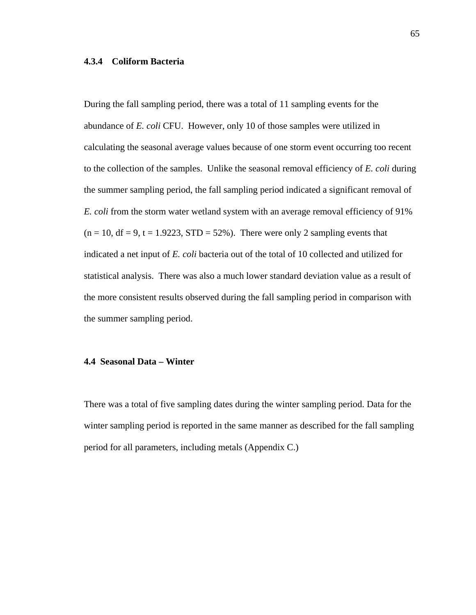# **4.3.4 Coliform Bacteria**

During the fall sampling period, there was a total of 11 sampling events for the abundance of *E. coli* CFU. However, only 10 of those samples were utilized in calculating the seasonal average values because of one storm event occurring too recent to the collection of the samples. Unlike the seasonal removal efficiency of *E. coli* during the summer sampling period, the fall sampling period indicated a significant removal of *E. coli* from the storm water wetland system with an average removal efficiency of 91%  $(n = 10, df = 9, t = 1.9223, STD = 52\%)$ . There were only 2 sampling events that indicated a net input of *E. coli* bacteria out of the total of 10 collected and utilized for statistical analysis. There was also a much lower standard deviation value as a result of the more consistent results observed during the fall sampling period in comparison with the summer sampling period.

#### **4.4 Seasonal Data – Winter**

There was a total of five sampling dates during the winter sampling period. Data for the winter sampling period is reported in the same manner as described for the fall sampling period for all parameters, including metals (Appendix C.)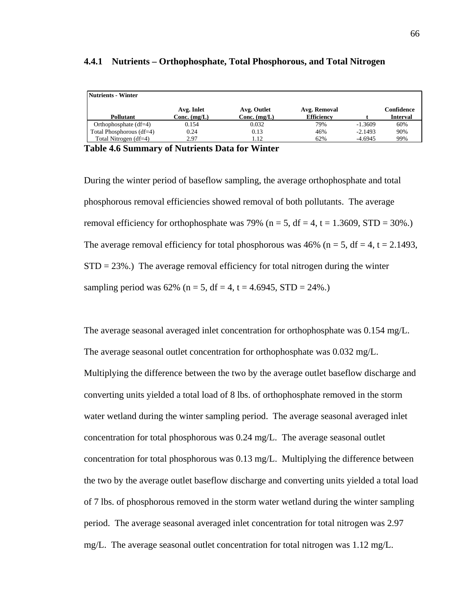| Avg. Inlet | Avg. Outlet    | Avg. Removal   |                   | Confidence<br><b>Interval</b> |
|------------|----------------|----------------|-------------------|-------------------------------|
| 0.154      | 0.032          | 79%            | $-1.3609$         | 60%                           |
| 0.24       | 0.13           | 46%            | $-2.1493$         | 90%                           |
| 2.97       | 1.12           | 62%            | $-4.6945$         | 99%                           |
|            | Conc. $(mg/L)$ | Conc. $(mg/L)$ | <b>Efficiency</b> |                               |

#### **4.4.1 Nutrients – Orthophosphate, Total Phosphorous, and Total Nitrogen**

**Table 4.6 Summary of Nutrients Data for Winter** 

During the winter period of baseflow sampling, the average orthophosphate and total phosphorous removal efficiencies showed removal of both pollutants. The average removal efficiency for orthophosphate was 79% ( $n = 5$ ,  $df = 4$ ,  $t = 1.3609$ ,  $STD = 30\%$ .) The average removal efficiency for total phosphorous was 46% ( $n = 5$ , df = 4, t = 2.1493,  $STD = 23\%$ .) The average removal efficiency for total nitrogen during the winter sampling period was  $62\%$  (n = 5, df = 4, t = 4.6945, STD = 24%.)

The average seasonal averaged inlet concentration for orthophosphate was 0.154 mg/L. The average seasonal outlet concentration for orthophosphate was 0.032 mg/L. Multiplying the difference between the two by the average outlet baseflow discharge and converting units yielded a total load of 8 lbs. of orthophosphate removed in the storm water wetland during the winter sampling period. The average seasonal averaged inlet concentration for total phosphorous was 0.24 mg/L. The average seasonal outlet concentration for total phosphorous was 0.13 mg/L. Multiplying the difference between the two by the average outlet baseflow discharge and converting units yielded a total load of 7 lbs. of phosphorous removed in the storm water wetland during the winter sampling period. The average seasonal averaged inlet concentration for total nitrogen was 2.97 mg/L. The average seasonal outlet concentration for total nitrogen was 1.12 mg/L.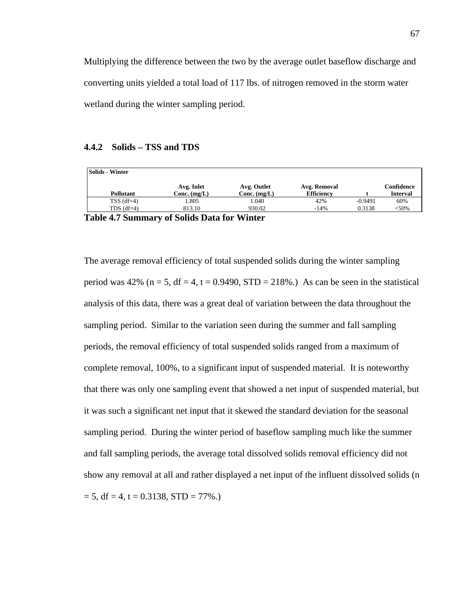Multiplying the difference between the two by the average outlet baseflow discharge and converting units yielded a total load of 117 lbs. of nitrogen removed in the storm water wetland during the winter sampling period.

# **4.4.2 Solids – TSS and TDS**

| Solids - Winter                           |                              |                               |                                   |           |                               |
|-------------------------------------------|------------------------------|-------------------------------|-----------------------------------|-----------|-------------------------------|
| <b>Pollutant</b>                          | Avg. Inlet<br>Conc. $(mg/L)$ | Avg. Outlet<br>Conc. $(mg/L)$ | Avg. Removal<br><b>Efficiency</b> |           | Confidence<br><b>Interval</b> |
|                                           |                              |                               |                                   |           |                               |
| $TSS$ (df=4)                              | 1.805                        | 1.040                         | 42%                               | $-0.9491$ | 60%                           |
| TDS $(df=4)$                              | 813.10                       | 930.02                        | $-14%$                            | 0.3138    | $<$ 50%                       |
| Table 47 Common of Calida Data for Winton |                              |                               |                                   |           |                               |

**Table 4.7 Summary of Solids Data for Winter** 

The average removal efficiency of total suspended solids during the winter sampling period was 42% ( $n = 5$ , df = 4, t = 0.9490, STD = 218%.) As can be seen in the statistical analysis of this data, there was a great deal of variation between the data throughout the sampling period. Similar to the variation seen during the summer and fall sampling periods, the removal efficiency of total suspended solids ranged from a maximum of complete removal, 100%, to a significant input of suspended material. It is noteworthy that there was only one sampling event that showed a net input of suspended material, but it was such a significant net input that it skewed the standard deviation for the seasonal sampling period. During the winter period of baseflow sampling much like the summer and fall sampling periods, the average total dissolved solids removal efficiency did not show any removal at all and rather displayed a net input of the influent dissolved solids (n  $= 5$ , df  $= 4$ , t  $= 0.3138$ , STD  $= 77\%$ .)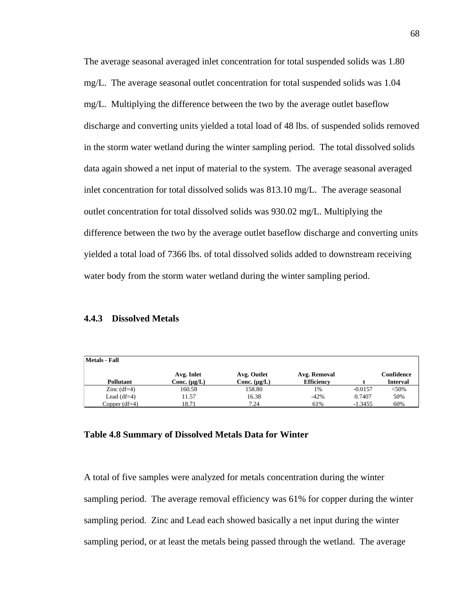The average seasonal averaged inlet concentration for total suspended solids was 1.80 mg/L. The average seasonal outlet concentration for total suspended solids was 1.04 mg/L. Multiplying the difference between the two by the average outlet baseflow discharge and converting units yielded a total load of 48 lbs. of suspended solids removed in the storm water wetland during the winter sampling period. The total dissolved solids data again showed a net input of material to the system. The average seasonal averaged inlet concentration for total dissolved solids was 813.10 mg/L. The average seasonal outlet concentration for total dissolved solids was 930.02 mg/L. Multiplying the difference between the two by the average outlet baseflow discharge and converting units yielded a total load of 7366 lbs. of total dissolved solids added to downstream receiving water body from the storm water wetland during the winter sampling period.

#### **4.4.3 Dissolved Metals**

| <b>Metals - Fall</b> |                   |                   |                   |           |                 |
|----------------------|-------------------|-------------------|-------------------|-----------|-----------------|
|                      | Avg. Inlet        | Avg. Outlet       | Avg. Removal      |           | Confidence      |
| <b>Pollutant</b>     | Conc. $(\mu g/L)$ | Conc. $(\mu g/L)$ | <b>Efficiency</b> |           | <b>Interval</b> |
| Zinc $(df=4)$        | 160.58            | 158.80            | 1%                | $-0.0157$ | < 50%           |
| Lead $(df=4)$        | 11.57             | 16.38             | $-42%$            | 0.7407    | 50%             |
| Copper $(df=4)$      | 18.71             | 7.24              | 61%               | $-1.3455$ | 60%             |

# **Table 4.8 Summary of Dissolved Metals Data for Winter**

A total of five samples were analyzed for metals concentration during the winter sampling period. The average removal efficiency was 61% for copper during the winter sampling period. Zinc and Lead each showed basically a net input during the winter sampling period, or at least the metals being passed through the wetland. The average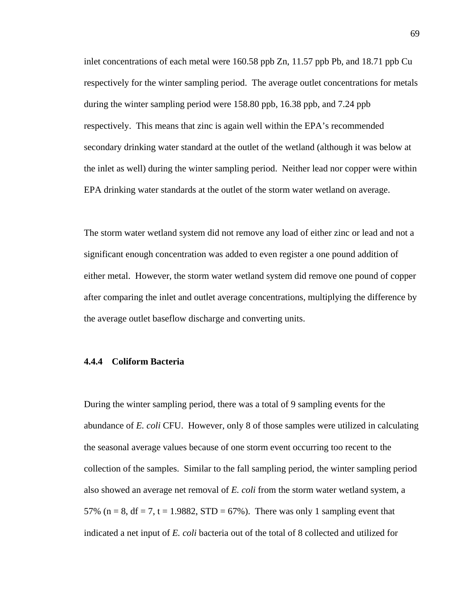inlet concentrations of each metal were 160.58 ppb Zn, 11.57 ppb Pb, and 18.71 ppb Cu respectively for the winter sampling period. The average outlet concentrations for metals during the winter sampling period were 158.80 ppb, 16.38 ppb, and 7.24 ppb respectively. This means that zinc is again well within the EPA's recommended secondary drinking water standard at the outlet of the wetland (although it was below at the inlet as well) during the winter sampling period. Neither lead nor copper were within EPA drinking water standards at the outlet of the storm water wetland on average.

The storm water wetland system did not remove any load of either zinc or lead and not a significant enough concentration was added to even register a one pound addition of either metal. However, the storm water wetland system did remove one pound of copper after comparing the inlet and outlet average concentrations, multiplying the difference by the average outlet baseflow discharge and converting units.

# **4.4.4 Coliform Bacteria**

During the winter sampling period, there was a total of 9 sampling events for the abundance of *E. coli* CFU. However, only 8 of those samples were utilized in calculating the seasonal average values because of one storm event occurring too recent to the collection of the samples. Similar to the fall sampling period, the winter sampling period also showed an average net removal of *E. coli* from the storm water wetland system, a 57% (n = 8, df = 7, t = 1.9882, STD = 67%). There was only 1 sampling event that indicated a net input of *E. coli* bacteria out of the total of 8 collected and utilized for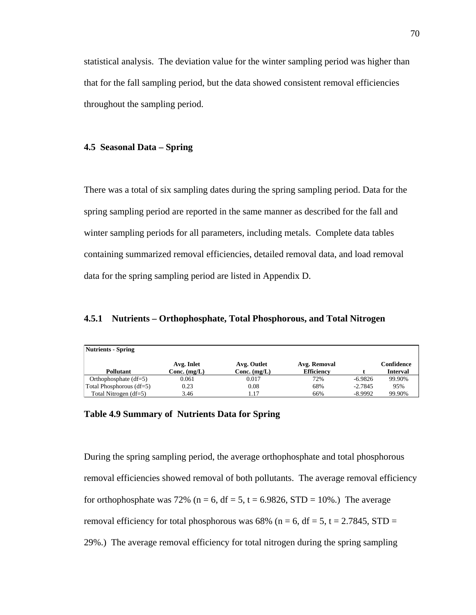statistical analysis. The deviation value for the winter sampling period was higher than that for the fall sampling period, but the data showed consistent removal efficiencies throughout the sampling period.

# **4.5 Seasonal Data – Spring**

There was a total of six sampling dates during the spring sampling period. Data for the spring sampling period are reported in the same manner as described for the fall and winter sampling periods for all parameters, including metals. Complete data tables containing summarized removal efficiencies, detailed removal data, and load removal data for the spring sampling period are listed in Appendix D.

**4.5.1 Nutrients – Orthophosphate, Total Phosphorous, and Total Nitrogen** 

| Nutrients - Spring         |                |                |                   |           |                 |
|----------------------------|----------------|----------------|-------------------|-----------|-----------------|
|                            | Avg. Inlet     | Avg. Outlet    | Avg. Removal      |           | Confidence      |
| <b>Pollutant</b>           | $Conc.$ (mg/L) | Conc. $(mg/L)$ | <b>Efficiency</b> |           | <b>Interval</b> |
| Orthophosphate $(df=5)$    | 0.061          | 0.017          | 72%               | $-6.9826$ | 99.90%          |
| Total Phosphorous $(df=5)$ | 0.23           | 0.08           | 68%               | $-2.7845$ | 95%             |
| Total Nitrogen $(df=5)$    | 3.46           | 1.17           | 66%               | $-8.9992$ | 99.90%          |

# **Table 4.9 Summary of Nutrients Data for Spring**

During the spring sampling period, the average orthophosphate and total phosphorous removal efficiencies showed removal of both pollutants. The average removal efficiency for orthophosphate was 72% ( $n = 6$ , df = 5, t = 6.9826, STD = 10%.) The average removal efficiency for total phosphorous was 68% (n = 6, df = 5, t = 2.7845, STD = 29%.) The average removal efficiency for total nitrogen during the spring sampling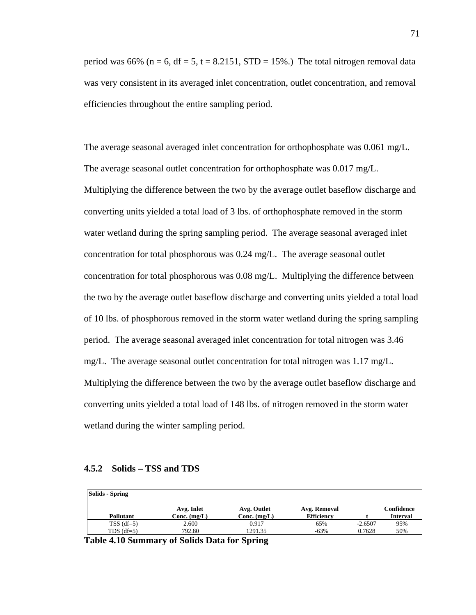period was 66% ( $n = 6$ ,  $df = 5$ ,  $t = 8.2151$ ,  $STD = 15%$ .) The total nitrogen removal data was very consistent in its averaged inlet concentration, outlet concentration, and removal efficiencies throughout the entire sampling period.

The average seasonal averaged inlet concentration for orthophosphate was 0.061 mg/L. The average seasonal outlet concentration for orthophosphate was 0.017 mg/L. Multiplying the difference between the two by the average outlet baseflow discharge and converting units yielded a total load of 3 lbs. of orthophosphate removed in the storm water wetland during the spring sampling period. The average seasonal averaged inlet concentration for total phosphorous was 0.24 mg/L. The average seasonal outlet concentration for total phosphorous was 0.08 mg/L. Multiplying the difference between the two by the average outlet baseflow discharge and converting units yielded a total load of 10 lbs. of phosphorous removed in the storm water wetland during the spring sampling period. The average seasonal averaged inlet concentration for total nitrogen was 3.46 mg/L. The average seasonal outlet concentration for total nitrogen was 1.17 mg/L. Multiplying the difference between the two by the average outlet baseflow discharge and converting units yielded a total load of 148 lbs. of nitrogen removed in the storm water wetland during the winter sampling period.

#### **4.5.2 Solids – TSS and TDS**

| Solids - Spring  |                |                |                   |           |                 |
|------------------|----------------|----------------|-------------------|-----------|-----------------|
|                  | Avg. Inlet     | Avg. Outlet    | Avg. Removal      |           | Confidence      |
| <b>Pollutant</b> | $Conc.$ (mg/L) | $Conc.$ (mg/L) | <b>Efficiency</b> |           | <b>Interval</b> |
| $TSS$ (df=5)     | 2.600          | 0.917          | 65%               | $-2.6507$ | 95%             |
| TDS $(df=5)$     | 792.80         | 1291.35        | $-63%$            | 0.7628    | 50%             |

**Table 4.10 Summary of Solids Data for Spring**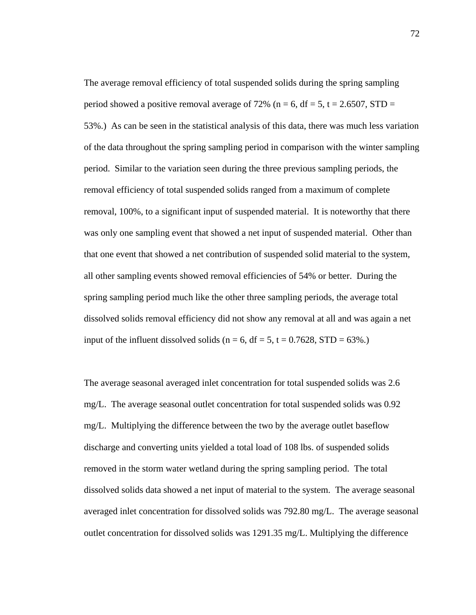The average removal efficiency of total suspended solids during the spring sampling period showed a positive removal average of 72% (n = 6, df = 5, t = 2.6507, STD = 53%.) As can be seen in the statistical analysis of this data, there was much less variation of the data throughout the spring sampling period in comparison with the winter sampling period. Similar to the variation seen during the three previous sampling periods, the removal efficiency of total suspended solids ranged from a maximum of complete removal, 100%, to a significant input of suspended material. It is noteworthy that there was only one sampling event that showed a net input of suspended material. Other than that one event that showed a net contribution of suspended solid material to the system, all other sampling events showed removal efficiencies of 54% or better. During the spring sampling period much like the other three sampling periods, the average total dissolved solids removal efficiency did not show any removal at all and was again a net input of the influent dissolved solids ( $n = 6$ , df = 5, t = 0.7628, STD = 63%.)

The average seasonal averaged inlet concentration for total suspended solids was 2.6 mg/L. The average seasonal outlet concentration for total suspended solids was 0.92 mg/L. Multiplying the difference between the two by the average outlet baseflow discharge and converting units yielded a total load of 108 lbs. of suspended solids removed in the storm water wetland during the spring sampling period. The total dissolved solids data showed a net input of material to the system. The average seasonal averaged inlet concentration for dissolved solids was 792.80 mg/L. The average seasonal outlet concentration for dissolved solids was 1291.35 mg/L. Multiplying the difference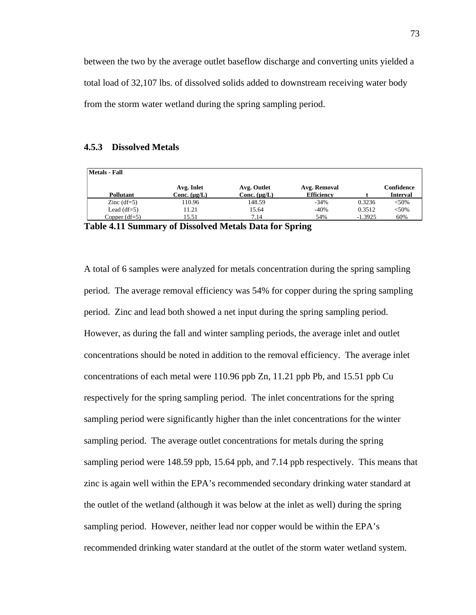between the two by the average outlet baseflow discharge and converting units yielded a total load of 32,107 lbs. of dissolved solids added to downstream receiving water body from the storm water wetland during the spring sampling period.

# **4.5.3 Dissolved Metals**

| <b>Metals - Fall</b> |                                 |                                  |                                   |           |                               |
|----------------------|---------------------------------|----------------------------------|-----------------------------------|-----------|-------------------------------|
| Pollutant            | Avg. Inlet<br>Conc. $(\mu g/L)$ | Avg. Outlet<br>Conc. $(\mu g/L)$ | Avg. Removal<br><b>Efficiency</b> |           | Confidence<br><b>Interval</b> |
| Zinc $(df=5)$        | 110.96                          | 148.59                           | $-34%$                            | 0.3236    | < 50%                         |
| Lead $(df=5)$        | 11.21                           | 15.64                            | $-40%$                            | 0.3512    | < 50%                         |
| Copper $(df=5)$      | 15.51                           | 7.14                             | 54%                               | $-1.3925$ | 60%                           |
| -- - -<br>.          | $\sim$ $\sim$ $\sim$            | --- -                            | $\sim$                            |           |                               |

**Table 4.11 Summary of Dissolved Metals Data for Spring** 

A total of 6 samples were analyzed for metals concentration during the spring sampling period. The average removal efficiency was 54% for copper during the spring sampling period. Zinc and lead both showed a net input during the spring sampling period. However, as during the fall and winter sampling periods, the average inlet and outlet concentrations should be noted in addition to the removal efficiency. The average inlet concentrations of each metal were 110.96 ppb Zn, 11.21 ppb Pb, and 15.51 ppb Cu respectively for the spring sampling period. The inlet concentrations for the spring sampling period were significantly higher than the inlet concentrations for the winter sampling period. The average outlet concentrations for metals during the spring sampling period were 148.59 ppb, 15.64 ppb, and 7.14 ppb respectively. This means that zinc is again well within the EPA's recommended secondary drinking water standard at the outlet of the wetland (although it was below at the inlet as well) during the spring sampling period. However, neither lead nor copper would be within the EPA's recommended drinking water standard at the outlet of the storm water wetland system.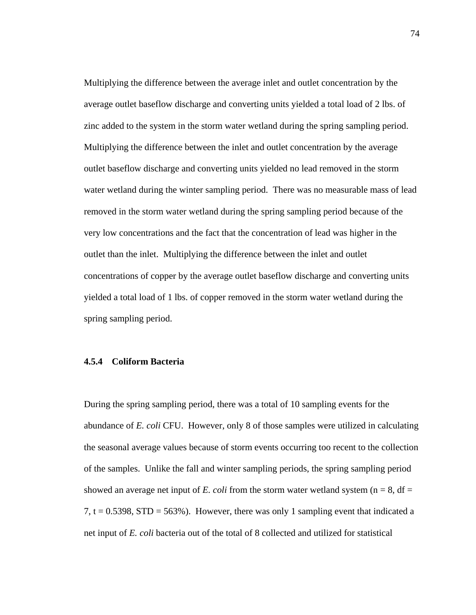Multiplying the difference between the average inlet and outlet concentration by the average outlet baseflow discharge and converting units yielded a total load of 2 lbs. of zinc added to the system in the storm water wetland during the spring sampling period. Multiplying the difference between the inlet and outlet concentration by the average outlet baseflow discharge and converting units yielded no lead removed in the storm water wetland during the winter sampling period. There was no measurable mass of lead removed in the storm water wetland during the spring sampling period because of the very low concentrations and the fact that the concentration of lead was higher in the outlet than the inlet. Multiplying the difference between the inlet and outlet concentrations of copper by the average outlet baseflow discharge and converting units yielded a total load of 1 lbs. of copper removed in the storm water wetland during the spring sampling period.

# **4.5.4 Coliform Bacteria**

During the spring sampling period, there was a total of 10 sampling events for the abundance of *E. coli* CFU. However, only 8 of those samples were utilized in calculating the seasonal average values because of storm events occurring too recent to the collection of the samples. Unlike the fall and winter sampling periods, the spring sampling period showed an average net input of *E. coli* from the storm water wetland system ( $n = 8$ ,  $df =$ 7,  $t = 0.5398$ ,  $STD = 563\%$ ). However, there was only 1 sampling event that indicated a net input of *E. coli* bacteria out of the total of 8 collected and utilized for statistical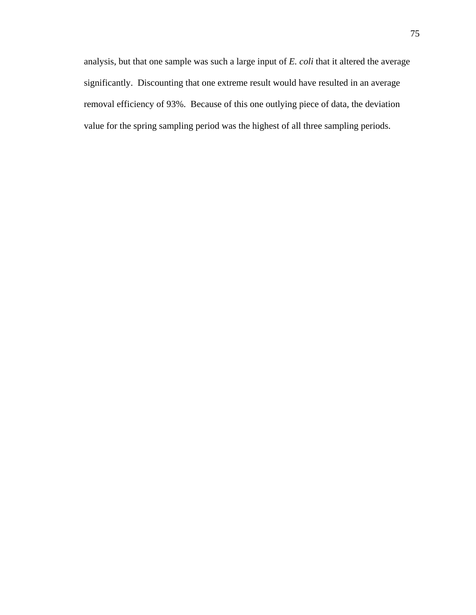analysis, but that one sample was such a large input of *E. coli* that it altered the average significantly. Discounting that one extreme result would have resulted in an average removal efficiency of 93%. Because of this one outlying piece of data, the deviation value for the spring sampling period was the highest of all three sampling periods.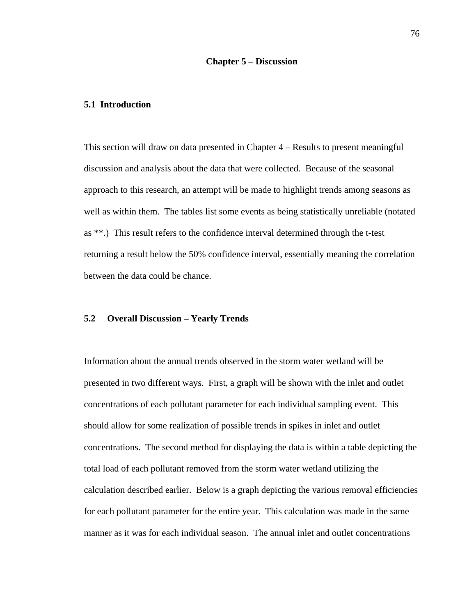# **5.1 Introduction**

This section will draw on data presented in Chapter 4 – Results to present meaningful discussion and analysis about the data that were collected. Because of the seasonal approach to this research, an attempt will be made to highlight trends among seasons as well as within them. The tables list some events as being statistically unreliable (notated as \*\*.) This result refers to the confidence interval determined through the t-test returning a result below the 50% confidence interval, essentially meaning the correlation between the data could be chance.

# **5.2 Overall Discussion – Yearly Trends**

Information about the annual trends observed in the storm water wetland will be presented in two different ways. First, a graph will be shown with the inlet and outlet concentrations of each pollutant parameter for each individual sampling event. This should allow for some realization of possible trends in spikes in inlet and outlet concentrations. The second method for displaying the data is within a table depicting the total load of each pollutant removed from the storm water wetland utilizing the calculation described earlier. Below is a graph depicting the various removal efficiencies for each pollutant parameter for the entire year. This calculation was made in the same manner as it was for each individual season. The annual inlet and outlet concentrations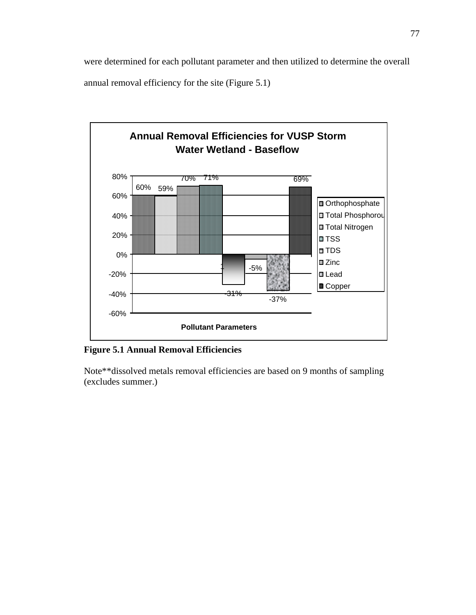were determined for each pollutant parameter and then utilized to determine the overall annual removal efficiency for the site (Figure 5.1)



# **Figure 5.1 Annual Removal Efficiencies**

Note\*\*dissolved metals removal efficiencies are based on 9 months of sampling (excludes summer.)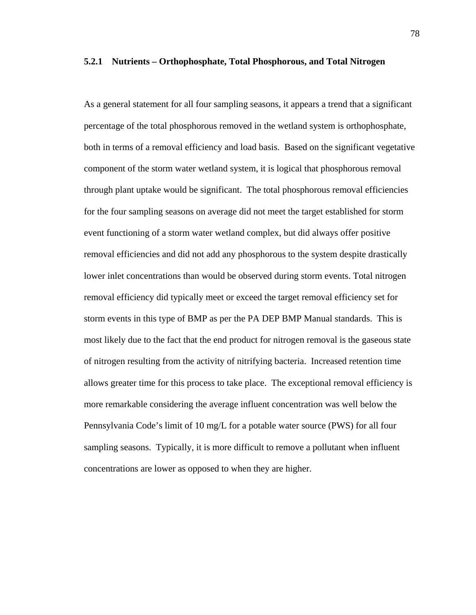#### **5.2.1 Nutrients – Orthophosphate, Total Phosphorous, and Total Nitrogen**

As a general statement for all four sampling seasons, it appears a trend that a significant percentage of the total phosphorous removed in the wetland system is orthophosphate, both in terms of a removal efficiency and load basis. Based on the significant vegetative component of the storm water wetland system, it is logical that phosphorous removal through plant uptake would be significant. The total phosphorous removal efficiencies for the four sampling seasons on average did not meet the target established for storm event functioning of a storm water wetland complex, but did always offer positive removal efficiencies and did not add any phosphorous to the system despite drastically lower inlet concentrations than would be observed during storm events. Total nitrogen removal efficiency did typically meet or exceed the target removal efficiency set for storm events in this type of BMP as per the PA DEP BMP Manual standards. This is most likely due to the fact that the end product for nitrogen removal is the gaseous state of nitrogen resulting from the activity of nitrifying bacteria. Increased retention time allows greater time for this process to take place. The exceptional removal efficiency is more remarkable considering the average influent concentration was well below the Pennsylvania Code's limit of 10 mg/L for a potable water source (PWS) for all four sampling seasons. Typically, it is more difficult to remove a pollutant when influent concentrations are lower as opposed to when they are higher.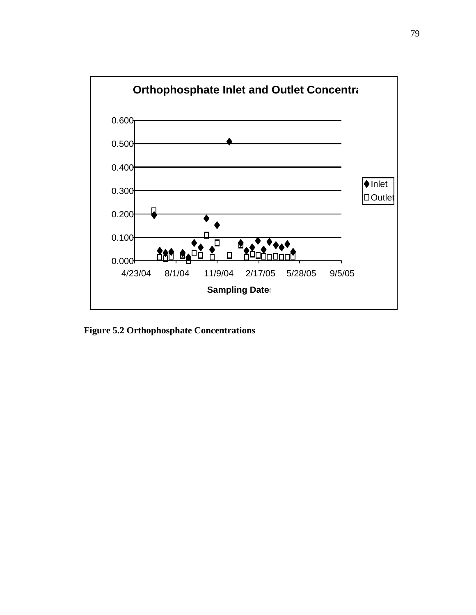

**Figure 5.2 Orthophosphate Concentrations**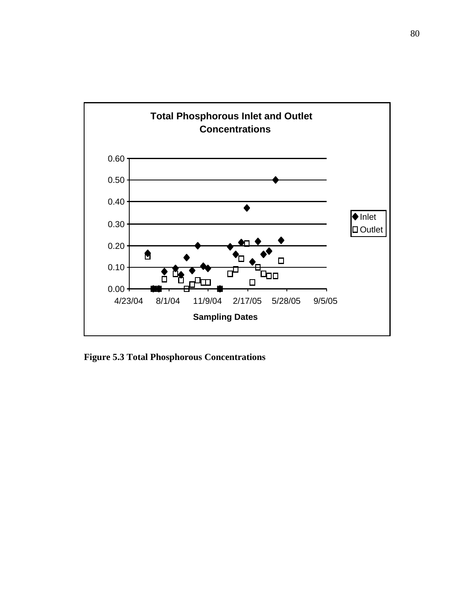

**Figure 5.3 Total Phosphorous Concentrations**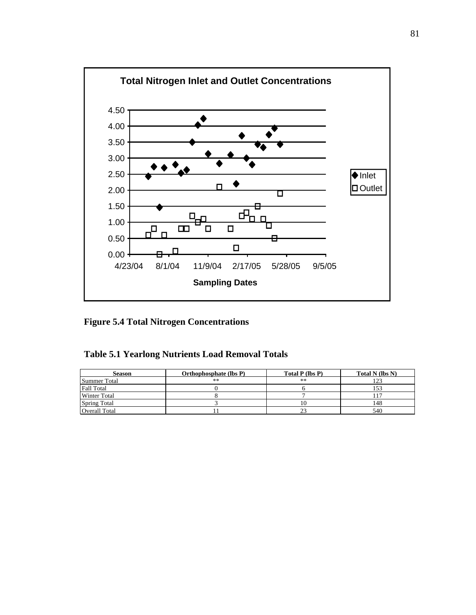

**Figure 5.4 Total Nitrogen Concentrations** 

| <b>Season</b>       | Orthophosphate (lbs P) | Total P (lbs P) | Total N (lbs N) |
|---------------------|------------------------|-----------------|-----------------|
| Summer Total        | **                     | **              |                 |
| <b>Fall Total</b>   |                        |                 | 153             |
| <b>Winter Total</b> |                        |                 |                 |
| Spring Total        |                        | 10              | 148             |
| Overall Total       |                        |                 | 540             |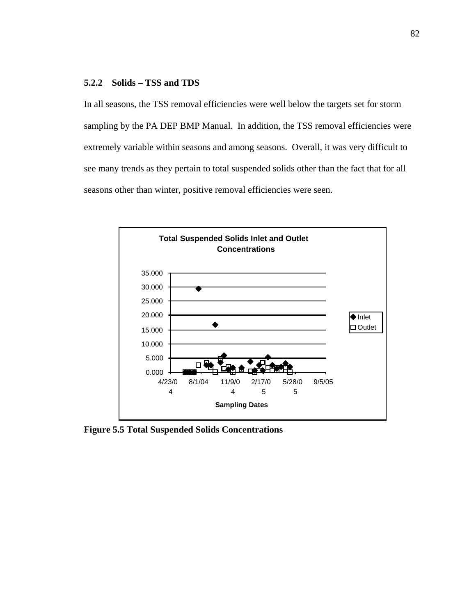# **5.2.2 Solids – TSS and TDS**

In all seasons, the TSS removal efficiencies were well below the targets set for storm sampling by the PA DEP BMP Manual. In addition, the TSS removal efficiencies were extremely variable within seasons and among seasons. Overall, it was very difficult to see many trends as they pertain to total suspended solids other than the fact that for all seasons other than winter, positive removal efficiencies were seen.



**Figure 5.5 Total Suspended Solids Concentrations**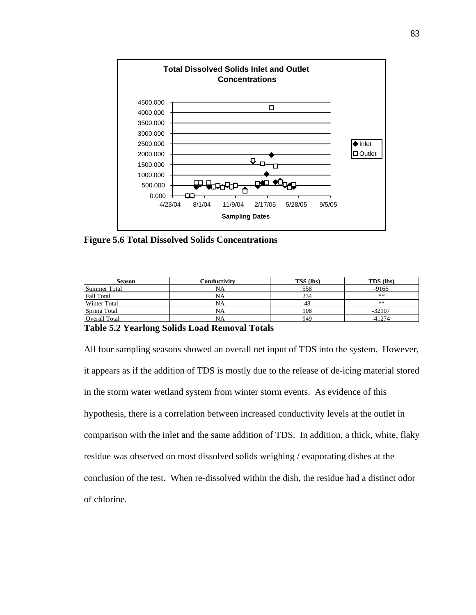

**Figure 5.6 Total Dissolved Solids Concentrations**

| <b>Season</b>       | Conductivity | <b>TSS</b> (lbs) | <b>TDS</b> (lbs) |
|---------------------|--------------|------------------|------------------|
| Summer Total        | NA           | 558              | $-9166$          |
| Fall Total          | NA           | 234              | **               |
| <b>Winter Total</b> | NA           | 48               | **               |
| <b>Spring Total</b> | NA           | 108              | $-32107$         |
| Overall Total       | NA           | 949              | $-41274$         |

#### **Table 5.2 Yearlong Solids Load Removal Totals**

All four sampling seasons showed an overall net input of TDS into the system. However, it appears as if the addition of TDS is mostly due to the release of de-icing material stored in the storm water wetland system from winter storm events. As evidence of this hypothesis, there is a correlation between increased conductivity levels at the outlet in comparison with the inlet and the same addition of TDS. In addition, a thick, white, flaky residue was observed on most dissolved solids weighing / evaporating dishes at the conclusion of the test. When re-dissolved within the dish, the residue had a distinct odor of chlorine.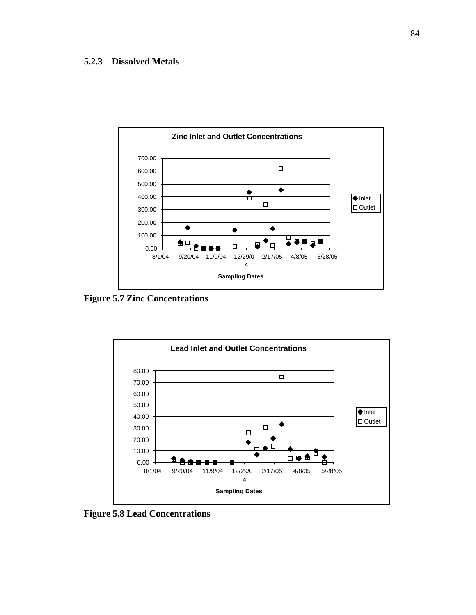# **5.2.3 Dissolved Metals**



**Figure 5.7 Zinc Concentrations** 



**Figure 5.8 Lead Concentrations**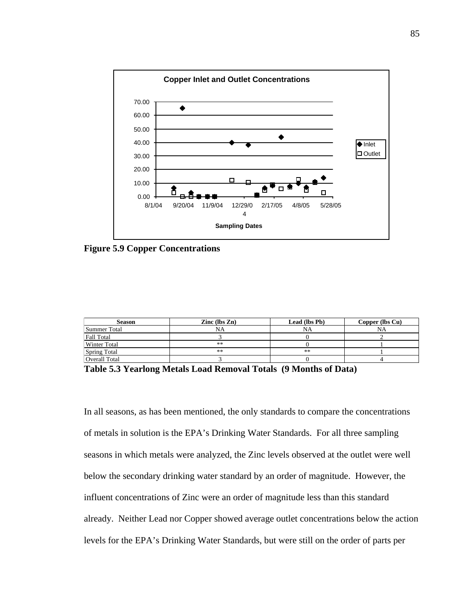

**Figure 5.9 Copper Concentrations** 

| <b>Season</b>       | Zinc $(lbs Zn)$ | Lead (lbs Pb) | Copper (lbs Cu) |
|---------------------|-----------------|---------------|-----------------|
| Summer Total        | NA              | <b>NA</b>     | <b>NA</b>       |
| <b>Fall Total</b>   |                 |               |                 |
| <b>Winter Total</b> | **              |               |                 |
| <b>Spring Total</b> | **              | **            |                 |
| Overall Total       |                 |               |                 |

**Table 5.3 Yearlong Metals Load Removal Totals (9 Months of Data)** 

In all seasons, as has been mentioned, the only standards to compare the concentrations of metals in solution is the EPA's Drinking Water Standards. For all three sampling seasons in which metals were analyzed, the Zinc levels observed at the outlet were well below the secondary drinking water standard by an order of magnitude. However, the influent concentrations of Zinc were an order of magnitude less than this standard already. Neither Lead nor Copper showed average outlet concentrations below the action levels for the EPA's Drinking Water Standards, but were still on the order of parts per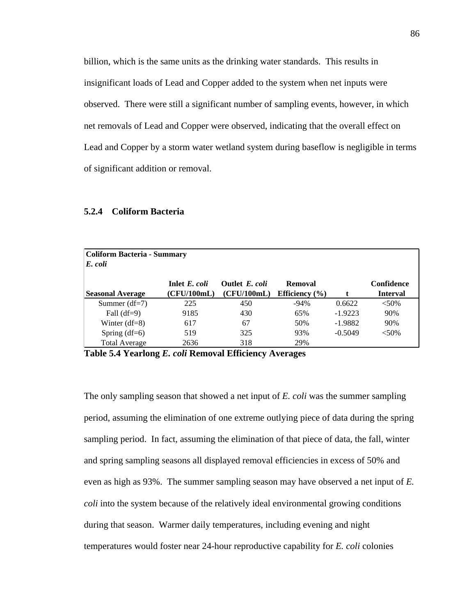billion, which is the same units as the drinking water standards. This results in insignificant loads of Lead and Copper added to the system when net inputs were observed. There were still a significant number of sampling events, however, in which net removals of Lead and Copper were observed, indicating that the overall effect on Lead and Copper by a storm water wetland system during baseflow is negligible in terms of significant addition or removal.

| <b>Coliform Bacteria - Summary</b> |               |                |                    |           |                 |  |
|------------------------------------|---------------|----------------|--------------------|-----------|-----------------|--|
| E. coli                            |               |                |                    |           |                 |  |
|                                    | Inlet E. coli | Outlet E. coli | Removal            |           | Confidence      |  |
| <b>Seasonal Average</b>            | (CFU/100mL)   | (CFU/100mL)    | Efficiency $(\% )$ |           | <b>Interval</b> |  |
| Summer $(df=7)$                    | 225           | 450            | $-94%$             | 0.6622    | $<50\%$         |  |
| Fall $(df=9)$                      | 9185          | 430            | 65%                | $-1.9223$ | 90%             |  |
| Winter $(df=8)$                    | 617           | 67             | 50%                | $-1.9882$ | 90%             |  |
| Spring $(df=6)$                    | 519           | 325            | 93%                | $-0.5049$ | $<50\%$         |  |
| <b>Total Average</b>               | 2636          | 318            | 29%                |           |                 |  |

#### **5.2.4 Coliform Bacteria**

**Table 5.4 Yearlong** *E. coli* **Removal Efficiency Averages**

The only sampling season that showed a net input of *E. coli* was the summer sampling period, assuming the elimination of one extreme outlying piece of data during the spring sampling period. In fact, assuming the elimination of that piece of data, the fall, winter and spring sampling seasons all displayed removal efficiencies in excess of 50% and even as high as 93%. The summer sampling season may have observed a net input of *E. coli* into the system because of the relatively ideal environmental growing conditions during that season. Warmer daily temperatures, including evening and night temperatures would foster near 24-hour reproductive capability for *E. coli* colonies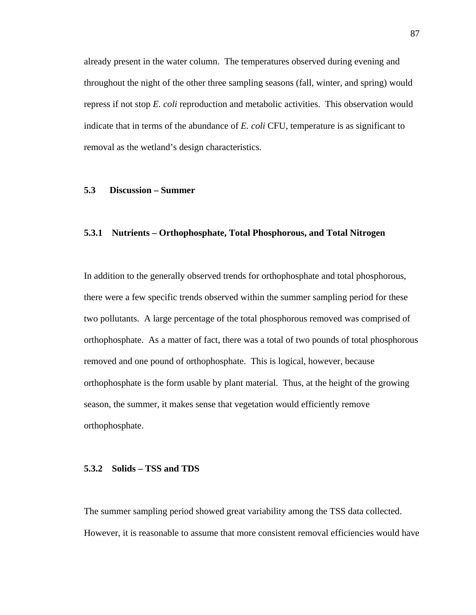already present in the water column. The temperatures observed during evening and throughout the night of the other three sampling seasons (fall, winter, and spring) would repress if not stop *E. coli* reproduction and metabolic activities. This observation would indicate that in terms of the abundance of *E. coli* CFU, temperature is as significant to removal as the wetland's design characteristics.

### **5.3 Discussion – Summer**

# **5.3.1 Nutrients – Orthophosphate, Total Phosphorous, and Total Nitrogen**

In addition to the generally observed trends for orthophosphate and total phosphorous, there were a few specific trends observed within the summer sampling period for these two pollutants. A large percentage of the total phosphorous removed was comprised of orthophosphate. As a matter of fact, there was a total of two pounds of total phosphorous removed and one pound of orthophosphate. This is logical, however, because orthophosphate is the form usable by plant material. Thus, at the height of the growing season, the summer, it makes sense that vegetation would efficiently remove orthophosphate.

### **5.3.2 Solids – TSS and TDS**

The summer sampling period showed great variability among the TSS data collected. However, it is reasonable to assume that more consistent removal efficiencies would have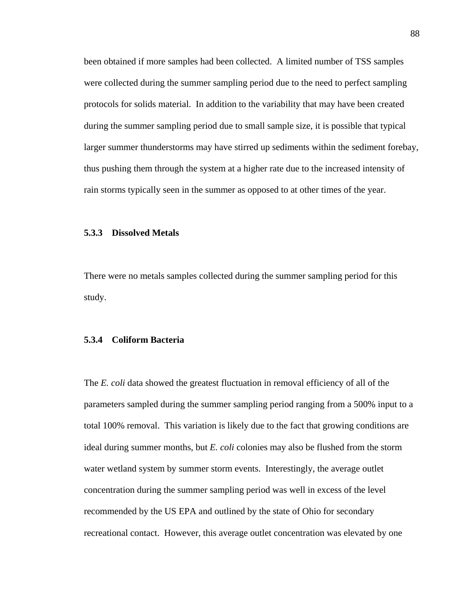been obtained if more samples had been collected. A limited number of TSS samples were collected during the summer sampling period due to the need to perfect sampling protocols for solids material. In addition to the variability that may have been created during the summer sampling period due to small sample size, it is possible that typical larger summer thunderstorms may have stirred up sediments within the sediment forebay, thus pushing them through the system at a higher rate due to the increased intensity of rain storms typically seen in the summer as opposed to at other times of the year.

# **5.3.3 Dissolved Metals**

There were no metals samples collected during the summer sampling period for this study.

#### **5.3.4 Coliform Bacteria**

The *E. coli* data showed the greatest fluctuation in removal efficiency of all of the parameters sampled during the summer sampling period ranging from a 500% input to a total 100% removal. This variation is likely due to the fact that growing conditions are ideal during summer months, but *E. coli* colonies may also be flushed from the storm water wetland system by summer storm events. Interestingly, the average outlet concentration during the summer sampling period was well in excess of the level recommended by the US EPA and outlined by the state of Ohio for secondary recreational contact. However, this average outlet concentration was elevated by one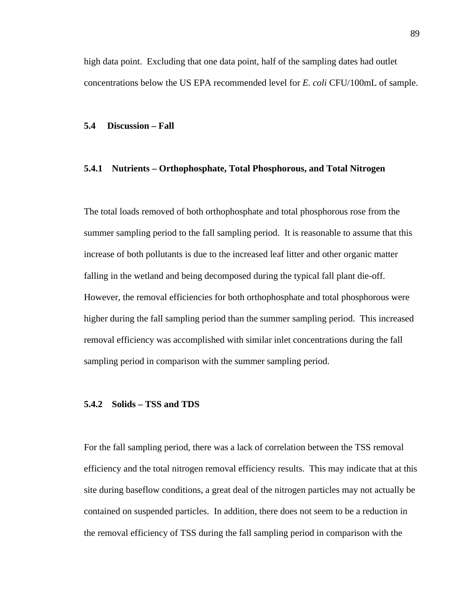high data point. Excluding that one data point, half of the sampling dates had outlet concentrations below the US EPA recommended level for *E. coli* CFU/100mL of sample.

# **5.4 Discussion – Fall**

# **5.4.1 Nutrients – Orthophosphate, Total Phosphorous, and Total Nitrogen**

The total loads removed of both orthophosphate and total phosphorous rose from the summer sampling period to the fall sampling period. It is reasonable to assume that this increase of both pollutants is due to the increased leaf litter and other organic matter falling in the wetland and being decomposed during the typical fall plant die-off. However, the removal efficiencies for both orthophosphate and total phosphorous were higher during the fall sampling period than the summer sampling period. This increased removal efficiency was accomplished with similar inlet concentrations during the fall sampling period in comparison with the summer sampling period.

#### **5.4.2 Solids – TSS and TDS**

For the fall sampling period, there was a lack of correlation between the TSS removal efficiency and the total nitrogen removal efficiency results. This may indicate that at this site during baseflow conditions, a great deal of the nitrogen particles may not actually be contained on suspended particles. In addition, there does not seem to be a reduction in the removal efficiency of TSS during the fall sampling period in comparison with the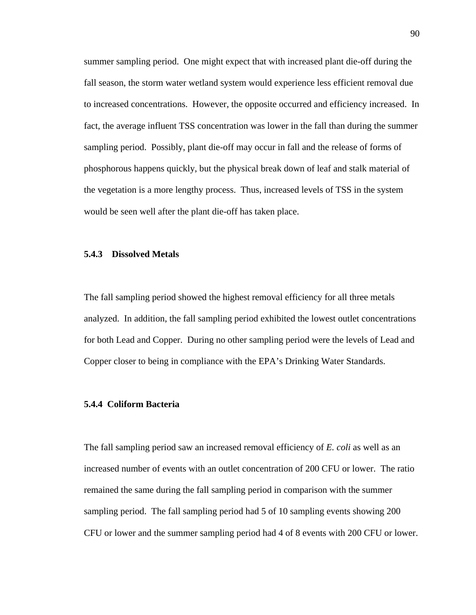summer sampling period. One might expect that with increased plant die-off during the fall season, the storm water wetland system would experience less efficient removal due to increased concentrations. However, the opposite occurred and efficiency increased. In fact, the average influent TSS concentration was lower in the fall than during the summer sampling period. Possibly, plant die-off may occur in fall and the release of forms of phosphorous happens quickly, but the physical break down of leaf and stalk material of the vegetation is a more lengthy process. Thus, increased levels of TSS in the system would be seen well after the plant die-off has taken place.

# **5.4.3 Dissolved Metals**

The fall sampling period showed the highest removal efficiency for all three metals analyzed. In addition, the fall sampling period exhibited the lowest outlet concentrations for both Lead and Copper. During no other sampling period were the levels of Lead and Copper closer to being in compliance with the EPA's Drinking Water Standards.

# **5.4.4 Coliform Bacteria**

The fall sampling period saw an increased removal efficiency of *E. coli* as well as an increased number of events with an outlet concentration of 200 CFU or lower. The ratio remained the same during the fall sampling period in comparison with the summer sampling period. The fall sampling period had 5 of 10 sampling events showing 200 CFU or lower and the summer sampling period had 4 of 8 events with 200 CFU or lower.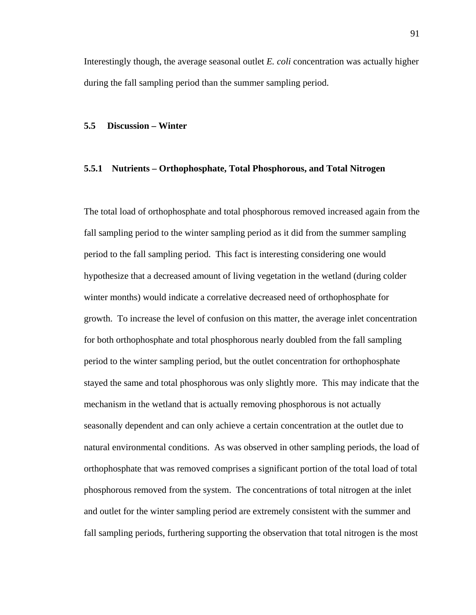Interestingly though, the average seasonal outlet *E. coli* concentration was actually higher during the fall sampling period than the summer sampling period.

# **5.5 Discussion – Winter**

# **5.5.1 Nutrients – Orthophosphate, Total Phosphorous, and Total Nitrogen**

The total load of orthophosphate and total phosphorous removed increased again from the fall sampling period to the winter sampling period as it did from the summer sampling period to the fall sampling period. This fact is interesting considering one would hypothesize that a decreased amount of living vegetation in the wetland (during colder winter months) would indicate a correlative decreased need of orthophosphate for growth. To increase the level of confusion on this matter, the average inlet concentration for both orthophosphate and total phosphorous nearly doubled from the fall sampling period to the winter sampling period, but the outlet concentration for orthophosphate stayed the same and total phosphorous was only slightly more. This may indicate that the mechanism in the wetland that is actually removing phosphorous is not actually seasonally dependent and can only achieve a certain concentration at the outlet due to natural environmental conditions. As was observed in other sampling periods, the load of orthophosphate that was removed comprises a significant portion of the total load of total phosphorous removed from the system. The concentrations of total nitrogen at the inlet and outlet for the winter sampling period are extremely consistent with the summer and fall sampling periods, furthering supporting the observation that total nitrogen is the most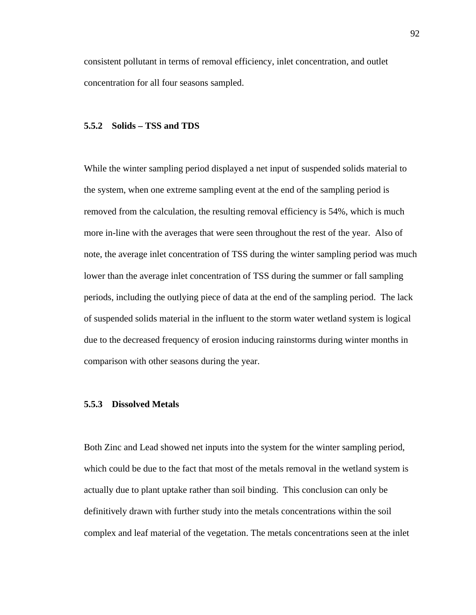consistent pollutant in terms of removal efficiency, inlet concentration, and outlet concentration for all four seasons sampled.

# **5.5.2 Solids – TSS and TDS**

While the winter sampling period displayed a net input of suspended solids material to the system, when one extreme sampling event at the end of the sampling period is removed from the calculation, the resulting removal efficiency is 54%, which is much more in-line with the averages that were seen throughout the rest of the year. Also of note, the average inlet concentration of TSS during the winter sampling period was much lower than the average inlet concentration of TSS during the summer or fall sampling periods, including the outlying piece of data at the end of the sampling period. The lack of suspended solids material in the influent to the storm water wetland system is logical due to the decreased frequency of erosion inducing rainstorms during winter months in comparison with other seasons during the year.

#### **5.5.3 Dissolved Metals**

Both Zinc and Lead showed net inputs into the system for the winter sampling period, which could be due to the fact that most of the metals removal in the wetland system is actually due to plant uptake rather than soil binding. This conclusion can only be definitively drawn with further study into the metals concentrations within the soil complex and leaf material of the vegetation. The metals concentrations seen at the inlet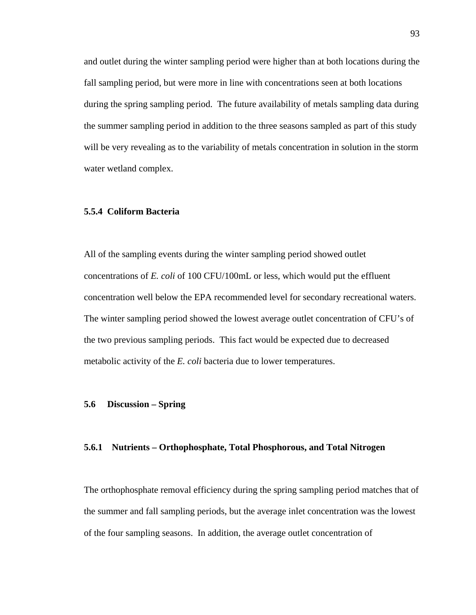and outlet during the winter sampling period were higher than at both locations during the fall sampling period, but were more in line with concentrations seen at both locations during the spring sampling period. The future availability of metals sampling data during the summer sampling period in addition to the three seasons sampled as part of this study will be very revealing as to the variability of metals concentration in solution in the storm water wetland complex.

# **5.5.4 Coliform Bacteria**

All of the sampling events during the winter sampling period showed outlet concentrations of *E. coli* of 100 CFU/100mL or less, which would put the effluent concentration well below the EPA recommended level for secondary recreational waters. The winter sampling period showed the lowest average outlet concentration of CFU's of the two previous sampling periods. This fact would be expected due to decreased metabolic activity of the *E. coli* bacteria due to lower temperatures.

#### **5.6 Discussion – Spring**

#### **5.6.1 Nutrients – Orthophosphate, Total Phosphorous, and Total Nitrogen**

The orthophosphate removal efficiency during the spring sampling period matches that of the summer and fall sampling periods, but the average inlet concentration was the lowest of the four sampling seasons. In addition, the average outlet concentration of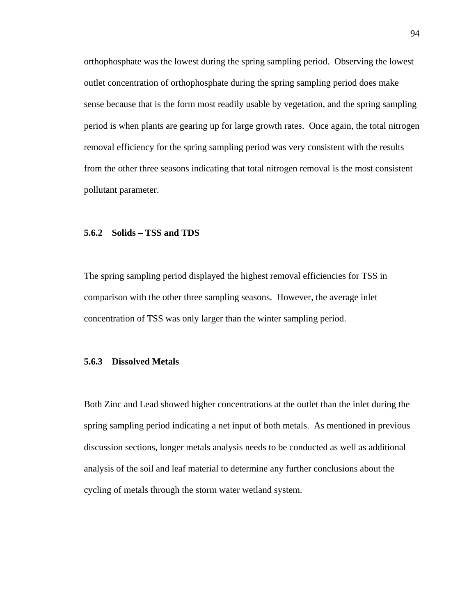orthophosphate was the lowest during the spring sampling period. Observing the lowest outlet concentration of orthophosphate during the spring sampling period does make sense because that is the form most readily usable by vegetation, and the spring sampling period is when plants are gearing up for large growth rates. Once again, the total nitrogen removal efficiency for the spring sampling period was very consistent with the results from the other three seasons indicating that total nitrogen removal is the most consistent pollutant parameter.

# **5.6.2 Solids – TSS and TDS**

The spring sampling period displayed the highest removal efficiencies for TSS in comparison with the other three sampling seasons. However, the average inlet concentration of TSS was only larger than the winter sampling period.

# **5.6.3 Dissolved Metals**

Both Zinc and Lead showed higher concentrations at the outlet than the inlet during the spring sampling period indicating a net input of both metals. As mentioned in previous discussion sections, longer metals analysis needs to be conducted as well as additional analysis of the soil and leaf material to determine any further conclusions about the cycling of metals through the storm water wetland system.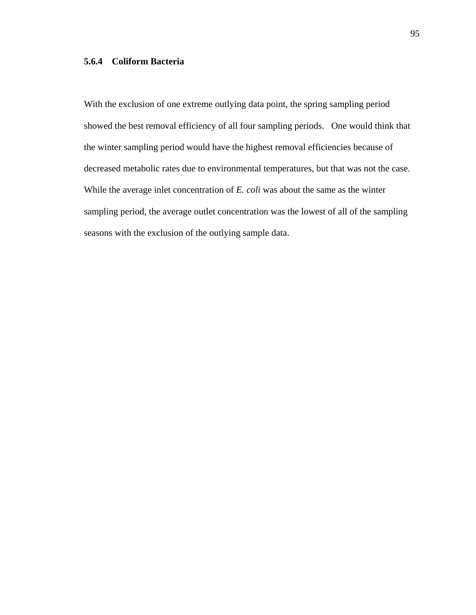# **5.6.4 Coliform Bacteria**

With the exclusion of one extreme outlying data point, the spring sampling period showed the best removal efficiency of all four sampling periods. One would think that the winter sampling period would have the highest removal efficiencies because of decreased metabolic rates due to environmental temperatures, but that was not the case. While the average inlet concentration of *E. coli* was about the same as the winter sampling period, the average outlet concentration was the lowest of all of the sampling seasons with the exclusion of the outlying sample data.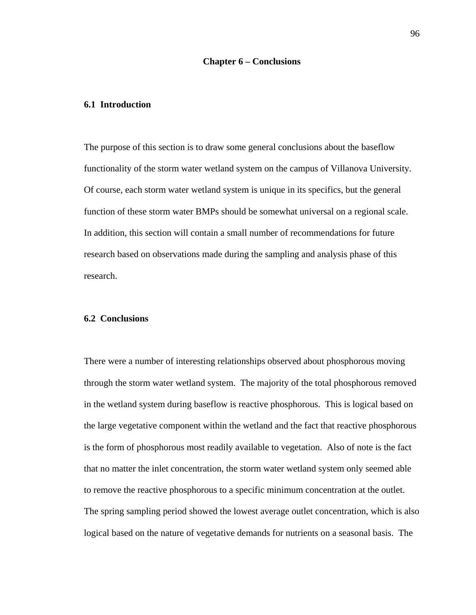# **6.1 Introduction**

The purpose of this section is to draw some general conclusions about the baseflow functionality of the storm water wetland system on the campus of Villanova University. Of course, each storm water wetland system is unique in its specifics, but the general function of these storm water BMPs should be somewhat universal on a regional scale. In addition, this section will contain a small number of recommendations for future research based on observations made during the sampling and analysis phase of this research.

# **6.2 Conclusions**

There were a number of interesting relationships observed about phosphorous moving through the storm water wetland system. The majority of the total phosphorous removed in the wetland system during baseflow is reactive phosphorous. This is logical based on the large vegetative component within the wetland and the fact that reactive phosphorous is the form of phosphorous most readily available to vegetation. Also of note is the fact that no matter the inlet concentration, the storm water wetland system only seemed able to remove the reactive phosphorous to a specific minimum concentration at the outlet. The spring sampling period showed the lowest average outlet concentration, which is also logical based on the nature of vegetative demands for nutrients on a seasonal basis. The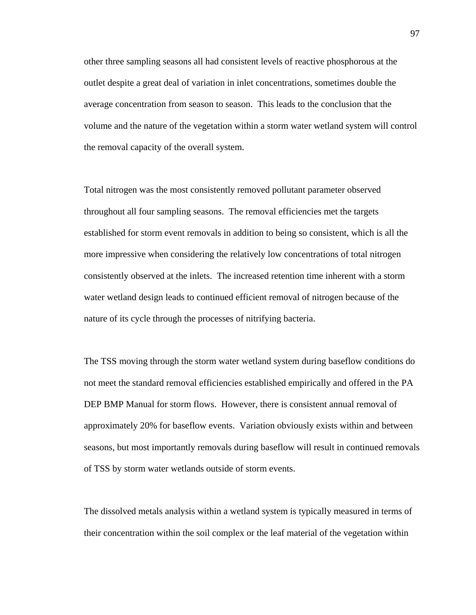other three sampling seasons all had consistent levels of reactive phosphorous at the outlet despite a great deal of variation in inlet concentrations, sometimes double the average concentration from season to season. This leads to the conclusion that the volume and the nature of the vegetation within a storm water wetland system will control the removal capacity of the overall system.

Total nitrogen was the most consistently removed pollutant parameter observed throughout all four sampling seasons. The removal efficiencies met the targets established for storm event removals in addition to being so consistent, which is all the more impressive when considering the relatively low concentrations of total nitrogen consistently observed at the inlets. The increased retention time inherent with a storm water wetland design leads to continued efficient removal of nitrogen because of the nature of its cycle through the processes of nitrifying bacteria.

The TSS moving through the storm water wetland system during baseflow conditions do not meet the standard removal efficiencies established empirically and offered in the PA DEP BMP Manual for storm flows. However, there is consistent annual removal of approximately 20% for baseflow events. Variation obviously exists within and between seasons, but most importantly removals during baseflow will result in continued removals of TSS by storm water wetlands outside of storm events.

The dissolved metals analysis within a wetland system is typically measured in terms of their concentration within the soil complex or the leaf material of the vegetation within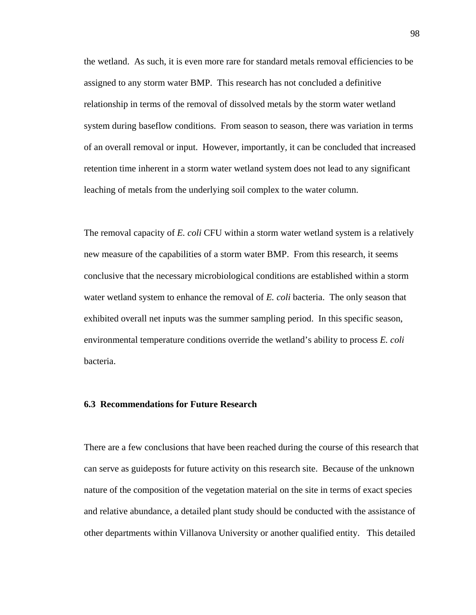the wetland. As such, it is even more rare for standard metals removal efficiencies to be assigned to any storm water BMP. This research has not concluded a definitive relationship in terms of the removal of dissolved metals by the storm water wetland system during baseflow conditions. From season to season, there was variation in terms of an overall removal or input. However, importantly, it can be concluded that increased retention time inherent in a storm water wetland system does not lead to any significant leaching of metals from the underlying soil complex to the water column.

The removal capacity of *E. coli* CFU within a storm water wetland system is a relatively new measure of the capabilities of a storm water BMP. From this research, it seems conclusive that the necessary microbiological conditions are established within a storm water wetland system to enhance the removal of *E. coli* bacteria. The only season that exhibited overall net inputs was the summer sampling period. In this specific season, environmental temperature conditions override the wetland's ability to process *E. coli* bacteria.

#### **6.3 Recommendations for Future Research**

There are a few conclusions that have been reached during the course of this research that can serve as guideposts for future activity on this research site. Because of the unknown nature of the composition of the vegetation material on the site in terms of exact species and relative abundance, a detailed plant study should be conducted with the assistance of other departments within Villanova University or another qualified entity. This detailed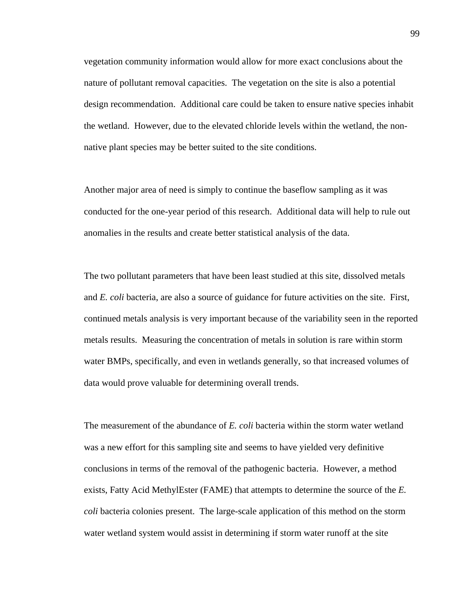vegetation community information would allow for more exact conclusions about the nature of pollutant removal capacities. The vegetation on the site is also a potential design recommendation. Additional care could be taken to ensure native species inhabit the wetland. However, due to the elevated chloride levels within the wetland, the nonnative plant species may be better suited to the site conditions.

Another major area of need is simply to continue the baseflow sampling as it was conducted for the one-year period of this research. Additional data will help to rule out anomalies in the results and create better statistical analysis of the data.

The two pollutant parameters that have been least studied at this site, dissolved metals and *E. coli* bacteria, are also a source of guidance for future activities on the site. First, continued metals analysis is very important because of the variability seen in the reported metals results. Measuring the concentration of metals in solution is rare within storm water BMPs, specifically, and even in wetlands generally, so that increased volumes of data would prove valuable for determining overall trends.

The measurement of the abundance of *E. coli* bacteria within the storm water wetland was a new effort for this sampling site and seems to have yielded very definitive conclusions in terms of the removal of the pathogenic bacteria. However, a method exists, Fatty Acid MethylEster (FAME) that attempts to determine the source of the *E. coli* bacteria colonies present. The large-scale application of this method on the storm water wetland system would assist in determining if storm water runoff at the site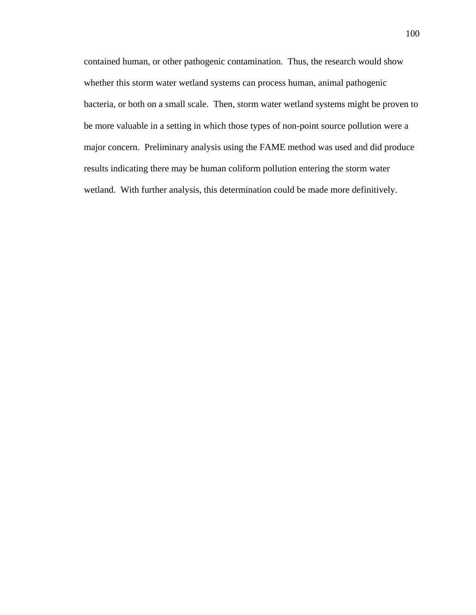contained human, or other pathogenic contamination. Thus, the research would show whether this storm water wetland systems can process human, animal pathogenic bacteria, or both on a small scale. Then, storm water wetland systems might be proven to be more valuable in a setting in which those types of non-point source pollution were a major concern. Preliminary analysis using the FAME method was used and did produce results indicating there may be human coliform pollution entering the storm water wetland. With further analysis, this determination could be made more definitively.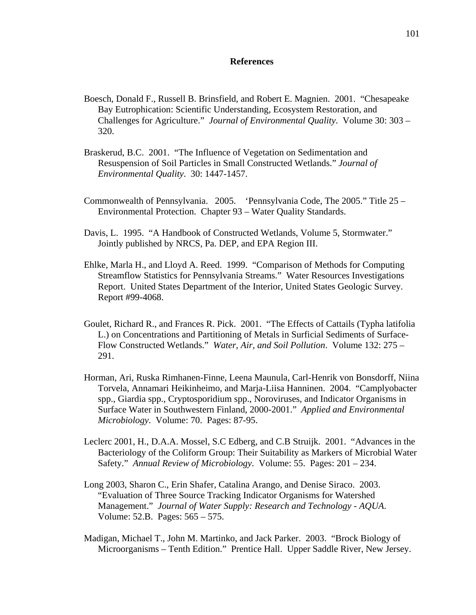#### **References**

- Boesch, Donald F., Russell B. Brinsfield, and Robert E. Magnien. 2001. "Chesapeake Bay Eutrophication: Scientific Understanding, Ecosystem Restoration, and Challenges for Agriculture." *Journal of Environmental Quality*. Volume 30: 303 – 320.
- Braskerud, B.C. 2001. "The Influence of Vegetation on Sedimentation and Resuspension of Soil Particles in Small Constructed Wetlands." *Journal of Environmental Quality*. 30: 1447-1457.
- Commonwealth of Pennsylvania. 2005. 'Pennsylvania Code, The 2005." Title 25 Environmental Protection. Chapter 93 – Water Quality Standards.
- Davis, L. 1995. "A Handbook of Constructed Wetlands, Volume 5, Stormwater." Jointly published by NRCS, Pa. DEP, and EPA Region III.
- Ehlke, Marla H., and Lloyd A. Reed. 1999. "Comparison of Methods for Computing Streamflow Statistics for Pennsylvania Streams." Water Resources Investigations Report. United States Department of the Interior, United States Geologic Survey. Report #99-4068.
- Goulet, Richard R., and Frances R. Pick. 2001. "The Effects of Cattails (Typha latifolia L.) on Concentrations and Partitioning of Metals in Surficial Sediments of Surface-Flow Constructed Wetlands." *Water, Air, and Soil Pollution*. Volume 132: 275 – 291.
- Horman, Ari, Ruska Rimhanen-Finne, Leena Maunula, Carl-Henrik von Bonsdorff, Niina Torvela, Annamari Heikinheimo, and Marja-Liisa Hanninen. 2004. "Camplyobacter spp., Giardia spp., Cryptosporidium spp., Noroviruses, and Indicator Organisms in Surface Water in Southwestern Finland, 2000-2001." *Applied and Environmental Microbiology*. Volume: 70. Pages: 87-95.
- Leclerc 2001, H., D.A.A. Mossel, S.C Edberg, and C.B Struijk. 2001. "Advances in the Bacteriology of the Coliform Group: Their Suitability as Markers of Microbial Water Safety." *Annual Review of Microbiology*. Volume: 55. Pages: 201 – 234.
- Long 2003, Sharon C., Erin Shafer, Catalina Arango, and Denise Siraco. 2003. "Evaluation of Three Source Tracking Indicator Organisms for Watershed Management." *Journal of Water Supply: Research and Technology - AQUA*. Volume: 52.B. Pages: 565 – 575.
- Madigan, Michael T., John M. Martinko, and Jack Parker. 2003. "Brock Biology of Microorganisms – Tenth Edition." Prentice Hall. Upper Saddle River, New Jersey.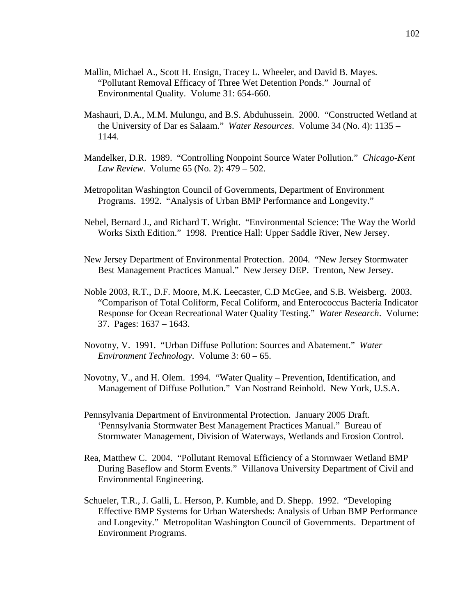- Mallin, Michael A., Scott H. Ensign, Tracey L. Wheeler, and David B. Mayes. "Pollutant Removal Efficacy of Three Wet Detention Ponds." Journal of Environmental Quality. Volume 31: 654-660.
- Mashauri, D.A., M.M. Mulungu, and B.S. Abduhussein. 2000. "Constructed Wetland at the University of Dar es Salaam." *Water Resources*. Volume 34 (No. 4): 1135 – 1144.
- Mandelker, D.R. 1989. "Controlling Nonpoint Source Water Pollution." *Chicago-Kent Law Review*. Volume 65 (No. 2): 479 – 502.
- Metropolitan Washington Council of Governments, Department of Environment Programs. 1992. "Analysis of Urban BMP Performance and Longevity."
- Nebel, Bernard J., and Richard T. Wright. "Environmental Science: The Way the World Works Sixth Edition." 1998. Prentice Hall: Upper Saddle River, New Jersey.
- New Jersey Department of Environmental Protection. 2004. "New Jersey Stormwater Best Management Practices Manual." New Jersey DEP. Trenton, New Jersey.
- Noble 2003, R.T., D.F. Moore, M.K. Leecaster, C.D McGee, and S.B. Weisberg. 2003. "Comparison of Total Coliform, Fecal Coliform, and Enterococcus Bacteria Indicator Response for Ocean Recreational Water Quality Testing." *Water Research*. Volume: 37. Pages: 1637 – 1643.
- Novotny, V. 1991. "Urban Diffuse Pollution: Sources and Abatement." *Water Environment Technology*. Volume 3: 60 – 65.
- Novotny, V., and H. Olem. 1994. "Water Quality Prevention, Identification, and Management of Diffuse Pollution." Van Nostrand Reinhold. New York, U.S.A.
- Pennsylvania Department of Environmental Protection. January 2005 Draft. 'Pennsylvania Stormwater Best Management Practices Manual." Bureau of Stormwater Management, Division of Waterways, Wetlands and Erosion Control.
- Rea, Matthew C. 2004. "Pollutant Removal Efficiency of a Stormwaer Wetland BMP During Baseflow and Storm Events." Villanova University Department of Civil and Environmental Engineering.
- Schueler, T.R., J. Galli, L. Herson, P. Kumble, and D. Shepp. 1992. "Developing Effective BMP Systems for Urban Watersheds: Analysis of Urban BMP Performance and Longevity." Metropolitan Washington Council of Governments. Department of Environment Programs.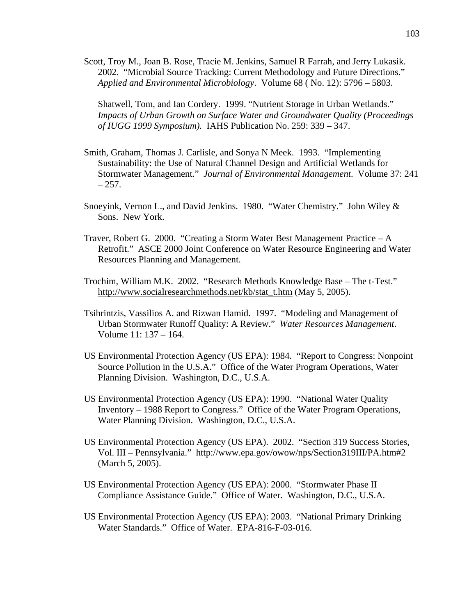Scott, Troy M., Joan B. Rose, Tracie M. Jenkins, Samuel R Farrah, and Jerry Lukasik. 2002. "Microbial Source Tracking: Current Methodology and Future Directions." *Applied and Environmental Microbiology*. Volume 68 ( No. 12): 5796 – 5803.

Shatwell, Tom, and Ian Cordery. 1999. "Nutrient Storage in Urban Wetlands." *Impacts of Urban Growth on Surface Water and Groundwater Quality (Proceedings of IUGG 1999 Symposium).* IAHS Publication No. 259: 339 – 347.

- Smith, Graham, Thomas J. Carlisle, and Sonya N Meek. 1993. "Implementing Sustainability: the Use of Natural Channel Design and Artificial Wetlands for Stormwater Management." *Journal of Environmental Management*. Volume 37: 241  $-257.$
- Snoeyink, Vernon L., and David Jenkins. 1980. "Water Chemistry." John Wiley & Sons. New York.
- Traver, Robert G. 2000. "Creating a Storm Water Best Management Practice A Retrofit." ASCE 2000 Joint Conference on Water Resource Engineering and Water Resources Planning and Management.
- Trochim, William M.K. 2002. "Research Methods Knowledge Base The t-Test." http://www.socialresearchmethods.net/kb/stat\_t.htm (May 5, 2005).
- Tsihrintzis, Vassilios A. and Rizwan Hamid. 1997. "Modeling and Management of Urban Stormwater Runoff Quality: A Review." *Water Resources Management*. Volume 11: 137 – 164.
- US Environmental Protection Agency (US EPA): 1984. "Report to Congress: Nonpoint Source Pollution in the U.S.A." Office of the Water Program Operations, Water Planning Division. Washington, D.C., U.S.A.
- US Environmental Protection Agency (US EPA): 1990. "National Water Quality Inventory – 1988 Report to Congress." Office of the Water Program Operations, Water Planning Division. Washington, D.C., U.S.A.
- US Environmental Protection Agency (US EPA). 2002. "Section 319 Success Stories, Vol. III – Pennsylvania." http://www.epa.gov/owow/nps/Section319III/PA.htm#2 (March 5, 2005).
- US Environmental Protection Agency (US EPA): 2000. "Stormwater Phase II Compliance Assistance Guide." Office of Water. Washington, D.C., U.S.A.
- US Environmental Protection Agency (US EPA): 2003. "National Primary Drinking Water Standards." Office of Water. EPA-816-F-03-016.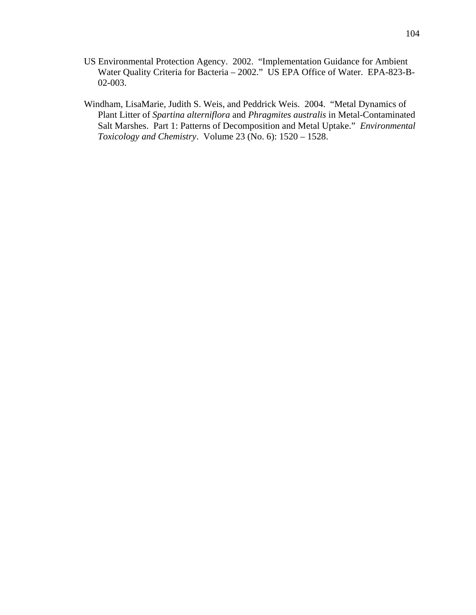- US Environmental Protection Agency. 2002. "Implementation Guidance for Ambient Water Quality Criteria for Bacteria – 2002." US EPA Office of Water. EPA-823-B-02-003.
- Windham, LisaMarie, Judith S. Weis, and Peddrick Weis. 2004. "Metal Dynamics of Plant Litter of *Spartina alterniflora* and *Phragmites australis* in Metal-Contaminated Salt Marshes. Part 1: Patterns of Decomposition and Metal Uptake." *Environmental Toxicology and Chemistry*. Volume 23 (No. 6): 1520 – 1528.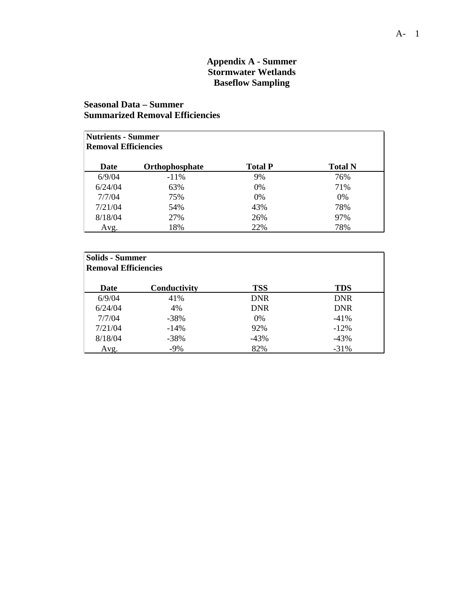# **Appendix A - Summer Stormwater Wetlands Baseflow Sampling**

# **Seasonal Data – Summer Summarized Removal Efficiencies**

| <b>Nutrients - Summer</b><br><b>Removal Efficiencies</b> |                       |                |                |
|----------------------------------------------------------|-----------------------|----------------|----------------|
| Date                                                     | <b>Orthophosphate</b> | <b>Total P</b> | <b>Total N</b> |
| 6/9/04                                                   | $-11\%$               | 9%             | 76%            |
| 6/24/04                                                  | 63%                   | 0%             | 71%            |
| 7/7/04                                                   | 75%                   | 0%             | $0\%$          |
| 7/21/04                                                  | 54%                   | 43%            | 78%            |
| 8/18/04                                                  | 27%                   | 26%            | 97%            |
| Avg.                                                     | 18%                   | 22%            | 78%            |

| <b>Solids - Summer</b><br><b>Removal Efficiencies</b> |              |            |            |
|-------------------------------------------------------|--------------|------------|------------|
| Date                                                  | Conductivity | <b>TSS</b> | <b>TDS</b> |
| 6/9/04                                                | 41%          | <b>DNR</b> | <b>DNR</b> |
| 6/24/04                                               | 4%           | <b>DNR</b> | <b>DNR</b> |
| 7/7/04                                                | $-38%$       | 0%         | $-41%$     |
| 7/21/04                                               | $-14%$       | 92%        | $-12%$     |
| 8/18/04                                               | $-38%$       | $-43%$     | $-43%$     |
| Avg.                                                  | $-9%$        | 82%        | $-31%$     |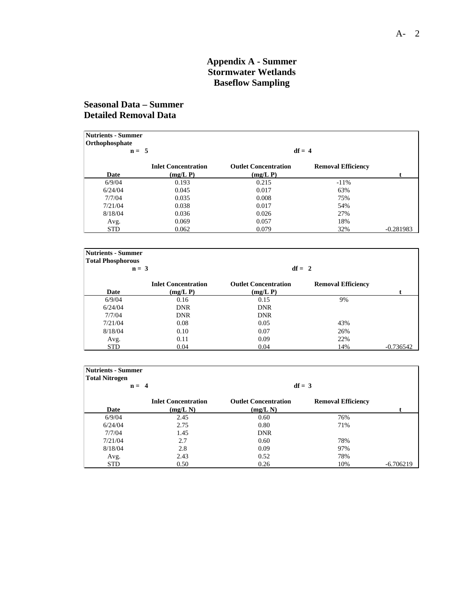#### **Appendix A - Summer Stormwater Wetlands Baseflow Sampling**

# **Seasonal Data – Summer Detailed Removal Data**

| <b>Nutrients - Summer</b><br>Orthophosphate | $n = 5$                    |                             | $df = 4$                  |             |
|---------------------------------------------|----------------------------|-----------------------------|---------------------------|-------------|
|                                             | <b>Inlet Concentration</b> | <b>Outlet Concentration</b> | <b>Removal Efficiency</b> |             |
| Date                                        | $(mg/L)$ P)                | (mg/L)                      |                           |             |
| 6/9/04                                      | 0.193                      | 0.215                       | $-11\%$                   |             |
| 6/24/04                                     | 0.045                      | 0.017                       | 63%                       |             |
| 7/7/04                                      | 0.035                      | 0.008                       | 75%                       |             |
| 7/21/04                                     | 0.038                      | 0.017                       | 54%                       |             |
| 8/18/04                                     | 0.036                      | 0.026                       | 27%                       |             |
| Avg.                                        | 0.069                      | 0.057                       | 18%                       |             |
| <b>STD</b>                                  | 0.062                      | 0.079                       | 32%                       | $-0.281983$ |

| <b>Nutrients - Summer</b><br><b>Total Phosphorous</b> |                                           |                                            |                           |             |
|-------------------------------------------------------|-------------------------------------------|--------------------------------------------|---------------------------|-------------|
|                                                       | $n = 3$                                   | $df = 2$                                   |                           |             |
| Date                                                  | <b>Inlet Concentration</b><br>$(mg/L)$ P) | <b>Outlet Concentration</b><br>$(mg/L)$ P) | <b>Removal Efficiency</b> |             |
| 6/9/04                                                | 0.16                                      | 0.15                                       | 9%                        |             |
| 6/24/04                                               | <b>DNR</b>                                | <b>DNR</b>                                 |                           |             |
| 7/7/04                                                | <b>DNR</b>                                | <b>DNR</b>                                 |                           |             |
| 7/21/04                                               | 0.08                                      | 0.05                                       | 43%                       |             |
| 8/18/04                                               | 0.10                                      | 0.07                                       | 26%                       |             |
| Avg.                                                  | 0.11                                      | 0.09                                       | 22%                       |             |
| <b>STD</b>                                            | 0.04                                      | 0.04                                       | 14%                       | $-0.736542$ |

| <b>Nutrients - Summer</b> |                            |                             |                           |             |
|---------------------------|----------------------------|-----------------------------|---------------------------|-------------|
| <b>Total Nitrogen</b>     | $n = 4$                    |                             | $df = 3$                  |             |
|                           |                            |                             |                           |             |
|                           | <b>Inlet Concentration</b> | <b>Outlet Concentration</b> | <b>Removal Efficiency</b> |             |
| Date                      | (mg/L N)                   | (mg/L)                      |                           |             |
| 6/9/04                    | 2.45                       | 0.60                        | 76%                       |             |
| 6/24/04                   | 2.75                       | 0.80                        | 71%                       |             |
| 7/7/04                    | 1.45                       | <b>DNR</b>                  |                           |             |
| 7/21/04                   | 2.7                        | 0.60                        | 78%                       |             |
| 8/18/04                   | 2.8                        | 0.09                        | 97%                       |             |
| Avg.                      | 2.43                       | 0.52                        | 78%                       |             |
| <b>STD</b>                | 0.50                       | 0.26                        | 10%                       | $-6.706219$ |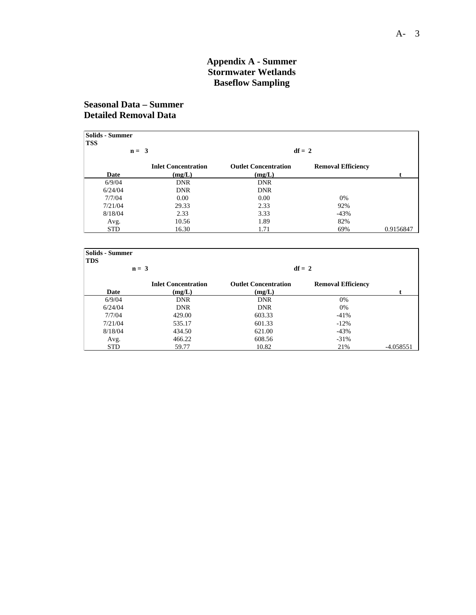#### **Appendix A - Summer Stormwater Wetlands Baseflow Sampling**

# **Seasonal Data – Summer Detailed Removal Data**

| Solids - Summer |         |                            |                             |                           |           |
|-----------------|---------|----------------------------|-----------------------------|---------------------------|-----------|
| <b>TSS</b>      |         |                            |                             |                           |           |
|                 | $n = 3$ |                            |                             | $df = 2$                  |           |
|                 |         | <b>Inlet Concentration</b> | <b>Outlet Concentration</b> | <b>Removal Efficiency</b> |           |
| Date            |         | (mg/L)                     | (mg/L)                      |                           |           |
| 6/9/04          |         | <b>DNR</b>                 | <b>DNR</b>                  |                           |           |
| 6/24/04         |         | <b>DNR</b>                 | <b>DNR</b>                  |                           |           |
| 7/7/04          |         | 0.00                       | 0.00                        | 0%                        |           |
| 7/21/04         |         | 29.33                      | 2.33                        | 92%                       |           |
| 8/18/04         |         | 2.33                       | 3.33                        | $-43%$                    |           |
| Avg.            |         | 10.56                      | 1.89                        | 82%                       |           |
| <b>STD</b>      |         | 16.30                      | 1.71                        | 69%                       | 0.9156847 |

| <b>Solids - Summer</b><br><b>TDS</b> |                                      |                                       |                           |             |
|--------------------------------------|--------------------------------------|---------------------------------------|---------------------------|-------------|
|                                      | $n = 3$                              | $df = 2$                              |                           |             |
| Date                                 | <b>Inlet Concentration</b><br>(mg/L) | <b>Outlet Concentration</b><br>(mg/L) | <b>Removal Efficiency</b> |             |
| 6/9/04                               | <b>DNR</b>                           | <b>DNR</b>                            | 0%                        |             |
| 6/24/04                              | <b>DNR</b>                           | <b>DNR</b>                            | 0%                        |             |
| 7/7/04                               | 429.00                               | 603.33                                | $-41%$                    |             |
| 7/21/04                              | 535.17                               | 601.33                                | $-12%$                    |             |
| 8/18/04                              | 434.50                               | 621.00                                | $-43%$                    |             |
| Avg.                                 | 466.22                               | 608.56                                | $-31%$                    |             |
| <b>STD</b>                           | 59.77                                | 10.82                                 | 21%                       | $-4.058551$ |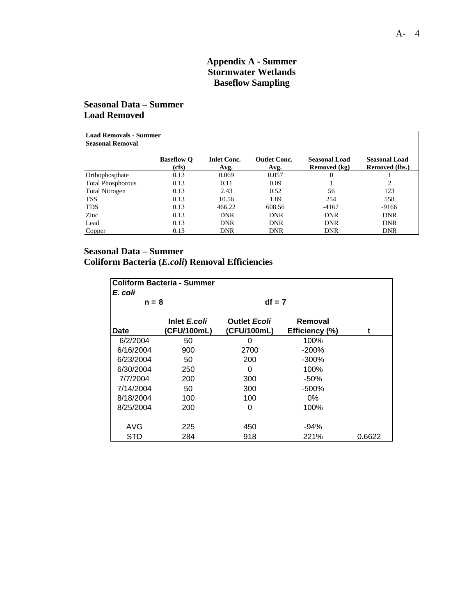## **Appendix A - Summer Stormwater Wetlands Baseflow Sampling**

### **Seasonal Data – Summer Load Removed**

| Load Removals - Summer<br><b>Seasonal Removal</b> |                            |                            |                             |                                      |                                        |
|---------------------------------------------------|----------------------------|----------------------------|-----------------------------|--------------------------------------|----------------------------------------|
|                                                   | <b>Baseflow O</b><br>(cfs) | <b>Inlet Conc.</b><br>Avg. | <b>Outlet Conc.</b><br>Avg. | <b>Seasonal Load</b><br>Removed (kg) | <b>Seasonal Load</b><br>Removed (lbs.) |
| Orthophosphate                                    | 0.13                       | 0.069                      | 0.057                       | $\theta$                             |                                        |
| <b>Total Phosphorous</b>                          | 0.13                       | 0.11                       | 0.09                        |                                      | $\overline{c}$                         |
| <b>Total Nitrogen</b>                             | 0.13                       | 2.43                       | 0.52                        | 56                                   | 123                                    |
| <b>TSS</b>                                        | 0.13                       | 10.56                      | 1.89                        | 254                                  | 558                                    |
| <b>TDS</b>                                        | 0.13                       | 466.22                     | 608.56                      | $-4167$                              | $-9166$                                |
| Zinc                                              | 0.13                       | <b>DNR</b>                 | <b>DNR</b>                  | <b>DNR</b>                           | <b>DNR</b>                             |
| Lead                                              | 0.13                       | <b>DNR</b>                 | <b>DNR</b>                  | <b>DNR</b>                           | <b>DNR</b>                             |
| Copper                                            | 0.13                       | <b>DNR</b>                 | <b>DNR</b>                  | <b>DNR</b>                           | <b>DNR</b>                             |

#### **Seasonal Data – Summer**

**Coliform Bacteria (***E.coli***) Removal Efficiencies** 

| <b>Coliform Bacteria - Summer</b><br>E. coli |                             |                                    |                           |        |
|----------------------------------------------|-----------------------------|------------------------------------|---------------------------|--------|
| $n = 8$                                      |                             | $df = 7$                           |                           |        |
| Date                                         | Inlet E.coli<br>(CFU/100mL) | <b>Outlet Ecoli</b><br>(CFU/100mL) | Removal<br>Efficiency (%) | t      |
| 6/2/2004                                     | 50                          | O                                  | 100%                      |        |
| 6/16/2004                                    | 900                         | 2700                               | $-200\%$                  |        |
| 6/23/2004                                    | 50                          | 200                                | -300%                     |        |
| 6/30/2004                                    | 250                         | 0                                  | 100%                      |        |
| 7/7/2004                                     | 200                         | 300                                | -50%                      |        |
| 7/14/2004                                    | 50                          | 300                                | -500%                     |        |
| 8/18/2004                                    | 100                         | 100                                | $0\%$                     |        |
| 8/25/2004                                    | 200                         | 0                                  | 100%                      |        |
| AVG                                          | 225                         | 450                                | $-94%$                    |        |
| STD                                          | 284                         | 918                                | 221%                      | 0.6622 |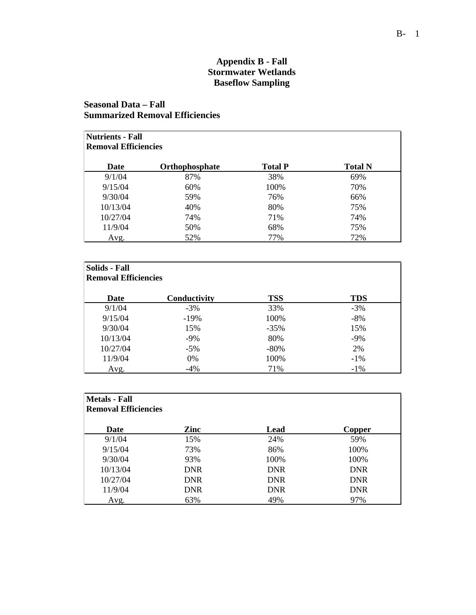# **Appendix B - Fall Stormwater Wetlands Baseflow Sampling**

# **Seasonal Data – Fall Summarized Removal Efficiencies**

| <b>Nutrients - Fall</b><br><b>Removal Efficiencies</b> |                |                |                |
|--------------------------------------------------------|----------------|----------------|----------------|
| Date                                                   | Orthophosphate | <b>Total P</b> | <b>Total N</b> |
| 9/1/04                                                 | 87%            | 38%            | 69%            |
| 9/15/04                                                | 60%            | 100%           | 70%            |
| 9/30/04                                                | 59%            | 76%            | 66%            |
| 10/13/04                                               | 40%            | 80%            | 75%            |
| 10/27/04                                               | 74%            | 71%            | 74%            |
| 11/9/04                                                | 50%            | 68%            | 75%            |
| Avg.                                                   | 52%            | 77%            | 72%            |

| Solids - Fall<br><b>Removal Efficiencies</b> |              |            |            |
|----------------------------------------------|--------------|------------|------------|
| Date                                         | Conductivity | <b>TSS</b> | <b>TDS</b> |
| 9/1/04                                       | $-3\%$       | 33%        | $-3%$      |
| 9/15/04                                      | $-19\%$      | 100%       | $-8%$      |
| 9/30/04                                      | 15%          | $-35\%$    | 15%        |
| 10/13/04                                     | $-9\%$       | 80%        | $-9\%$     |
| 10/27/04                                     | $-5\%$       | $-80\%$    | 2%         |
| 11/9/04                                      | 0%           | 100%       | $-1\%$     |
| Avg.                                         | $-4%$        | 71%        | $-1\%$     |

| <b>Metals</b> - Fall<br><b>Removal Efficiencies</b> |            |            |               |
|-----------------------------------------------------|------------|------------|---------------|
| Date                                                | Zinc       | Lead       | <b>Copper</b> |
| 9/1/04                                              | 15%        | 24%        | 59%           |
| 9/15/04                                             | 73%        | 86%        | 100%          |
| 9/30/04                                             | 93%        | 100%       | 100%          |
| 10/13/04                                            | <b>DNR</b> | <b>DNR</b> | <b>DNR</b>    |
| 10/27/04                                            | <b>DNR</b> | <b>DNR</b> | <b>DNR</b>    |
| 11/9/04                                             | <b>DNR</b> | <b>DNR</b> | <b>DNR</b>    |
| Avg.                                                | 63%        | 49%        | 97%           |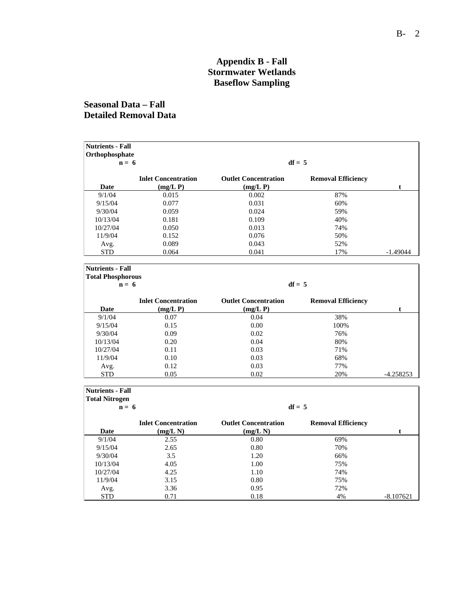## **Appendix B - Fall Stormwater Wetlands Baseflow Sampling**

# **Seasonal Data – Fall Detailed Removal Data**

| <b>Nutrients - Fall</b>   |                            |                             |                           |             |
|---------------------------|----------------------------|-----------------------------|---------------------------|-------------|
| Orthophosphate<br>$n = 6$ |                            |                             | $df = 5$                  |             |
|                           | <b>Inlet Concentration</b> | <b>Outlet Concentration</b> | <b>Removal Efficiency</b> |             |
| Date                      | (mg/L)                     | (mg/L)                      |                           | t           |
| 9/1/04                    | 0.015                      | 0.002                       | 87%                       |             |
| 9/15/04                   | 0.077                      | 0.031                       | 60%                       |             |
| 9/30/04                   | 0.059                      | 0.024                       | 59%                       |             |
| 10/13/04                  | 0.181                      | 0.109                       | 40%                       |             |
| 10/27/04                  | 0.050                      | 0.013                       | 74%                       |             |
| 11/9/04                   | 0.152                      | 0.076                       | 50%                       |             |
| Avg.                      | 0.089                      | 0.043                       | 52%                       |             |
| <b>STD</b>                | 0.064                      | 0.041                       | 17%                       | $-1.49044$  |
|                           |                            |                             |                           |             |
| <b>Nutrients - Fall</b>   |                            |                             |                           |             |
| <b>Total Phosphorous</b>  |                            |                             |                           |             |
| $n = 6$                   |                            |                             | $df = 5$                  |             |
|                           | <b>Inlet Concentration</b> | <b>Outlet Concentration</b> | <b>Removal Efficiency</b> |             |
| Date                      | (mg/L)                     | (mg/L)                      |                           | t           |
| 9/1/04                    | 0.07                       | 0.04                        | 38%                       |             |
| 9/15/04                   | 0.15                       | 0.00                        | 100%                      |             |
| 9/30/04                   | 0.09                       | 0.02                        | 76%                       |             |
| 10/13/04                  | 0.20                       | 0.04                        | 80%                       |             |
| 10/27/04                  | 0.11                       | 0.03                        | 71%                       |             |
| 11/9/04                   | 0.10                       | 0.03                        | 68%                       |             |
| Avg.                      | 0.12                       | 0.03                        | 77%                       |             |
| <b>STD</b>                | 0.05                       | 0.02                        | 20%                       | $-4.258253$ |
|                           |                            |                             |                           |             |
| <b>Nutrients - Fall</b>   |                            |                             |                           |             |
| <b>Total Nitrogen</b>     |                            |                             |                           |             |
| $n = 6$                   |                            |                             | $df = 5$                  |             |
|                           | <b>Inlet Concentration</b> | <b>Outlet Concentration</b> | <b>Removal Efficiency</b> |             |
| Date                      | (mg/L)                     | (mg/L N)                    |                           | t.          |
| 9/1/04                    | 2.55                       | 0.80                        | 69%                       |             |
| 9/15/04                   | 2.65                       | 0.80                        | 70%                       |             |
| 9/30/04                   | 3.5                        | 1.20                        | 66%                       |             |
| 10/13/04                  | 4.05                       | 1.00                        | 75%                       |             |
| 10/27/04                  | 4.25                       | 1.10                        | 74%                       |             |

11/9/04 3.15 0.80 75% Avg. 3.36 0.95 72%

STD 0.71 0.18 4% -8.107621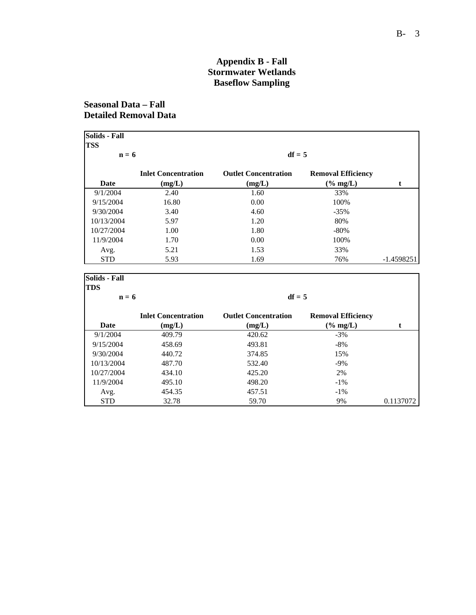## **Appendix B - Fall Stormwater Wetlands Baseflow Sampling**

# **Seasonal Data – Fall Detailed Removal Data**

| <b>Solids - Fall</b>  |                            |                             |                           |              |
|-----------------------|----------------------------|-----------------------------|---------------------------|--------------|
| <b>TSS</b><br>$n = 6$ |                            | $df = 5$                    |                           |              |
|                       |                            |                             |                           |              |
|                       | <b>Inlet Concentration</b> | <b>Outlet Concentration</b> | <b>Removal Efficiency</b> |              |
| <b>Date</b>           | (mg/L)                     | (mg/L)                      | $(% \mathbf{H})$ (% mg/L) | t            |
| 9/1/2004              | 2.40                       | 1.60                        | 33%                       |              |
| 9/15/2004             | 16.80                      | 0.00                        | 100%                      |              |
| 9/30/2004             | 3.40                       | 4.60                        | $-35%$                    |              |
| 10/13/2004            | 5.97                       | 1.20                        | 80%                       |              |
| 10/27/2004            | 1.00                       | 1.80                        | $-80%$                    |              |
| 11/9/2004             | 1.70                       | 0.00                        | 100%                      |              |
| Avg.                  | 5.21                       | 1.53                        | 33%                       |              |
| <b>STD</b>            | 5.93                       | 1.69                        | 76%                       | $-1.4598251$ |
| <b>Solids - Fall</b>  |                            |                             |                           |              |
| <b>TDS</b>            |                            |                             |                           |              |
| $n = 6$               |                            | $df = 5$                    |                           |              |
|                       | <b>Inlet Concentration</b> | <b>Outlet Concentration</b> | <b>Removal Efficiency</b> |              |
| <b>Date</b>           | (mg/L)                     | (mg/L)                      | $(% \mathbf{H})$ (% mg/L) | t            |
| 9/1/2004              | 409.79                     | 420.62                      | $-3%$                     |              |
| 9/15/2004             | 458.69                     | 493.81                      | $-8%$                     |              |
| 9/30/2004             | 440.72                     | 374.85                      | 15%                       |              |
| 10/13/2004            | 487.70                     | 532.40                      | $-9%$                     |              |
| 10/27/2004            | 434.10                     | 425.20                      | 2%                        |              |
| 11/9/2004             | 495.10                     | 498.20                      | $-1%$                     |              |

Avg. 454.35 457.51 -1%<br>STD 32.78 59.70 9% 0.1137072

Avg. 454.35 457.51 -1%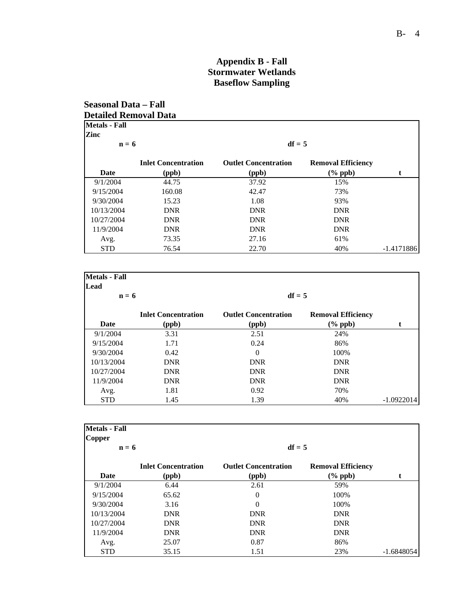### **Appendix B - Fall Stormwater Wetlands Baseflow Sampling**

#### **Seasonal Data – Fall Detailed Removal Data Metals - Fall Zinc**  $n = 6$  df = 5 **Inlet Concentration Outlet Concentration Removal Efficiency Date (ppb) (ppb) (% ppb) t** 9/1/2004 44.75 37.92 15% 9/15/2004 160.08 42.47 73% 9/30/2004 15.23 1.08 93% 10/13/2004 DNR DNR DNR 10/27/2004 DNR DNR DNR 11/9/2004 DNR DNR DNR Avg. 27.16 61% STD 76.54 22.70 40% -1.4171886

| <b>Metals</b> - Fall<br>Lead |                                     |                                      |                                         |              |
|------------------------------|-------------------------------------|--------------------------------------|-----------------------------------------|--------------|
| $n = 6$                      |                                     | $df = 5$                             |                                         |              |
| <b>Date</b>                  | <b>Inlet Concentration</b><br>(ppb) | <b>Outlet Concentration</b><br>(ppb) | <b>Removal Efficiency</b><br>$(\%$ ppb) |              |
| 9/1/2004                     | 3.31                                | 2.51                                 | 24%                                     |              |
| 9/15/2004                    | 1.71                                | 0.24                                 | 86%                                     |              |
| 9/30/2004                    | 0.42                                | $\overline{0}$                       | 100%                                    |              |
| 10/13/2004                   | <b>DNR</b>                          | <b>DNR</b>                           | <b>DNR</b>                              |              |
| 10/27/2004                   | <b>DNR</b>                          | <b>DNR</b>                           | <b>DNR</b>                              |              |
| 11/9/2004                    | <b>DNR</b>                          | <b>DNR</b>                           | <b>DNR</b>                              |              |
| Avg.                         | 1.81                                | 0.92                                 | 70%                                     |              |
| <b>STD</b>                   | 1.45                                | 1.39                                 | 40%                                     | $-1.0922014$ |

| <b>Metals - Fall</b><br><b>Copper</b> |                            |                             |                           |              |
|---------------------------------------|----------------------------|-----------------------------|---------------------------|--------------|
| $n = 6$                               |                            | $df = 5$                    |                           |              |
|                                       | <b>Inlet Concentration</b> | <b>Outlet Concentration</b> | <b>Removal Efficiency</b> |              |
| <b>Date</b>                           | (ppb)                      | (ppb)                       | $(\%$ ppb)                | t            |
| 9/1/2004                              | 6.44                       | 2.61                        | 59%                       |              |
| 9/15/2004                             | 65.62                      | $\overline{0}$              | 100%                      |              |
| 9/30/2004                             | 3.16                       | $\Omega$                    | 100%                      |              |
| 10/13/2004                            | <b>DNR</b>                 | <b>DNR</b>                  | <b>DNR</b>                |              |
| 10/27/2004                            | <b>DNR</b>                 | <b>DNR</b>                  | <b>DNR</b>                |              |
| 11/9/2004                             | <b>DNR</b>                 | <b>DNR</b>                  | <b>DNR</b>                |              |
| Avg.                                  | 25.07                      | 0.87                        | 86%                       |              |
| <b>STD</b>                            | 35.15                      | 1.51                        | 23%                       | $-1.6848054$ |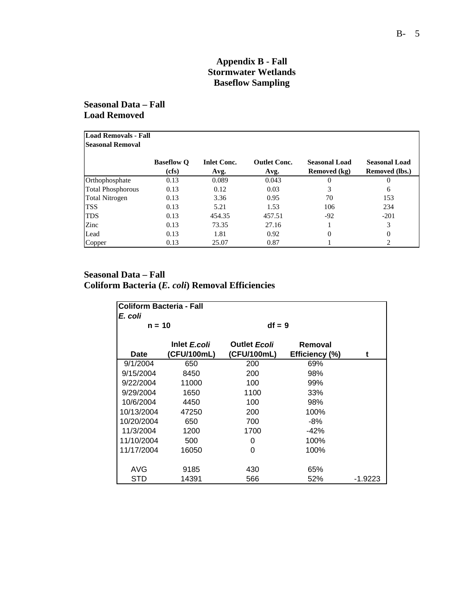## **Appendix B - Fall Stormwater Wetlands Baseflow Sampling**

**Seasonal Data – Fall Load Removed** 

| Load Removals - Fall<br><b>Seasonal Removal</b> |                            |                            |                             |                                      |                                        |
|-------------------------------------------------|----------------------------|----------------------------|-----------------------------|--------------------------------------|----------------------------------------|
|                                                 | <b>Baseflow O</b><br>(cfs) | <b>Inlet Conc.</b><br>Avg. | <b>Outlet Conc.</b><br>Avg. | <b>Seasonal Load</b><br>Removed (kg) | <b>Seasonal Load</b><br>Removed (lbs.) |
| Orthophosphate                                  | 0.13                       | 0.089                      | 0.043                       | $\Omega$                             | $\theta$                               |
| <b>Total Phosphorous</b>                        | 0.13                       | 0.12                       | 0.03                        | 3                                    | 6                                      |
| <b>Total Nitrogen</b>                           | 0.13                       | 3.36                       | 0.95                        | 70                                   | 153                                    |
| <b>TSS</b>                                      | 0.13                       | 5.21                       | 1.53                        | 106                                  | 234                                    |
| <b>TDS</b>                                      | 0.13                       | 454.35                     | 457.51                      | $-92$                                | $-201$                                 |
| Zinc                                            | 0.13                       | 73.35                      | 27.16                       |                                      | 3                                      |
| Lead                                            | 0.13                       | 1.81                       | 0.92                        | $\Omega$                             | 0                                      |
| Copper                                          | 0.13                       | 25.07                      | 0.87                        |                                      | 2                                      |

### **Seasonal Data – Fall Coliform Bacteria (***E. coli***) Removal Efficiencies**

| Coliform Bacteria - Fall<br>E. coli |                             |                                    |                           |         |
|-------------------------------------|-----------------------------|------------------------------------|---------------------------|---------|
| $n = 10$                            |                             | $df = 9$                           |                           |         |
| Date                                | Inlet E.coli<br>(CFU/100mL) | <b>Outlet Ecoli</b><br>(CFU/100mL) | Removal<br>Efficiency (%) | t       |
| 9/1/2004                            | 650                         | 200                                | 69%                       |         |
| 9/15/2004                           | 8450                        | 200                                | 98%                       |         |
| 9/22/2004                           | 11000                       | 100                                | 99%                       |         |
| 9/29/2004                           | 1650                        | 1100                               | 33%                       |         |
| 10/6/2004                           | 4450                        | 100                                | 98%                       |         |
| 10/13/2004                          | 47250                       | 200                                | 100%                      |         |
| 10/20/2004                          | 650                         | 700                                | -8%                       |         |
| 11/3/2004                           | 1200                        | 1700                               | $-42%$                    |         |
| 11/10/2004                          | 500                         | 0                                  | 100%                      |         |
| 11/17/2004                          | 16050                       | 0                                  | 100%                      |         |
| AVG                                 | 9185                        | 430                                | 65%                       |         |
| STD                                 | 14391                       | 566                                | 52%                       | -1.9223 |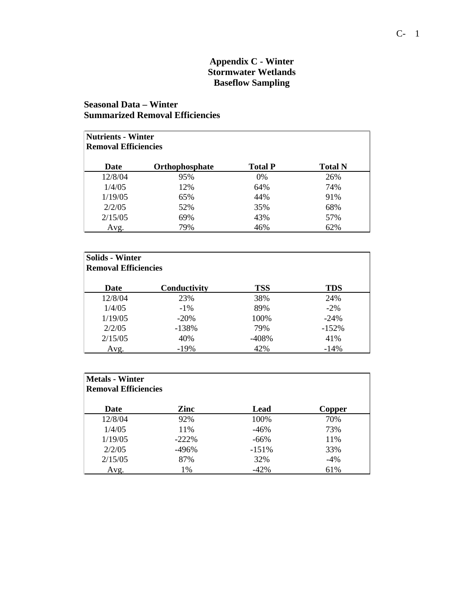#### **Appendix C - Winter Stormwater Wetlands Baseflow Sampling**

# **Seasonal Data – Winter Summarized Removal Efficiencies**

| <b>Nutrients - Winter</b><br><b>Removal Efficiencies</b> |                       |                |                |  |
|----------------------------------------------------------|-----------------------|----------------|----------------|--|
| Date                                                     | <b>Orthophosphate</b> | <b>Total P</b> | <b>Total N</b> |  |
| 12/8/04                                                  | 95%                   | $0\%$          | 26%            |  |
| 1/4/05                                                   | 12%                   | 64%            | 74%            |  |
| 1/19/05                                                  | 65%                   | 44%            | 91%            |  |
| 2/2/05                                                   | 52%                   | 35%            | 68%            |  |
| 2/15/05                                                  | 69%                   | 43%            | 57%            |  |
| Avg.                                                     | 79%                   | 46%            | 62%            |  |

| <b>Solids - Winter</b><br><b>Removal Efficiencies</b> |              |            |         |  |
|-------------------------------------------------------|--------------|------------|---------|--|
| Date                                                  | Conductivity | <b>TSS</b> | TDS     |  |
| 12/8/04                                               | 23%          | 38%        | 24%     |  |
| 1/4/05                                                | $-1\%$       | 89%        | $-2\%$  |  |
| 1/19/05                                               | $-20%$       | 100%       | $-24%$  |  |
| 2/2/05                                                | $-138%$      | 79%        | $-152%$ |  |
| 2/15/05                                               | 40%          | -408%      | 41%     |  |
| Avg.                                                  | $-19%$       | 42%        | $-14%$  |  |

| <b>Metals - Winter</b><br><b>Removal Efficiencies</b> |          |         |        |
|-------------------------------------------------------|----------|---------|--------|
| Date                                                  | Zinc     | Lead    | Copper |
| 12/8/04                                               | 92%      | 100%    | 70%    |
| 1/4/05                                                | 11%      | $-46%$  | 73%    |
| 1/19/05                                               | $-222\%$ | $-66%$  | 11%    |
| 2/2/05                                                | -496%    | $-151%$ | 33%    |
| 2/15/05                                               | 87%      | 32%     | $-4%$  |
| Avg.                                                  | 1%       | $-42%$  | 61%    |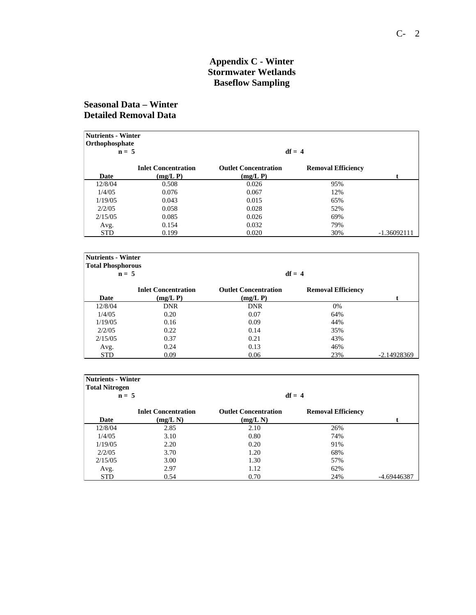#### **Appendix C - Winter Stormwater Wetlands Baseflow Sampling**

# **Seasonal Data – Winter Detailed Removal Data**

|            | <b>Nutrients - Winter</b><br>Orthophosphate<br>$df = 4$<br>$n = 5$ |                                       |                           |               |  |  |
|------------|--------------------------------------------------------------------|---------------------------------------|---------------------------|---------------|--|--|
|            |                                                                    |                                       |                           |               |  |  |
| Date       | <b>Inlet Concentration</b><br>$(mg/L)$ P)                          | <b>Outlet Concentration</b><br>(mg/L) | <b>Removal Efficiency</b> |               |  |  |
| 12/8/04    | 0.508                                                              | 0.026                                 | 95%                       |               |  |  |
| 1/4/05     | 0.076                                                              | 0.067                                 | 12%                       |               |  |  |
| 1/19/05    | 0.043                                                              | 0.015                                 | 65%                       |               |  |  |
| 2/2/05     | 0.058                                                              | 0.028                                 | 52%                       |               |  |  |
| 2/15/05    | 0.085                                                              | 0.026                                 | 69%                       |               |  |  |
| Avg.       | 0.154                                                              | 0.032                                 | 79%                       |               |  |  |
| <b>STD</b> | 0.199                                                              | 0.020                                 | 30%                       | $-1.36092111$ |  |  |

| <b>Nutrients - Winter</b> |                            |                             |                           |               |
|---------------------------|----------------------------|-----------------------------|---------------------------|---------------|
| <b>Total Phosphorous</b>  |                            |                             |                           |               |
| $n = 5$                   |                            |                             | $df = 4$                  |               |
|                           | <b>Inlet Concentration</b> | <b>Outlet Concentration</b> | <b>Removal Efficiency</b> |               |
| Date                      | (mg/L)                     | (mg/L)                      |                           |               |
| 12/8/04                   | <b>DNR</b>                 | <b>DNR</b>                  | $0\%$                     |               |
| 1/4/05                    | 0.20                       | 0.07                        | 64%                       |               |
| 1/19/05                   | 0.16                       | 0.09                        | 44%                       |               |
| 2/2/05                    | 0.22                       | 0.14                        | 35%                       |               |
| 2/15/05                   | 0.37                       | 0.21                        | 43%                       |               |
| Avg.                      | 0.24                       | 0.13                        | 46%                       |               |
| <b>STD</b>                | 0.09                       | 0.06                        | 23%                       | $-2.14928369$ |

| <b>Nutrients - Winter</b><br><b>Total Nitrogen</b> |                            |                             |                           |             |  |
|----------------------------------------------------|----------------------------|-----------------------------|---------------------------|-------------|--|
| $n = 5$                                            |                            |                             | $df = 4$                  |             |  |
|                                                    | <b>Inlet Concentration</b> | <b>Outlet Concentration</b> | <b>Removal Efficiency</b> |             |  |
| Date                                               | (mg/L N)                   | (mg/L)                      |                           |             |  |
| 12/8/04                                            | 2.85                       | 2.10                        | 26%                       |             |  |
| 1/4/05                                             | 3.10                       | 0.80                        | 74%                       |             |  |
| 1/19/05                                            | 2.20                       | 0.20                        | 91%                       |             |  |
| 2/2/05                                             | 3.70                       | 1.20                        | 68%                       |             |  |
| 2/15/05                                            | 3.00                       | 1.30                        | 57%                       |             |  |
| Avg.                                               | 2.97                       | 1.12                        | 62%                       |             |  |
| <b>STD</b>                                         | 0.54                       | 0.70                        | 24%                       | -4.69446387 |  |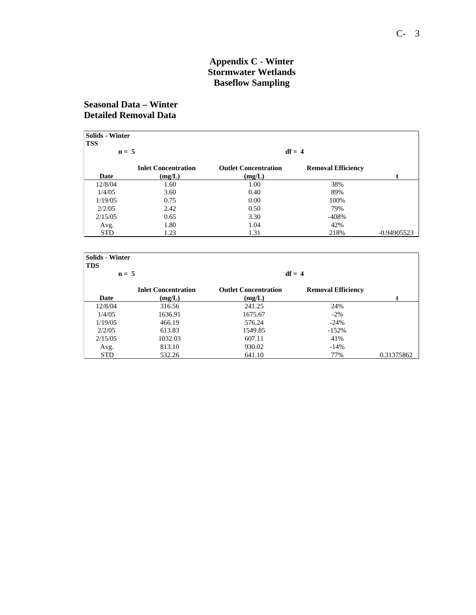#### **Appendix C - Winter Stormwater Wetlands Baseflow Sampling**

# **Seasonal Data – Winter Detailed Removal Data**

| <b>Solids - Winter</b> |                            |                             |                           |               |
|------------------------|----------------------------|-----------------------------|---------------------------|---------------|
| <b>TSS</b>             |                            |                             |                           |               |
| $n = 5$                |                            |                             | $df = 4$                  |               |
|                        | <b>Inlet Concentration</b> | <b>Outlet Concentration</b> | <b>Removal Efficiency</b> |               |
| Date                   | (mg/L)                     | (mg/L)                      |                           |               |
| 12/8/04                | 1.60                       | 1.00                        | 38%                       |               |
| 1/4/05                 | 3.60                       | 0.40                        | 89%                       |               |
| 1/19/05                | 0.75                       | 0.00                        | 100%                      |               |
| 2/2/05                 | 2.42                       | 0.50                        | 79%                       |               |
| 2/15/05                | 0.65                       | 3.30                        | $-408%$                   |               |
| Avg.                   | 1.80                       | 1.04                        | 42%                       |               |
| <b>STD</b>             | 1.23                       | 1.31                        | 218%                      | $-0.94905523$ |

| <b>Solids - Winter</b><br><b>TDS</b> |                                      |                                       |                           |            |  |
|--------------------------------------|--------------------------------------|---------------------------------------|---------------------------|------------|--|
| $n = 5$                              |                                      |                                       | $df = 4$                  |            |  |
| Date                                 | <b>Inlet Concentration</b><br>(mg/L) | <b>Outlet Concentration</b><br>(mg/L) | <b>Removal Efficiency</b> |            |  |
|                                      |                                      |                                       |                           |            |  |
| 12/8/04                              | 316.56                               | 241.25                                | 24%                       |            |  |
| 1/4/05                               | 1636.91                              | 1675.67                               | $-2\%$                    |            |  |
| 1/19/05                              | 466.19                               | 576.24                                | $-24%$                    |            |  |
| 2/2/05                               | 613.83                               | 1549.85                               | $-152%$                   |            |  |
| 2/15/05                              | 1032.03                              | 607.11                                | 41%                       |            |  |
| Avg.                                 | 813.10                               | 930.02                                | $-14%$                    |            |  |
| <b>STD</b>                           | 532.26                               | 641.10                                | 77%                       | 0.31375862 |  |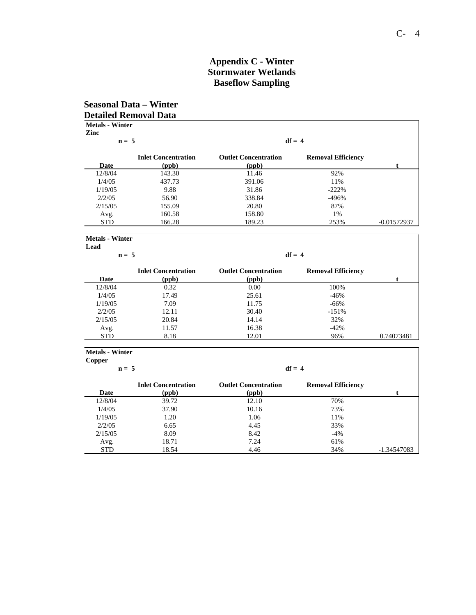# **Appendix C - Winter Stormwater Wetlands Baseflow Sampling**

## **Seasonal Data – Winter Detailed Removal Data**

| $n = 5$    |                                     |                                      | $df = 4$                  |               |
|------------|-------------------------------------|--------------------------------------|---------------------------|---------------|
| Date       | <b>Inlet Concentration</b><br>(ppb) | <b>Outlet Concentration</b><br>(ppb) | <b>Removal Efficiency</b> | t.            |
| 12/8/04    | 143.30                              | 11.46                                | 92%                       |               |
| 1/4/05     | 437.73                              | 391.06                               | 11%                       |               |
| 1/19/05    | 9.88                                | 31.86                                | $-222\%$                  |               |
| 2/2/05     | 56.90                               | 338.84                               | $-496%$                   |               |
| 2/15/05    | 155.09                              | 20.80                                | 87%                       |               |
| Avg.       | 160.58                              | 158.80                               | 1%                        |               |
| <b>STD</b> | 166.28                              | 189.23                               | 253%                      | $-0.01572937$ |

| Lead       |                                     |                                      |                           |            |
|------------|-------------------------------------|--------------------------------------|---------------------------|------------|
| $n = 5$    |                                     |                                      | $df = 4$                  |            |
| Date       | <b>Inlet Concentration</b><br>(ppb) | <b>Outlet Concentration</b><br>(ppb) | <b>Removal Efficiency</b> |            |
| 12/8/04    | 0.32                                | 0.00                                 | 100%                      |            |
| 1/4/05     | 17.49                               | 25.61                                | $-46%$                    |            |
| 1/19/05    | 7.09                                | 11.75                                | $-66%$                    |            |
| 2/2/05     | 12.11                               | 30.40                                | $-151%$                   |            |
| 2/15/05    | 20.84                               | 14.14                                | 32%                       |            |
| Avg.       | 11.57                               | 16.38                                | $-42%$                    |            |
| <b>STD</b> | 8.18                                | 12.01                                | 96%                       | 0.74073481 |

| <b>Metals - Winter</b><br>Copper |                            |                             |                           |             |
|----------------------------------|----------------------------|-----------------------------|---------------------------|-------------|
| $n = 5$                          |                            |                             | $df = 4$                  |             |
|                                  | <b>Inlet Concentration</b> | <b>Outlet Concentration</b> | <b>Removal Efficiency</b> |             |
| Date                             | (ppb)                      | (ppb)                       |                           |             |
| 12/8/04                          | 39.72                      | 12.10                       | 70%                       |             |
| 1/4/05                           | 37.90                      | 10.16                       | 73%                       |             |
| 1/19/05                          | 1.20                       | 1.06                        | 11%                       |             |
| 2/2/05                           | 6.65                       | 4.45                        | 33%                       |             |
| 2/15/05                          | 8.09                       | 8.42                        | $-4\%$                    |             |
| Avg.                             | 18.71                      | 7.24                        | 61%                       |             |
| <b>STD</b>                       | 18.54                      | 4.46                        | 34%                       | -1.34547083 |

Ē.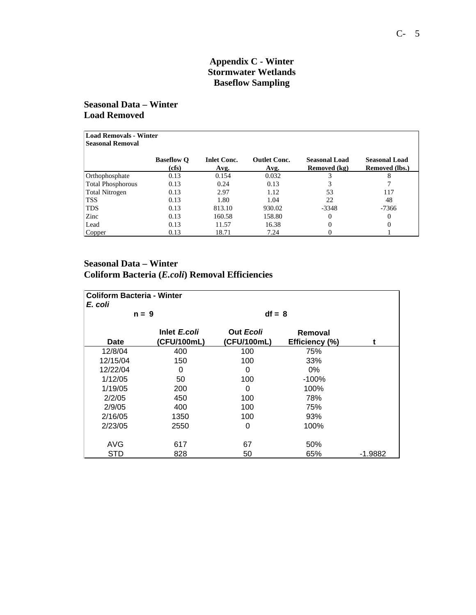### **Appendix C - Winter Stormwater Wetlands Baseflow Sampling**

# **Seasonal Data – Winter Load Removed**

|                          | <b>Load Removals - Winter</b> |                            |                             |                                      |                                               |  |
|--------------------------|-------------------------------|----------------------------|-----------------------------|--------------------------------------|-----------------------------------------------|--|
| <b>Seasonal Removal</b>  |                               |                            |                             |                                      |                                               |  |
|                          | <b>Baseflow O</b><br>(cfs)    | <b>Inlet Conc.</b><br>Avg. | <b>Outlet Conc.</b><br>Avg. | <b>Seasonal Load</b><br>Removed (kg) | <b>Seasonal Load</b><br><b>Removed (lbs.)</b> |  |
| Orthophosphate           | 0.13                          | 0.154                      | 0.032                       |                                      | 8                                             |  |
| <b>Total Phosphorous</b> | 0.13                          | 0.24                       | 0.13                        |                                      |                                               |  |
| Total Nitrogen           | 0.13                          | 2.97                       | 1.12                        | 53                                   | 117                                           |  |
| <b>TSS</b>               | 0.13                          | 1.80                       | 1.04                        | 22                                   | 48                                            |  |
| <b>TDS</b>               | 0.13                          | 813.10                     | 930.02                      | $-3348$                              | $-7366$                                       |  |
| Zinc                     | 0.13                          | 160.58                     | 158.80                      | $\Omega$                             | 0                                             |  |
| Lead                     | 0.13                          | 11.57                      | 16.38                       | $\Omega$                             | 0                                             |  |
| Copper                   | 0.13                          | 18.71                      | 7.24                        |                                      |                                               |  |

# **Seasonal Data – Winter Coliform Bacteria (***E.coli***) Removal Efficiencies**

| <b>Coliform Bacteria - Winter</b><br>E. coli |                             |                          |                           |           |
|----------------------------------------------|-----------------------------|--------------------------|---------------------------|-----------|
| $n = 9$                                      |                             | $df = 8$                 |                           |           |
| <b>Date</b>                                  | Inlet E.coli<br>(CFU/100mL) | Out Ecoli<br>(CFU/100mL) | Removal<br>Efficiency (%) | t         |
| 12/8/04                                      | 400                         | 100                      | 75%                       |           |
| 12/15/04                                     | 150                         | 100                      | 33%                       |           |
| 12/22/04                                     | 0                           | 0                        | $0\%$                     |           |
| 1/12/05                                      | 50                          | 100                      | $-100%$                   |           |
| 1/19/05                                      | 200                         | 0                        | 100%                      |           |
| 2/2/05                                       | 450                         | 100                      | 78%                       |           |
| 2/9/05                                       | 400                         | 100                      | 75%                       |           |
| 2/16/05                                      | 1350                        | 100                      | 93%                       |           |
| 2/23/05                                      | 2550                        | 0                        | 100%                      |           |
| AVG                                          | 617                         | 67                       | 50%                       |           |
| STD                                          | 828                         | 50                       | 65%                       | $-1.9882$ |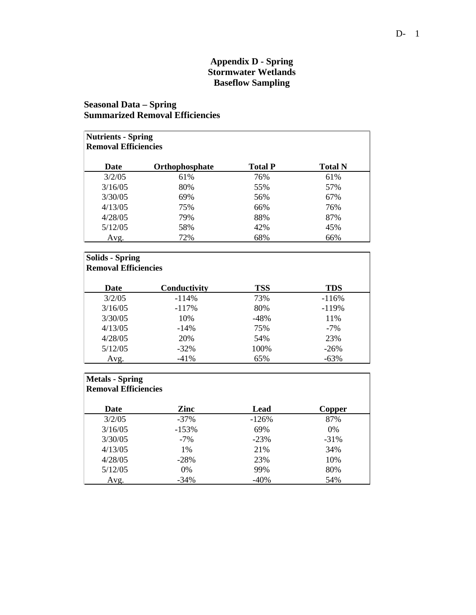#### **Appendix D - Spring Stormwater Wetlands Baseflow Sampling**

# **Seasonal Data – Spring Summarized Removal Efficiencies**

| <b>Nutrients - Spring</b><br><b>Removal Efficiencies</b> |                |                |                |  |  |
|----------------------------------------------------------|----------------|----------------|----------------|--|--|
| Date                                                     | Orthophosphate | <b>Total P</b> | <b>Total N</b> |  |  |
| 3/2/05                                                   | 61%            | 76%            | 61%            |  |  |
| 3/16/05                                                  | 80%            | 55%            | 57%            |  |  |
| 3/30/05                                                  | 69%            | 56%            | 67%            |  |  |
| 4/13/05                                                  | 75%            | 66%            | 76%            |  |  |
| 4/28/05                                                  | 79%            | 88%            | 87%            |  |  |
| 5/12/05                                                  | 58%            | 42%            | 45%            |  |  |
| Avg.                                                     | 72%            | 68%            | 66%            |  |  |

| <b>Solids - Spring</b><br><b>Removal Efficiencies</b> |              |            |            |  |
|-------------------------------------------------------|--------------|------------|------------|--|
| Date                                                  | Conductivity | <b>TSS</b> | <b>TDS</b> |  |
| 3/2/05                                                | $-114%$      | 73%        | $-116%$    |  |
| 3/16/05                                               | $-117%$      | 80%        | $-119%$    |  |
| 3/30/05                                               | 10%          | $-48%$     | 11%        |  |
| 4/13/05                                               | $-14%$       | 75%        | $-7%$      |  |
| 4/28/05                                               | 20%          | 54%        | 23%        |  |
| 5/12/05                                               | $-32\%$      | 100%       | $-26%$     |  |
| Avg.                                                  | $-41%$       | 65%        | $-63%$     |  |

| <b>Metals - Spring</b><br><b>Removal Efficiencies</b> |         |         |        |
|-------------------------------------------------------|---------|---------|--------|
| Date                                                  | Zinc    | Lead    | Copper |
| 3/2/05                                                | $-37%$  | $-126%$ | 87%    |
| 3/16/05                                               | $-153%$ | 69%     | $0\%$  |
| 3/30/05                                               | $-7%$   | $-23%$  | $-31%$ |
| 4/13/05                                               | $1\%$   | 21%     | 34%    |
| 4/28/05                                               | $-28%$  | 23%     | 10%    |
| 5/12/05                                               | $0\%$   | 99%     | 80%    |
| Avg.                                                  | $-34\%$ | $-40%$  | 54%    |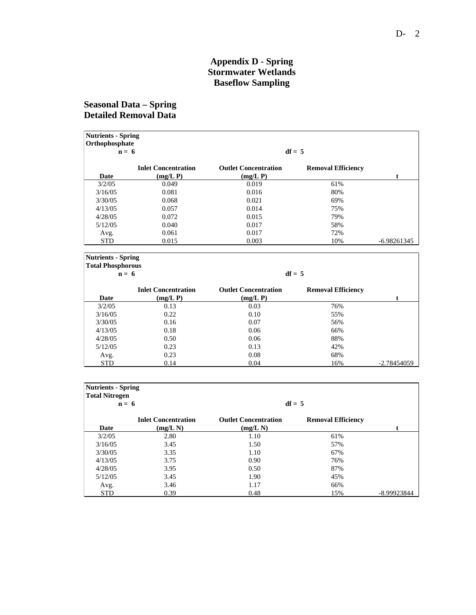## **Appendix D - Spring Stormwater Wetlands Baseflow Sampling**

# **Seasonal Data – Spring Detailed Removal Data**

| <b>Nutrients - Spring</b><br>Orthophosphate<br>$n = 6$ |                                           |                                       | $df = 5$                  |             |
|--------------------------------------------------------|-------------------------------------------|---------------------------------------|---------------------------|-------------|
| Date                                                   | <b>Inlet Concentration</b><br>$(mg/L)$ P) | <b>Outlet Concentration</b><br>(mg/L) | <b>Removal Efficiency</b> |             |
| 3/2/05                                                 | 0.049                                     | 0.019                                 | 61%                       |             |
| 3/16/05                                                | 0.081                                     | 0.016                                 | 80%                       |             |
| 3/30/05                                                | 0.068                                     | 0.021                                 | 69%                       |             |
| 4/13/05                                                | 0.057                                     | 0.014                                 | 75%                       |             |
| 4/28/05                                                | 0.072                                     | 0.015                                 | 79%                       |             |
| 5/12/05                                                | 0.040                                     | 0.017                                 | 58%                       |             |
| Avg.                                                   | 0.061                                     | 0.017                                 | 72%                       |             |
| <b>STD</b>                                             | 0.015                                     | 0.003                                 | 10%                       | -6.98261345 |

**Nutrients - Spring Total Phosphorous**

| . |  |  |
|---|--|--|
|   |  |  |

| $n = 6$    |                                           |                                            | $df = 5$                  |             |
|------------|-------------------------------------------|--------------------------------------------|---------------------------|-------------|
| Date       | <b>Inlet Concentration</b><br>$(mg/L)$ P) | <b>Outlet Concentration</b><br>$(mg/L)$ P) | <b>Removal Efficiency</b> |             |
| 3/2/05     | 0.13                                      | 0.03                                       | 76%                       |             |
| 3/16/05    | 0.22                                      | 0.10                                       | 55%                       |             |
| 3/30/05    | 0.16                                      | 0.07                                       | 56%                       |             |
| 4/13/05    | 0.18                                      | 0.06                                       | 66%                       |             |
| 4/28/05    | 0.50                                      | 0.06                                       | 88%                       |             |
| 5/12/05    | 0.23                                      | 0.13                                       | 42%                       |             |
| Avg.       | 0.23                                      | 0.08                                       | 68%                       |             |
| <b>STD</b> | 0.14                                      | 0.04                                       | 16%                       | -2.78454059 |

| <b>Nutrients - Spring</b><br><b>Total Nitrogen</b><br>$df = 5$<br>$n = 6$ |                                      |                                       |                           |             |  |
|---------------------------------------------------------------------------|--------------------------------------|---------------------------------------|---------------------------|-------------|--|
| Date                                                                      | <b>Inlet Concentration</b><br>(mg/L) | <b>Outlet Concentration</b><br>(mg/L) | <b>Removal Efficiency</b> |             |  |
| 3/2/05                                                                    | 2.80                                 | 1.10                                  | 61%                       |             |  |
| 3/16/05                                                                   | 3.45                                 | 1.50                                  | 57%                       |             |  |
| 3/30/05                                                                   | 3.35                                 | 1.10                                  | 67%                       |             |  |
| 4/13/05                                                                   | 3.75                                 | 0.90                                  | 76%                       |             |  |
| 4/28/05                                                                   | 3.95                                 | 0.50                                  | 87%                       |             |  |
| 5/12/05                                                                   | 3.45                                 | 1.90                                  | 45%                       |             |  |
| Avg.                                                                      | 3.46                                 | 1.17                                  | 66%                       |             |  |
| <b>STD</b>                                                                | 0.39                                 | 0.48                                  | 15%                       | -8.99923844 |  |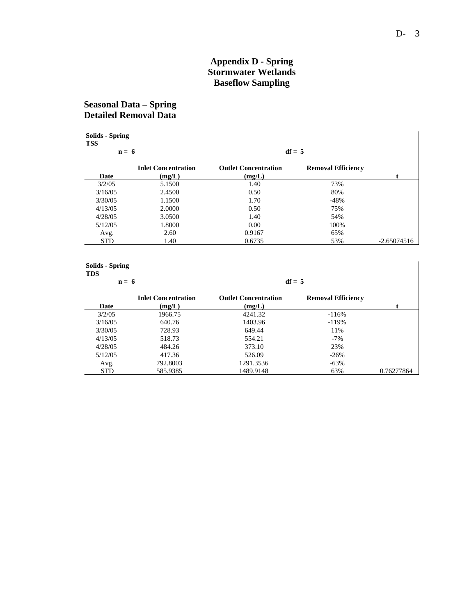#### **Appendix D - Spring Stormwater Wetlands Baseflow Sampling**

# **Seasonal Data – Spring Detailed Removal Data**

| <b>Solids - Spring</b><br><b>TSS</b> |                            |                             |                           |               |
|--------------------------------------|----------------------------|-----------------------------|---------------------------|---------------|
| $n = 6$                              |                            |                             | $df = 5$                  |               |
|                                      | <b>Inlet Concentration</b> | <b>Outlet Concentration</b> | <b>Removal Efficiency</b> |               |
| Date                                 | (mg/L)                     | (mg/L)                      |                           |               |
| 3/2/05                               | 5.1500                     | 1.40                        | 73%                       |               |
| 3/16/05                              | 2.4500                     | 0.50                        | 80%                       |               |
| 3/30/05                              | 1.1500                     | 1.70                        | $-48%$                    |               |
| 4/13/05                              | 2.0000                     | 0.50                        | 75%                       |               |
| 4/28/05                              | 3.0500                     | 1.40                        | 54%                       |               |
| 5/12/05                              | 1.8000                     | 0.00                        | 100%                      |               |
| Avg.                                 | 2.60                       | 0.9167                      | 65%                       |               |
| <b>STD</b>                           | 1.40                       | 0.6735                      | 53%                       | $-2.65074516$ |

| <b>Solids</b> - Spring<br><b>TDS</b> |                                      |                                       |                           |            |
|--------------------------------------|--------------------------------------|---------------------------------------|---------------------------|------------|
| $n = 6$                              |                                      |                                       | $df = 5$                  |            |
| Date                                 | <b>Inlet Concentration</b><br>(mg/L) | <b>Outlet Concentration</b><br>(mg/L) | <b>Removal Efficiency</b> |            |
| 3/2/05                               | 1966.75                              | 4241.32                               | $-116%$                   |            |
| 3/16/05                              | 640.76                               | 1403.96                               | $-119%$                   |            |
| 3/30/05                              | 728.93                               | 649.44                                | 11%                       |            |
| 4/13/05                              | 518.73                               | 554.21                                | $-7\%$                    |            |
| 4/28/05                              | 484.26                               | 373.10                                | 23%                       |            |
| 5/12/05                              | 417.36                               | 526.09                                | $-26%$                    |            |
| Avg.                                 | 792.8003                             | 1291.3536                             | $-63%$                    |            |
| <b>STD</b>                           | 585.9385                             | 1489.9148                             | 63%                       | 0.76277864 |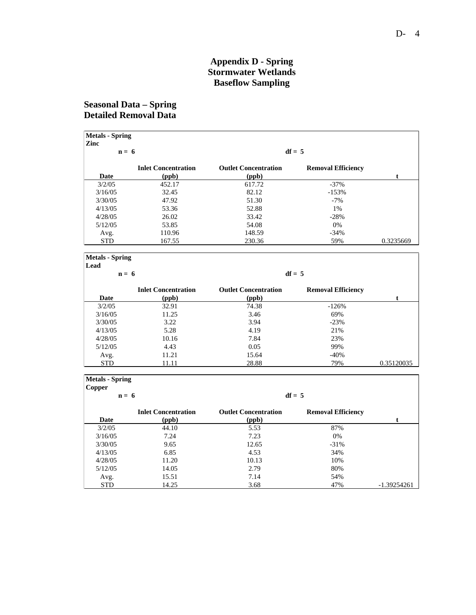#### **Appendix D - Spring Stormwater Wetlands Baseflow Sampling**

# **Seasonal Data – Spring Detailed Removal Data**

| Zinc<br>$n = 6$ |                                     |                                      | $df = 5$                  |           |
|-----------------|-------------------------------------|--------------------------------------|---------------------------|-----------|
| Date            | <b>Inlet Concentration</b><br>(ppb) | <b>Outlet Concentration</b><br>(ppb) | <b>Removal Efficiency</b> |           |
| 3/2/05          | 452.17                              | 617.72                               | $-37\%$                   |           |
| 3/16/05         | 32.45                               | 82.12                                | $-153%$                   |           |
| 3/30/05         | 47.92                               | 51.30                                | $-7\%$                    |           |
| 4/13/05         | 53.36                               | 52.88                                | 1%                        |           |
| 4/28/05         | 26.02                               | 33.42                                | $-28%$                    |           |
| 5/12/05         | 53.85                               | 54.08                                | 0%                        |           |
| Avg.            | 110.96                              | 148.59                               | $-34\%$                   |           |
| <b>STD</b>      | 167.55                              | 230.36                               | 59%                       | 0.3235669 |

| Lead       |                                     |                                      |                           |            |
|------------|-------------------------------------|--------------------------------------|---------------------------|------------|
| $n = 6$    |                                     | $df = 5$                             |                           |            |
| Date       | <b>Inlet Concentration</b><br>(ppb) | <b>Outlet Concentration</b><br>(ppb) | <b>Removal Efficiency</b> |            |
| 3/2/05     | 32.91                               | 74.38                                | $-126%$                   |            |
| 3/16/05    | 11.25                               | 3.46                                 | 69%                       |            |
| 3/30/05    | 3.22                                | 3.94                                 | $-23%$                    |            |
| 4/13/05    | 5.28                                | 4.19                                 | 21%                       |            |
| 4/28/05    | 10.16                               | 7.84                                 | 23%                       |            |
| 5/12/05    | 4.43                                | 0.05                                 | 99%                       |            |
| Avg.       | 11.21                               | 15.64                                | $-40%$                    |            |
| <b>STD</b> | 11.11                               | 28.88                                | 79%                       | 0.35120035 |

| <b>Metals</b> - Spring |                            |                             |                           |               |
|------------------------|----------------------------|-----------------------------|---------------------------|---------------|
| Copper                 |                            |                             |                           |               |
| $n = 6$                |                            |                             | $df = 5$                  |               |
|                        | <b>Inlet Concentration</b> | <b>Outlet Concentration</b> | <b>Removal Efficiency</b> |               |
| Date                   | (ppb)                      | (ppb)                       |                           |               |
| 3/2/05                 | 44.10                      | 5.53                        | 87%                       |               |
| 3/16/05                | 7.24                       | 7.23                        | 0%                        |               |
| 3/30/05                | 9.65                       | 12.65                       | $-31\%$                   |               |
| 4/13/05                | 6.85                       | 4.53                        | 34%                       |               |
| 4/28/05                | 11.20                      | 10.13                       | 10%                       |               |
| 5/12/05                | 14.05                      | 2.79                        | 80%                       |               |
| Avg.                   | 15.51                      | 7.14                        | 54%                       |               |
| <b>STD</b>             | 14.25                      | 3.68                        | 47%                       | $-1.39254261$ |